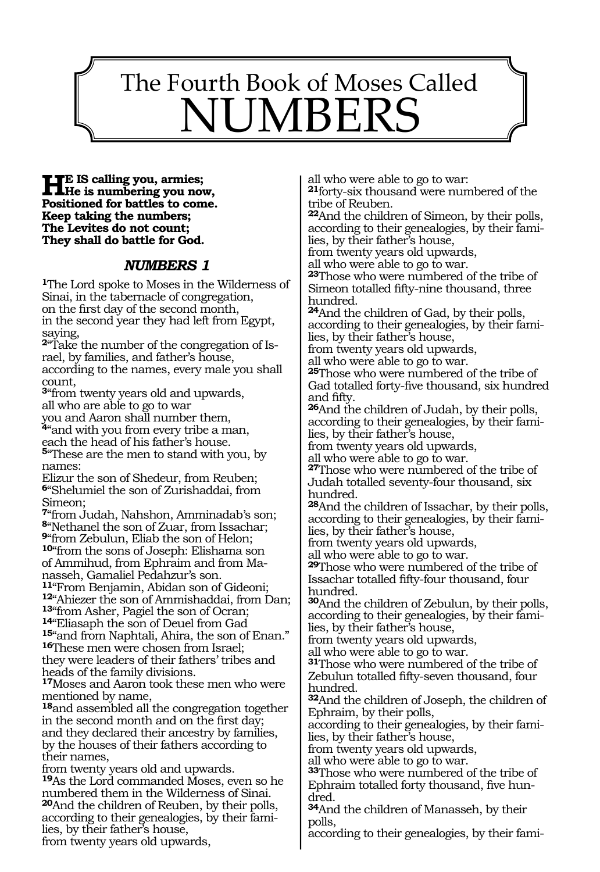# The Fourth Book of Moses Called NUMBERS

167

### **He is calling you, armies; He is numbering you now, Positioned for battles to come. Keep taking the numbers; The Levites do not count; They shall do battle for God.**

### *NUMBERS 1*

**<sup>1</sup>**The Lord spoke to Moses in the Wilderness of Sinai, in the tabernacle of congregation, on the first day of the second month, in the second year they had left from Egypt, saying,

**2**"Take the number of the congregation of Israel, by families, and father's house, according to the names, every male you shall count,

**<sup>3</sup>**"from twenty years old and upwards, all who are able to go to war

you and Aaron shall number them, **<sup>4</sup>**"and with you from every tribe a man, each the head of his father's house.

**<sup>5</sup>**"These are the men to stand with you, by names:

Elizur the son of Shedeur, from Reuben; **<sup>6</sup>**"Shelumiel the son of Zurishaddai, from Simeon;

"from Judah, Nahshon, Amminadab's son; "Nethanel the son of Zuar, from Issachar; "from Zebulun, Eliab the son of Helon; "from the sons of Joseph: Elishama son of Ammihud, from Ephraim and from Ma-

nasseh, Gamaliel Pedahzur's son.<br><sup>11</sup> From Benjamin, Abidan son of Gideoni; 12"Ahiezer the son of Ammishaddai, from Dan;<br><sup>13"</sup>from Asher, Pagiel the son of Ocran; **<sup>13</sup>**"from Asher, Pagiel the son of Ocran; **<sup>14</sup>**"Eliasaph the son of Deuel from Gad **<sup>15</sup>**"and from Naphtali, Ahira, the son of Enan." **16**These men were chosen from Israel;

they were leaders of their fathers' tribes and heads of the family divisions.

**<sup>17</sup>**Moses and Aaron took these men who were mentioned by name,

**<sup>18</sup>**and assembled all the congregation together in the second month and on the first day; and they declared their ancestry by families, by the houses of their fathers according to their names,

from twenty years old and upwards.

**<sup>19</sup>**As the Lord commanded Moses, even so he numbered them in the Wilderness of Sinai. **<sup>20</sup>**And the children of Reuben, by their polls, according to their genealogies, by their families, by their father's house, from twenty years old upwards,

all who were able to go to war:

**<sup>21</sup>**forty-six thousand were numbered of the tribe of Reuben.

**<sup>22</sup>**And the children of Simeon, by their polls, according to their genealogies, by their fami- lies, by their father's house,

from twenty years old upwards,

all who were able to go to war.

**<sup>23</sup>**Those who were numbered of the tribe of Simeon totalled fifty-nine thousand, three hundred.

**<sup>24</sup>**And the children of Gad, by their polls, according to their genealogies, by their families, by their father's house,

from twenty years old upwards,

all who were able to go to war.

**<sup>25</sup>**Those who were numbered of the tribe of Gad totalled forty-five thousand, six hundred and fifty.

**<sup>26</sup>**And the children of Judah, by their polls, according to their genealogies, by their families, by their father's house,

from twenty years old upwards,

all who were able to go to war.

**<sup>27</sup>**Those who were numbered of the tribe of Judah totalled seventy-four thousand, six hundred.

**<sup>28</sup>**And the children of Issachar, by their polls, according to their genealogies, by their families, by their father's house,

from twenty years old upwards,

all who were able to go to war.

**<sup>29</sup>**Those who were numbered of the tribe of Issachar totalled fifty-four thousand, four hundred.

**<sup>30</sup>**And the children of Zebulun, by their polls, according to their genealogies, by their families, by their father's house,

from twenty years old upwards,

all who were able to go to war.

**<sup>31</sup>**Those who were numbered of the tribe of Zebulun totalled fifty-seven thousand, four hundred.

**<sup>32</sup>**And the children of Joseph, the children of Ephraim, by their polls,

according to their genealogies, by their families, by their father's house,

from twenty years old upwards,

all who were able to go to war.

**<sup>33</sup>**Those who were numbered of the tribe of Ephraim totalled forty thousand, five hundred.

**<sup>34</sup>**And the children of Manasseh, by their polls,

according to their genealogies, by their fami-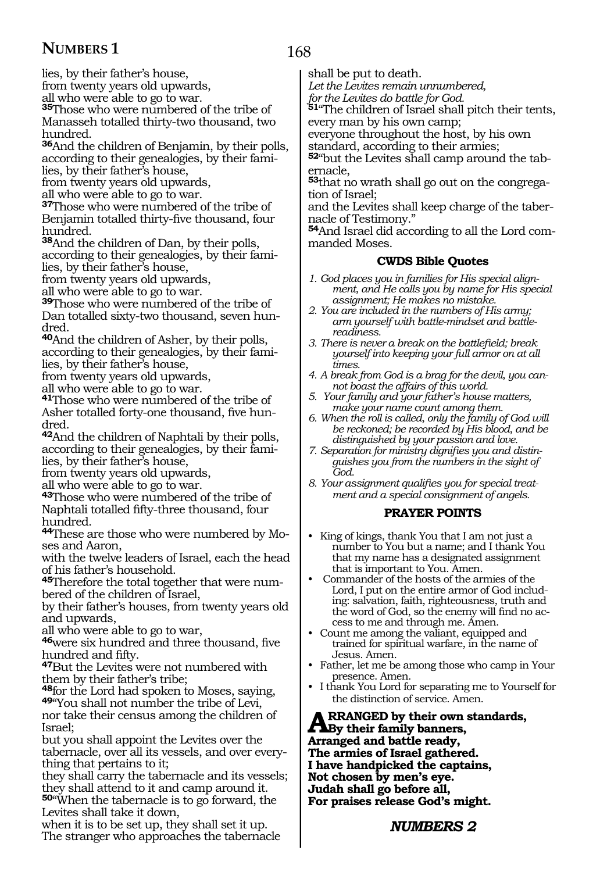168

lies, by their father's house,

from twenty years old upwards,

all who were able to go to war.

**<sup>35</sup>**Those who were numbered of the tribe of Manasseh totalled thirty-two thousand, two hundred.

**<sup>36</sup>**And the children of Benjamin, by their polls, according to their genealogies, by their families, by their father's house,

from twenty years old upwards,

all who were able to go to war.

**<sup>37</sup>**Those who were numbered of the tribe of Benjamin totalled thirty-five thousand, four hundred.

**<sup>38</sup>**And the children of Dan, by their polls, according to their genealogies, by their families, by their father's house,

from twenty years old upwards,

all who were able to go to war.

**<sup>39</sup>**Those who were numbered of the tribe of Dan totalled sixty-two thousand, seven hundred.

**<sup>40</sup>**And the children of Asher, by their polls, according to their genealogies, by their families, by their father's house,

from twenty years old upwards,

all who were able to go to war.

**<sup>41</sup>**Those who were numbered of the tribe of Asher totalled forty-one thousand, five hundred.

**<sup>42</sup>**And the children of Naphtali by their polls, according to their genealogies, by their families, by their father's house,

from twenty years old upwards,

all who were able to go to war.

**<sup>43</sup>**Those who were numbered of the tribe of Naphtali totalled fifty-three thousand, four hundred.

**44**These are those who were numbered by Moses and Aaron,

with the twelve leaders of Israel, each the head of his father's household.

**<sup>45</sup>**Therefore the total together that were num- bered of the children of Israel,

by their father's houses, from twenty years old and upwards,

all who were able to go to war,

**<sup>46</sup>**were six hundred and three thousand, five hundred and fifty.

**<sup>47</sup>**But the Levites were not numbered with them by their father's tribe;

**<sup>48</sup>**for the Lord had spoken to Moses, saying, **<sup>49</sup>**"You shall not number the tribe of Levi, nor take their census among the children of

Israel; but you shall appoint the Levites over the

tabernacle, over all its vessels, and over everything that pertains to it;

they shall carry the tabernacle and its vessels; they shall attend to it and camp around it.

**<sup>50</sup>**"When the tabernacle is to go forward, the Levites shall take it down,

when it is to be set up, they shall set it up. The stranger who approaches the tabernacle shall be put to death.

*Let the Levites remain unnumbered,*

*for the Levites do battle for God.*

**<sup>51</sup>**"The children of Israel shall pitch their tents, every man by his own camp;

everyone throughout the host, by his own standard, according to their armies;

**52**"but the Levites shall camp around the tabernacle,

**53**that no wrath shall go out on the congregation of Israel;

and the Levites shall keep charge of the tabernacle of Testimony."

**54**And Israel did according to all the Lord commanded Moses.

### **CWDS Bible Quotes**

- *1. God places you in families for His special alignment, and He calls you by name for His special assignment; He makes no mistake.*
- *2. You are included in the numbers of His army; arm yourself with battle-mindset and battlereadiness.*
- *3. There is never a break on the battlefield; break yourself into keeping your full armor on at all times.*
- *4. A break from God is a brag for the devil, you cannot boast the affairs of this world.*
- *5. Your family and your father's house matters, make your name count among them.*
- *6. When the roll is called, only the family of God will be reckoned; be recorded by His blood, and be distinguished by your passion and love.*
- *7. Separation for ministry dignifies you and distinguishes you from the numbers in the sight of God.*
- *8. Your assignment qualifies you for special treatment and a special consignment of angels.*

### **PRAYER POINTS**

- King of kings, thank You that I am not just a number to You but a name; and I thank You that my name has a designated assignment that is important to You. Amen.
- Commander of the hosts of the armies of the Lord, I put on the entire armor of God including: salvation, faith, righteousness, truth and the word of God, so the enemy will find no access to me and through me. Amen.
- Count me among the valiant, equipped and trained for spiritual warfare, in the name of Jesus. Amen.
- Father, let me be among those who camp in Your presence. Amen.
- I thank You Lord for separating me to Yourself for the distinction of service. Amen.

**ARRANGED by their own standards,**<br>App their family banners,<br>Apparent and battle ready. **Arranged and battle ready, The armies of Israel gathered. I have handpicked the captains, Not chosen by men's eye. Judah shall go before all, For praises release God's might.**

*NUMBERS 2*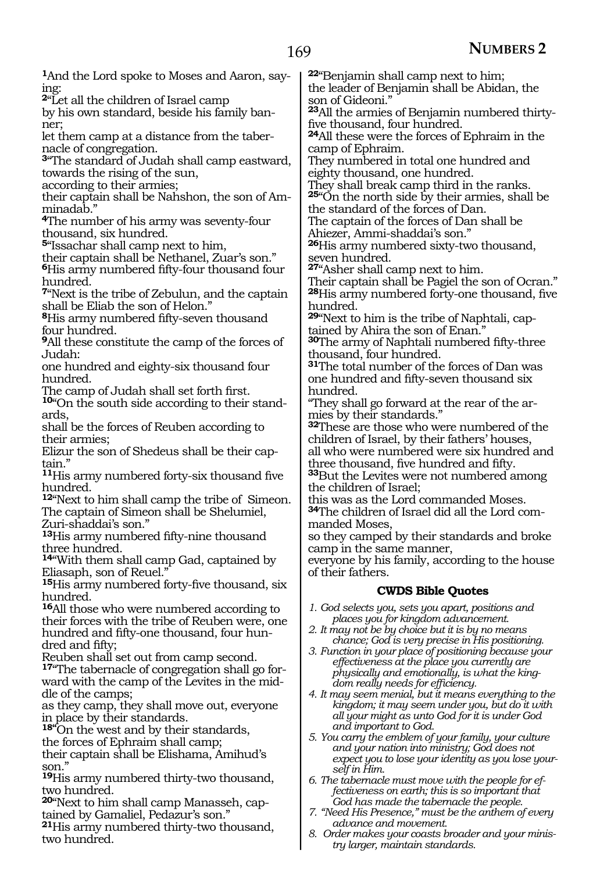**1**And the Lord spoke to Moses and Aaron, saying:

**<sup>2</sup>**"Let all the children of Israel camp

by his own standard, beside his family banner;

let them camp at a distance from the tabernacle of congregation.

**<sup>3</sup>**"The standard of Judah shall camp eastward, towards the rising of the sun,

according to their armies;

their captain shall be Nahshon, the son of Amminadab."

**<sup>4</sup>**The number of his army was seventy-four thousand, six hundred.

**<sup>5</sup>**"Issachar shall camp next to him,

their captain shall be Nethanel, Zuar's son."

**<sup>6</sup>**His army numbered fifty-four thousand four hundred.

**<sup>7</sup>**"Next is the tribe of Zebulun, and the captain shall be Eliab the son of Helon."

**<sup>8</sup>**His army numbered fifty-seven thousand four hundred.

**<sup>9</sup>**All these constitute the camp of the forces of Judah:

one hundred and eighty-six thousand four hundred.

The camp of Judah shall set forth first.

**10**"On the south side according to their standards,

shall be the forces of Reuben according to their armies;

Elizur the son of Shedeus shall be their captain."

**<sup>11</sup>**His army numbered forty-six thousand five hundred.

**<sup>12</sup>**"Next to him shall camp the tribe of Simeon. The captain of Simeon shall be Shelumiel, Zuri-shaddai's son."

**<sup>13</sup>**His army numbered fifty-nine thousand three hundred.

**<sup>14</sup>**"With them shall camp Gad, captained by Eliasaph, son of Reuel."

**<sup>15</sup>**His army numbered forty-five thousand, six hundred.

**<sup>16</sup>**All those who were numbered according to their forces with the tribe of Reuben were, one hundred and fifty-one thousand, four hun- dred and fifty;

Reuben shall set out from camp second.<br><sup>17</sup> The tabernacle of congregation shall go forward with the camp of the Levites in the mid-<br>dle of the camps;

as they camp, they shall move out, everyone in place by their standards.

**18"**On the west and by their standards, the forces of Ephraim shall camp;

their captain shall be Elishama, Amihud's son."

**<sup>19</sup>**His army numbered thirty-two thousand, two hundred.

**20**"Next to him shall camp Manasseh, captained by Gamaliel, Pedazur's son."

**<sup>21</sup>**His army numbered thirty-two thousand, two hundred.

**<sup>22</sup>**"Benjamin shall camp next to him; the leader of Benjamin shall be Abidan, the son of Gideoni."

**23**All the armies of Benjamin numbered thirtyfive thousand, four hundred.

**<sup>24</sup>**All these were the forces of Ephraim in the camp of Ephraim.

They numbered in total one hundred and eighty thousand, one hundred.

They shall break camp third in the ranks. **<sup>25</sup>**"On the north side by their armies, shall be the standard of the forces of Dan.

The captain of the forces of Dan shall be Ahiezer, Ammi-shaddai's son."

**<sup>26</sup>**His army numbered sixty-two thousand, seven hundred.

**<sup>27</sup>**"Asher shall camp next to him.

Their captain shall be Pagiel the son of Ocran." **<sup>28</sup>**His army numbered forty-one thousand, five hundred.

**29**"Next to him is the tribe of Naphtali, captained by Ahira the son of Enan."

**<sup>30</sup>**The army of Naphtali numbered fifty-three thousand, four hundred.

**<sup>31</sup>**The total number of the forces of Dan was one hundred and fifty-seven thousand six hundred.

"They shall go forward at the rear of the armies by their standards."

**<sup>32</sup>**These are those who were numbered of the children of Israel, by their fathers' houses, all who were numbered were six hundred and three thousand, five hundred and fifty.

**<sup>33</sup>**But the Levites were not numbered among the children of Israel;

this was as the Lord commanded Moses. **<sup>34</sup>**The children of Israel did all the Lord com- manded Moses,

so they camped by their standards and broke camp in the same manner,

everyone by his family, according to the house of their fathers.

### **CWDS Bible Quotes**

- *1. God selects you, sets you apart, positions and places you for kingdom advancement.*
- *2. It may not be by choice but it is by no means chance; God is very precise in His positioning.*
- *3. Function in your place of positioning because your effectiveness at the place you currently are physically and emotionally, is what the kingdom really needs for efficiency.*
- *4. It may seem menial, but it means everything to the kingdom; it may seem under you, but do it with all your might as unto God for it is under God and important to God.*
- *5. You carry the emblem of your family, your culture and your nation into ministry; God does not expect you to lose your identity as you lose yourself in Him.*
- *6. The tabernacle must move with the people for effectiveness on earth; this is so important that God has made the tabernacle the people.*
- *7. "Need His Presence," must be the anthem of every advance and movement.*
- *8. Order makes your coasts broader and your ministry larger, maintain standards.*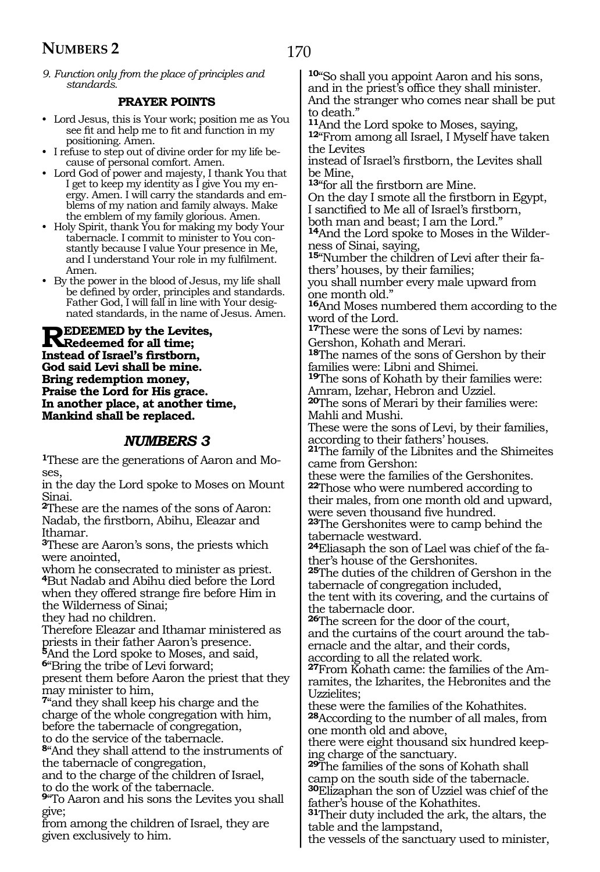*9. Function only from the place of principles and standards.*

### **PRAYER POINTS**

- Lord Jesus, this is Your work; position me as You see fit and help me to fit and function in my positioning. Amen.
- I refuse to step out of divine order for my life because of personal comfort. Amen.
- Lord God of power and majesty, I thank You that I get to keep my identity as I give You my energy. Amen. I will carry the standards and emblems of my nation and family always. Make the emblem of my family glorious. Amen.
- Holy Spirit, thank You for making my body Your tabernacle. I commit to minister to You constantly because I value Your presence in Me, and I understand Your role in my fulfilment. Amen.
- By the power in the blood of Jesus, my life shall be defined by order, principles and standards. Father God, I will fall in line with Your designated standards, in the name of Jesus. Amen.

**Redeemed by the Levites, Redeemed for all time; Instead of Israel's firstborn, God said Levi shall be mine. Bring redemption money, Praise the Lord for His grace. In another place, at another time, Mankind shall be replaced.**

### *NUMBERS 3*

**1**These are the generations of Aaron and Moses,

in the day the Lord spoke to Moses on Mount Sinai.

**<sup>2</sup>**These are the names of the sons of Aaron: Nadab, the firstborn, Abihu, Eleazar and Ithamar.

**<sup>3</sup>**These are Aaron's sons, the priests which were anointed,

whom he consecrated to minister as priest. **<sup>4</sup>**But Nadab and Abihu died before the Lord when they offered strange fire before Him in the Wilderness of Sinai;

they had no children.

Therefore Eleazar and Ithamar ministered as priests in their father Aaron's presence.

**<sup>5</sup>**And the Lord spoke to Moses, and said, **<sup>6</sup>**"Bring the tribe of Levi forward;

present them before Aaron the priest that they may minister to him,

**<sup>7</sup>**"and they shall keep his charge and the charge of the whole congregation with him, before the tabernacle of congregation, to do the service of the tabernacle.

**<sup>8</sup>**"And they shall attend to the instruments of the tabernacle of congregation,

and to the charge of the children of Israel, to do the work of the tabernacle.

**<sup>9</sup>**"To Aaron and his sons the Levites you shall give;

from among the children of Israel, they are given exclusively to him.

**<sup>10</sup>**"So shall you appoint Aaron and his sons, and in the priest's office they shall minister. And the stranger who comes near shall be put to death."<br><sup>11</sup>And the Lord spoke to Moses, saying,

12<sup>"</sup>From among all Israel, I Myself have taken the Levites

instead of Israel's firstborn, the Levites shall be Mine,

**<sup>13</sup>**"for all the firstborn are Mine.

On the day I smote all the firstborn in Egypt, I sanctified to Me all of Israel's firstborn,

both man and beast; I am the Lord." **<sup>14</sup>**And the Lord spoke to Moses in the Wilder- ness of Sinai, saying,

**15**"Number the children of Levi after their fathers' houses, by their families;

you shall number every male upward from one month old."

**<sup>16</sup>**And Moses numbered them according to the word of the Lord.

**<sup>17</sup>**These were the sons of Levi by names: Gershon, Kohath and Merari.

**<sup>18</sup>**The names of the sons of Gershon by their families were: Libni and Shimei.

**<sup>19</sup>**The sons of Kohath by their families were: Amram, Izehar, Hebron and Uzziel.

**<sup>20</sup>**The sons of Merari by their families were: Mahli and Mushi.

These were the sons of Levi, by their families, according to their fathers' houses.

**<sup>21</sup>**The family of the Libnites and the Shimeites came from Gershon:

these were the families of the Gershonites. **<sup>22</sup>**Those who were numbered according to their males, from one month old and upward, were seven thousand five hundred.

**<sup>23</sup>**The Gershonites were to camp behind the tabernacle westward.

**24**Eliasaph the son of Lael was chief of the father's house of the Gershonites.

**<sup>25</sup>**The duties of the children of Gershon in the tabernacle of congregation included, the tent with its covering, and the curtains of

the tabernacle door. **<sup>26</sup>**The screen for the door of the court, and the curtains of the court around the tabernacle and the altar, and their cords,

according to all the related work.

**27**From Kohath came: the families of the Amramites, the Izharites, the Hebronites and the Uzzielites;

these were the families of the Kohathites. **<sup>28</sup>**According to the number of all males, from one month old and above,

there were eight thousand six hundred keep- ing charge of the sanctuary.

**<sup>29</sup>**The families of the sons of Kohath shall camp on the south side of the tabernacle. **<sup>30</sup>**Elizaphan the son of Uzziel was chief of the father's house of the Kohathites.

**<sup>31</sup>**Their duty included the ark, the altars, the table and the lampstand,

the vessels of the sanctuary used to minister,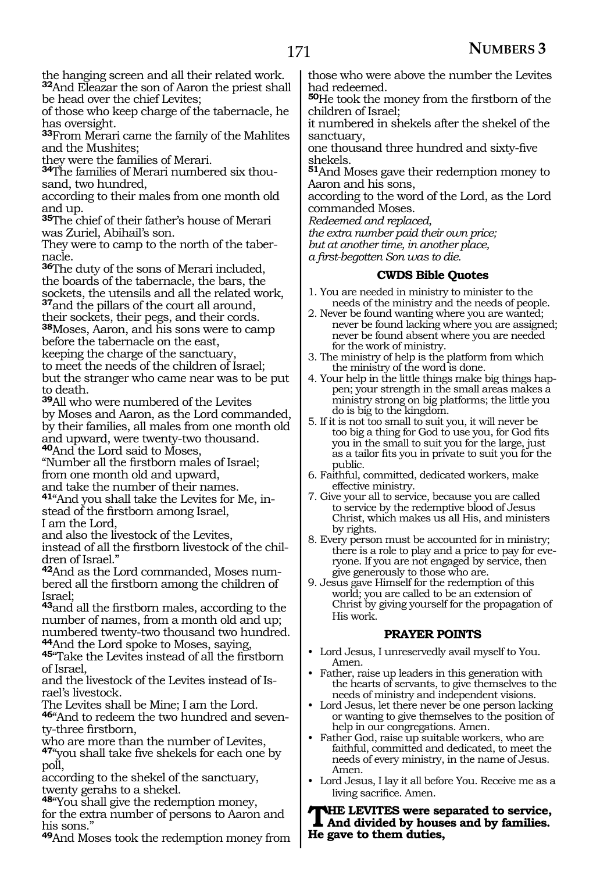the hanging screen and all their related work. **<sup>32</sup>**And Eleazar the son of Aaron the priest shall

be head over the chief Levites; of those who keep charge of the tabernacle, he has oversight.

**<sup>33</sup>**From Merari came the family of the Mahlites and the Mushites;

they were the families of Merari.

**34**The families of Merari numbered six thousand, two hundred,

according to their males from one month old and up.

**<sup>35</sup>**The chief of their father's house of Merari was Zuriel, Abihail's son.

They were to camp to the north of the taber-

**<sup>36</sup>**The duty of the sons of Merari included, the boards of the tabernacle, the bars, the sockets, the utensils and all the related work, **<sup>37</sup>**and the pillars of the court all around, their sockets, their pegs, and their cords. **<sup>38</sup>**Moses, Aaron, and his sons were to camp before the tabernacle on the east,

keeping the charge of the sanctuary,

to meet the needs of the children of Israel; but the stranger who came near was to be put to death.

**<sup>39</sup>**All who were numbered of the Levites by Moses and Aaron, as the Lord commanded, by their families, all males from one month old and upward, were twenty-two thousand. **<sup>40</sup>**And the Lord said to Moses,

"Number all the firstborn males of Israel; from one month old and upward, and take the number of their names.

**41**"And you shall take the Levites for Me, instead of the firstborn among Israel, I am the Lord,

and also the livestock of the Levites,

instead of all the firstborn livestock of the children of Israel.'

**42**And as the Lord commanded, Moses numbered all the firstborn among the children of Israel;

**<sup>43</sup>**and all the firstborn males, according to the number of names, from a month old and up; numbered twenty-two thousand two hundred.<br><sup>44</sup>And the Lord spoke to Moses, saying,

**45**"Take the Levites instead of all the firstborn of Israel,

and the livestock of the Levites instead of Is- rael's livestock.

The Levites shall be Mine; I am the Lord.

**46**"And to redeem the two hundred and seventy-three firstborn,

who are more than the number of Levites,

**<sup>47</sup>**"you shall take five shekels for each one by poll,

according to the shekel of the sanctuary, twenty gerahs to a shekel.

**<sup>48</sup>**"You shall give the redemption money, for the extra number of persons to Aaron and his sons."

**<sup>49</sup>**And Moses took the redemption money from

those who were above the number the Levites had redeemed.

**<sup>50</sup>**He took the money from the firstborn of the children of Israel;

it numbered in shekels after the shekel of the sanctuary,

one thousand three hundred and sixty-five shekels.

**<sup>51</sup>**And Moses gave their redemption money to Aaron and his sons,

according to the word of the Lord, as the Lord commanded Moses.

*Redeemed and replaced,*

*the extra number paid their own price;*

*but at another time, in another place,*

*a first-begotten Son was to die.*

### **CWDS Bible Quotes**

- 1. You are needed in ministry to minister to the needs of the ministry and the needs of people.
- 2. Never be found wanting where you are wanted; never be found lacking where you are assigned; never be found absent where you are needed for the work of ministry.
- 3. The ministry of help is the platform from which the ministry of the word is done.
- 4. Your help in the little things make big things happen; your strength in the small areas makes a ministry strong on big platforms; the little you do is big to the kingdom.
- 5. If it is not too small to suit you, it will never be too big a thing for God to use you, for God fits you in the small to suit you for the large, just as a tailor fits you in private to suit you for the public.
- 6. Faithful, committed, dedicated workers, make effective ministry.
- 7. Give your all to service, because you are called to service by the redemptive blood of Jesus Christ, which makes us all His, and ministers by rights.
- 8. Every person must be accounted for in ministry; there is a role to play and a price to pay for everyone. If you are not engaged by service, then give generously to those who are.
- 9. Jesus gave Himself for the redemption of this world; you are called to be an extension of Christ by giving yourself for the propagation of His work.

### **PRAYER POINTS**

- Lord Jesus, I unreservedly avail myself to You. Amen.
- Father, raise up leaders in this generation with the hearts of servants, to give themselves to the needs of ministry and independent visions.
- Lord Jesus, let there never be one person lacking or wanting to give themselves to the position of help in our congregations. Amen.
- Father God, raise up suitable workers, who are faithful, committed and dedicated, to meet the needs of every ministry, in the name of Jesus. Amen.
- Lord Jesus, I lay it all before You. Receive me as a living sacrifice. Amen.

**THE LEVITES were separated to service,**<br>And divided by houses and by families. **He gave to them duties,**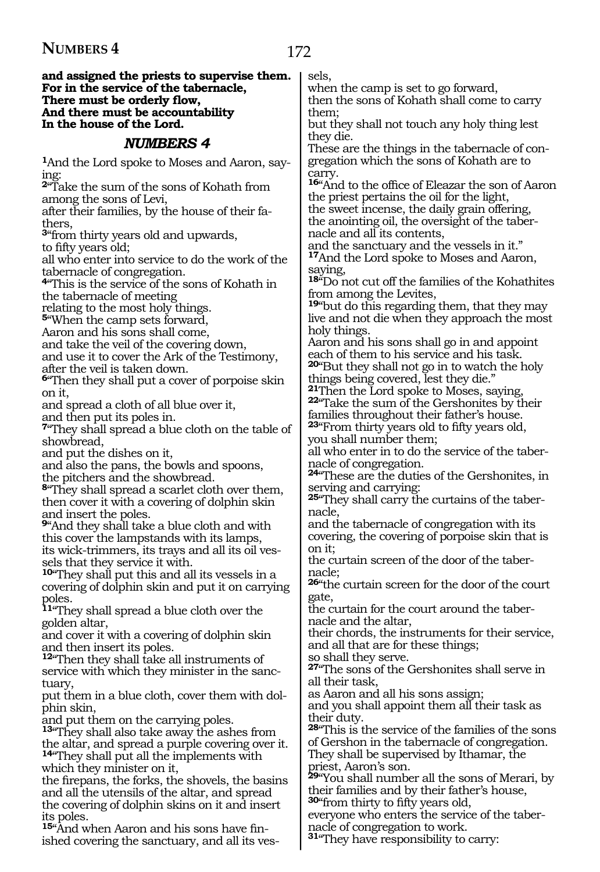#### **and assigned the priests to supervise them. For in the service of the tabernacle, There must be orderly flow, And there must be accountability In the house of the Lord.**

### *NUMBERS 4*

**1**And the Lord spoke to Moses and Aaron, saying:

**<sup>2</sup>**"Take the sum of the sons of Kohath from among the sons of Levi,

after their families, by the house of their fa- thers,

**<sup>3</sup>**"from thirty years old and upwards, to fifty years old;

all who enter into service to do the work of the tabernacle of congregation.

**<sup>4</sup>**"This is the service of the sons of Kohath in the tabernacle of meeting

relating to the most holy things.

**<sup>5</sup>**"When the camp sets forward,

Aaron and his sons shall come,

and take the veil of the covering down,

and use it to cover the Ark of the Testimony, after the veil is taken down.

**<sup>6</sup>**"Then they shall put a cover of porpoise skin on it,

and spread a cloth of all blue over it,

and then put its poles in.

**<sup>7</sup>**"They shall spread a blue cloth on the table of showbread,

and put the dishes on it,

and also the pans, the bowls and spoons, the pitchers and the showbread.

**<sup>8</sup>**"They shall spread a scarlet cloth over them, then cover it with a covering of dolphin skin and insert the poles.

**<sup>9</sup>**"And they shall take a blue cloth and with this cover the lampstands with its lamps, its wick-trimmers, its trays and all its oil vessels that they service it with.

**<sup>10</sup>**"They shall put this and all its vessels in a covering of dolphin skin and put it on carrying poles.

**<sup>11</sup>**"They shall spread a blue cloth over the golden altar,

and cover it with a covering of dolphin skin and then insert its poles.

**<sup>12</sup>**"Then they shall take all instruments of service with which they minister in the sanctuary,

put them in a blue cloth, cover them with dolphin skin,

and put them on the carrying poles.

**<sup>13</sup>**"They shall also take away the ashes from the altar, and spread a purple covering over it. **<sup>14</sup>**"They shall put all the implements with which they minister on it,

the firepans, the forks, the shovels, the basins and all the utensils of the altar, and spread the covering of dolphin skins on it and insert its poles.

**15**"And when Aaron and his sons have finished covering the sanctuary, and all its vessels,

when the camp is set to go forward, then the sons of Kohath shall come to carry them;

but they shall not touch any holy thing lest they die.

These are the things in the tabernacle of congregation which the sons of Kohath are to carry.

**<sup>16</sup>**"And to the office of Eleazar the son of Aaron the priest pertains the oil for the light, the sweet incense, the daily grain offering, the anointing oil, the oversight of the tabernacle and all its contents,

and the sanctuary and the vessels in it." **<sup>17</sup>**And the Lord spoke to Moses and Aaron, saying,

**<sup>18</sup>**"Do not cut off the families of the Kohathites from among the Levites,

**<sup>19</sup>**"but do this regarding them, that they may live and not die when they approach the most holy things.

Aaron and his sons shall go in and appoint each of them to his service and his task. **<sup>20</sup>**"But they shall not go in to watch the holy

things being covered, lest they die."<br><sup>21</sup>Then the Lord spoke to Moses, saying, **22** Take the sum of the Gershonites by their families throughout their father's house.

**<sup>23</sup>**"From thirty years old to fifty years old, you shall number them;

all who enter in to do the service of the tabernacle of congregation.

**<sup>24</sup>**"These are the duties of the Gershonites, in serving and carrying:

**25**"They shall carry the curtains of the tabernacle,

and the tabernacle of congregation with its covering, the covering of porpoise skin that is on it;

the curtain screen of the door of the tabernacle;

**<sup>26</sup>**"the curtain screen for the door of the court gate,

the curtain for the court around the tabernacle and the altar,

their chords, the instruments for their service, and all that are for these things;

so shall they serve.

**<sup>27</sup>**"The sons of the Gershonites shall serve in all their task,

as Aaron and all his sons assign;

and you shall appoint them all their task as their duty.

**<sup>28</sup>**"This is the service of the families of the sons of Gershon in the tabernacle of congregation. They shall be supervised by Ithamar, the priest, Aaron's son.

**<sup>29</sup>**"You shall number all the sons of Merari, by their families and by their father's house, **<sup>30</sup>**"from thirty to fifty years old,

everyone who enters the service of the tabernacle of congregation to work.

**<sup>31</sup>**"They have responsibility to carry: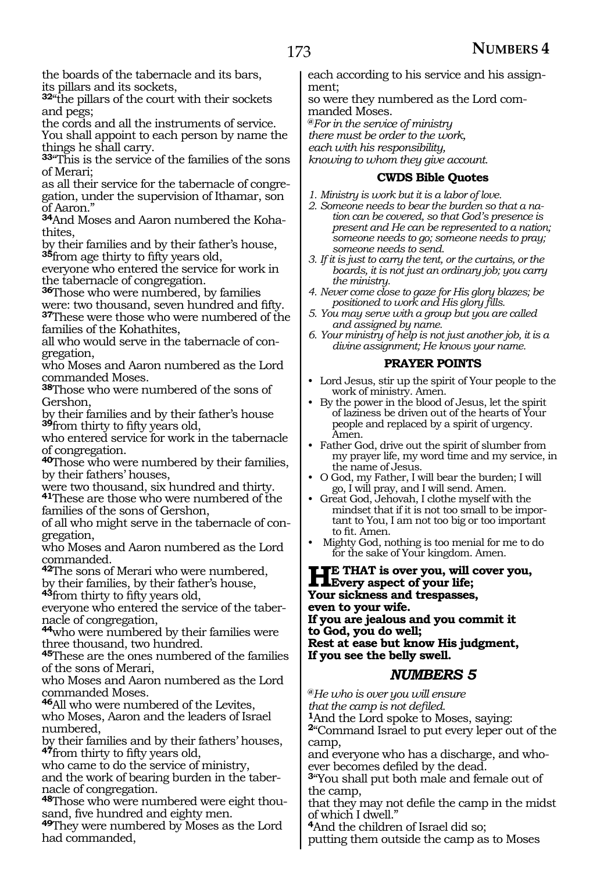the boards of the tabernacle and its bars, its pillars and its sockets,

**<sup>32</sup>**"the pillars of the court with their sockets and pegs;

the cords and all the instruments of service.

You shall appoint to each person by name the things he shall carry.

**<sup>33</sup>**"This is the service of the families of the sons of Merari;

as all their service for the tabernacle of congregation, under the supervision of Ithamar, son of Aaron."

**34**And Moses and Aaron numbered the Kohathites,

by their families and by their father's house, **<sup>35</sup>**from age thirty to fifty years old,

everyone who entered the service for work in the tabernacle of congregation.

**<sup>36</sup>**Those who were numbered, by families were: two thousand, seven hundred and fifty. **<sup>37</sup>**These were those who were numbered of the families of the Kohathites,

all who would serve in the tabernacle of congregation,

who Moses and Aaron numbered as the Lord commanded Moses.

**<sup>38</sup>**Those who were numbered of the sons of Gershon,

by their families and by their father's house **<sup>39</sup>**from thirty to fifty years old,

who entered service for work in the tabernacle of congregation.

**<sup>40</sup>**Those who were numbered by their families, by their fathers' houses,

were two thousand, six hundred and thirty.

**<sup>41</sup>**These are those who were numbered of the families of the sons of Gershon,

of all who might serve in the tabernacle of congregation,

who Moses and Aaron numbered as the Lord commanded.

**<sup>42</sup>**The sons of Merari who were numbered, by their families, by their father's house,

**<sup>43</sup>**from thirty to fifty years old,

everyone who entered the service of the tabernacle of congregation,

**<sup>44</sup>**who were numbered by their families were three thousand, two hundred.

**<sup>45</sup>**These are the ones numbered of the families of the sons of Merari,

who Moses and Aaron numbered as the Lord commanded Moses.

**<sup>46</sup>**All who were numbered of the Levites, who Moses, Aaron and the leaders of Israel numbered,

by their families and by their fathers' houses, **<sup>47</sup>**from thirty to fifty years old,

who came to do the service of ministry,

and the work of bearing burden in the tabernacle of congregation.

**48**Those who were numbered were eight thousand, five hundred and eighty men.

**<sup>49</sup>**They were numbered by Moses as the Lord had commanded,

each according to his service and his assignment;

so were they numbered as the Lord com- manded Moses.

**@***For in the service of ministry*

*there must be order to the work,*

*each with his responsibility,*

*knowing to whom they give account.*

### **CWDS Bible Quotes**

- *1. Ministry is work but it is a labor of love.*
- *2. Someone needs to bear the burden so that a nation can be covered, so that God's presence is present and He can be represented to a nation; someone needs to go; someone needs to pray; someone needs to send.*
- *3. If it is just to carry the tent, or the curtains, or the boards, it is not just an ordinary job; you carry the ministry.*
- *4. Never come close to gaze for His glory blazes; be positioned to work and His glory fills.*
- *5. You may serve with a group but you are called and assigned by name.*
- *6. Your ministry of help is not just another job, it is a divine assignment; He knows your name.*

### **PRAYER POINTS**

- Lord Jesus, stir up the spirit of Your people to the work of ministry. Amen.
- By the power in the blood of Jesus, let the spirit of laziness be driven out of the hearts of Your people and replaced by a spirit of urgency. Amen.
- Father God, drive out the spirit of slumber from my prayer life, my word time and my service, in the name of Jesus.
- O God, my Father, I will bear the burden; I will go, I will pray, and I will send. Amen.
- Great God, Jehovah, I clothe myself with the mindset that if it is not too small to be important to You, I am not too big or too important to fit. Amen.
- Mighty God, nothing is too menial for me to do for the sake of Your kingdom. Amen.

**HE** THAT is over you, will cover you,<br>Every aspect of your life;<br>Vous sistances and treatespace **Your sickness and trespasses, even to your wife. If you are jealous and you commit it to God, you do well; Rest at ease but know His judgment, If you see the belly swell.**

### *NUMBERS 5*

**@***He who is over you will ensure that the camp is not defiled.*

**<sup>1</sup>**And the Lord spoke to Moses, saying:

**<sup>2</sup>**"Command Israel to put every leper out of the camp,

and everyone who has a discharge, and whoever becomes defiled by the dead.

**<sup>3</sup>**"You shall put both male and female out of the camp,

that they may not defile the camp in the midst of which I dwell."

**<sup>4</sup>**And the children of Israel did so; putting them outside the camp as to Moses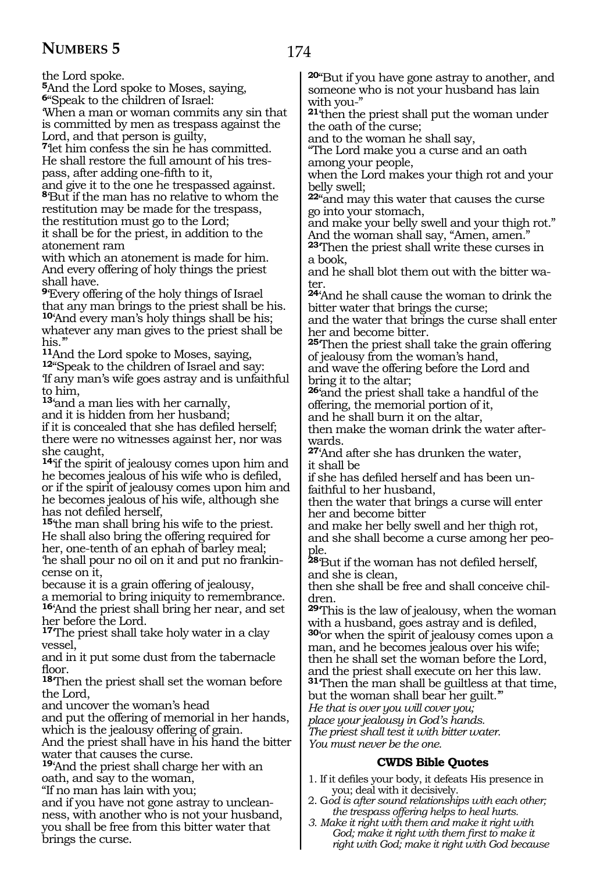the Lord spoke.

**<sup>5</sup>**And the Lord spoke to Moses, saying, **<sup>6</sup>**"Speak to the children of Israel:

'When a man or woman commits any sin that is committed by men as trespass against the Lord, and that person is guilty,

**<sup>7</sup>**'let him confess the sin he has committed. He shall restore the full amount of his trespass, after adding one-fifth to it,

and give it to the one he trespassed against. **<sup>8</sup>**'But if the man has no relative to whom the restitution may be made for the trespass, the restitution must go to the Lord; it shall be for the priest, in addition to the atonement ram

with which an atonement is made for him. And every offering of holy things the priest shall have.

**<sup>9</sup>**'Every offering of the holy things of Israel that any man brings to the priest shall be his. **<sup>10</sup>**'And every man's holy things shall be his; whatever any man gives to the priest shall be

his."<br><sup>11</sup>And the Lord spoke to Moses, saying, 12<sup>"</sup>Speak to the children of Israel and say: 'If any man's wife goes astray and is unfaithful to him,

**<sup>13</sup>**'and a man lies with her carnally,

and it is hidden from her husband; if it is concealed that she has defiled herself; there were no witnesses against her, nor was she caught,

**<sup>14</sup>**'if the spirit of jealousy comes upon him and he becomes jealous of his wife who is defiled, or if the spirit of jealousy comes upon him and he becomes jealous of his wife, although she has not defiled herself,

**<sup>15</sup>**'the man shall bring his wife to the priest. He shall also bring the offering required for her, one-tenth of an ephah of barley meal; 'he shall pour no oil on it and put no frankincense on it,

because it is a grain offering of jealousy, a memorial to bring iniquity to remembrance. **<sup>16</sup>**'And the priest shall bring her near, and set her before the Lord.

**<sup>17</sup>**'The priest shall take holy water in a clay vessel,

and in it put some dust from the tabernacle floor.

**<sup>18</sup>**'Then the priest shall set the woman before the Lord,

and uncover the woman's head

and put the offering of memorial in her hands, which is the jealousy offering of grain.

And the priest shall have in his hand the bitter water that causes the curse.

**<sup>19</sup>**'And the priest shall charge her with an oath, and say to the woman,

"If no man has lain with you; ness, with another who is not your husband, you shall be free from this bitter water that brings the curse.

**<sup>20</sup>**"But if you have gone astray to another, and someone who is not your husband has lain with you-"

**<sup>21</sup>**'then the priest shall put the woman under the oath of the curse;

and to the woman he shall say,

"The Lord make you a curse and an oath among your people,

when the Lord makes your thigh rot and your belly swell;

**<sup>22</sup>**"and may this water that causes the curse go into your stomach,

and make your belly swell and your thigh rot." And the woman shall say, "Amen, amen."

**<sup>23</sup>**'Then the priest shall write these curses in a book,

and he shall blot them out with the bitter water.

**<sup>24</sup>**'And he shall cause the woman to drink the bitter water that brings the curse;

and the water that brings the curse shall enter her and become bitter.

**<sup>25</sup>**'Then the priest shall take the grain offering of jealousy from the woman's hand,

and wave the offering before the Lord and bring it to the altar;

**<sup>26</sup>**'and the priest shall take a handful of the offering, the memorial portion of it,

and he shall burn it on the altar,

then make the woman drink the water afterwards.

**<sup>27</sup>**'And after she has drunken the water, it shall be

if she has defiled herself and has been unfaithful to her husband,

then the water that brings a curse will enter her and become bitter

and make her belly swell and her thigh rot, and she shall become a curse among her people.

**<sup>28</sup>**'But if the woman has not defiled herself, and she is clean,

then she shall be free and shall conceive children.

**<sup>29</sup>**'This is the law of jealousy, when the woman with a husband, goes astray and is defiled, **<sup>30</sup>**'or when the spirit of jealousy comes upon a man, and he becomes jealous over his wife;

then he shall set the woman before the Lord, and the priest shall execute on her this law. **<sup>31</sup>**'Then the man shall be guiltless at that time,

but the woman shall bear her guilt."

*He that is over you will cover you;*

*place your jealousy in God's hands.*

*The priest shall test it with bitter water. You must never be the one.*

### **CWDS Bible Quotes**

1. If it defiles your body, it defeats His presence in you; deal with it decisively.

2. G*od is after sound relationships with each other; the trespass offering helps to heal hurts.*

*3. Make it right with them and make it right with God; make it right with them first to make it right with God; make it right with God because*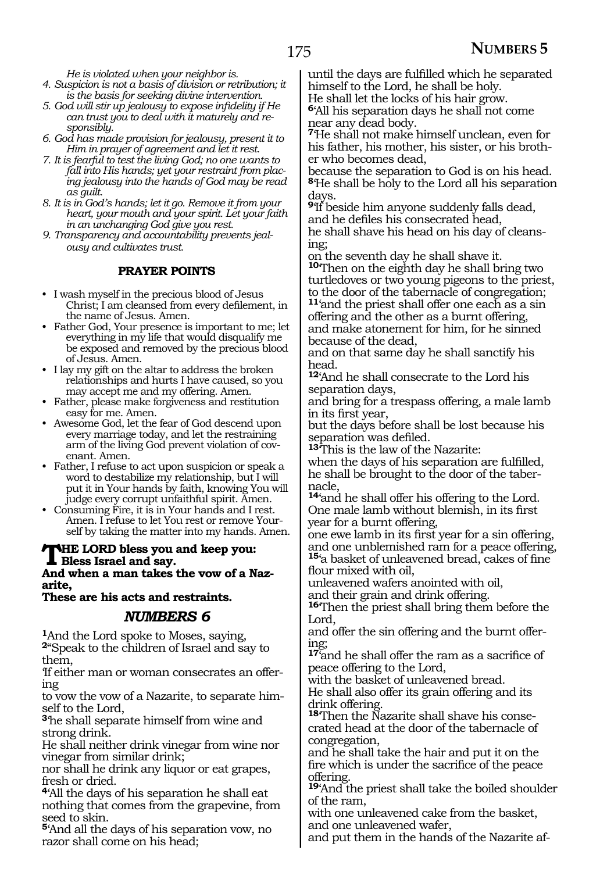*He is violated when your neighbor is.*

- *4. Suspicion is not a basis of division or retribution; it is the basis for seeking divine intervention.*
- *5. God will stir up jealousy to expose infidelity if He can trust you to deal with it maturely and responsibly.*
- *6. God has made provision for jealousy, present it to Him in prayer of agreement and let it rest.*
- *7. It is fearful to test the living God; no one wants to fall into His hands; yet your restraint from placing jealousy into the hands of God may be read as guilt.*
- *8. It is in God's hands; let it go. Remove it from your heart, your mouth and your spirit. Let your faith in an unchanging God give you rest.*
- *9. Transparency and accountability prevents jealousy and cultivates trust.*

### **PRAYER POINTS**

- I wash myself in the precious blood of Jesus Christ; I am cleansed from every defilement, in the name of Jesus. Amen.
- Father God, Your presence is important to me; let everything in my life that would disqualify me be exposed and removed by the precious blood of Jesus. Amen.
- I lay my gift on the altar to address the broken relationships and hurts I have caused, so you may accept me and my offering. Amen.
- Father, please make forgiveness and restitution easy for me. Amen.
- Awesome God, let the fear of God descend upon every marriage today, and let the restraining arm of the living God prevent violation of covenant. Amen.
- Father, I refuse to act upon suspicion or speak a word to destabilize my relationship, but I will put it in Your hands by faith, knowing You will judge every corrupt unfaithful spirit. Amen.
- Consuming Fire, it is in Your hands and I rest. Amen. I refuse to let You rest or remove Yourself by taking the matter into my hands. Amen.

#### **The Lord bless you and keep you: Bless Israel and say. And when a man takes the vow of a Naz-**

**arite,**

**These are his acts and restraints.**

### *NUMBERS 6*

**<sup>1</sup>**And the Lord spoke to Moses, saying, **<sup>2</sup>**"Speak to the children of Israel and say to them,

'If either man or woman consecrates an offering

to vow the vow of a Nazarite, to separate himself to the Lord,

**<sup>3</sup>**'he shall separate himself from wine and strong drink.

He shall neither drink vinegar from wine nor vinegar from similar drink;

nor shall he drink any liquor or eat grapes, fresh or dried.

**<sup>4</sup>**'All the days of his separation he shall eat nothing that comes from the grapevine, from seed to skin.

**<sup>5</sup>**'And all the days of his separation vow, no razor shall come on his head;

until the days are fulfilled which he separated himself to the Lord, he shall be holy.

He shall let the locks of his hair grow.

**<sup>6</sup>**'All his separation days he shall not come near any dead body.

**<sup>7</sup>**'He shall not make himself unclean, even for his father, his mother, his sister, or his brother who becomes dead,

because the separation to God is on his head. **<sup>8</sup>**'He shall be holy to the Lord all his separation days.

**<sup>9</sup>**'If beside him anyone suddenly falls dead, and he defiles his consecrated head, he shall shave his head on his day of cleans- ing;

on the seventh day he shall shave it. **<sup>10</sup>**'Then on the eighth day he shall bring two turtledoves or two young pigeons to the priest, to the door of the tabernacle of congregation; **<sup>11</sup>**'and the priest shall offer one each as a sin offering and the other as a burnt offering, and make atonement for him, for he sinned because of the dead,

and on that same day he shall sanctify his head.

**<sup>12</sup>**'And he shall consecrate to the Lord his separation days,

and bring for a trespass offering, a male lamb in its first year,

but the days before shall be lost because his separation was defiled.

**<sup>13</sup>**'This is the law of the Nazarite:

when the days of his separation are fulfilled, he shall be brought to the door of the tabernacle,

**<sup>14</sup>**'and he shall offer his offering to the Lord. One male lamb without blemish, in its first year for a burnt offering,

one ewe lamb in its first year for a sin offering, and one unblemished ram for a peace offering, **<sup>15</sup>**'a basket of unleavened bread, cakes of fine flour mixed with oil,

unleavened wafers anointed with oil,

and their grain and drink offering.

**<sup>16</sup>**'Then the priest shall bring them before the Lord,

and offer the sin offering and the burnt offering;

**<sup>17</sup>**'and he shall offer the ram as a sacrifice of peace offering to the Lord,

with the basket of unleavened bread. He shall also offer its grain offering and its drink offering.

**18**'Then the Nazarite shall shave his consecrated head at the door of the tabernacle of congregation,

and he shall take the hair and put it on the fire which is under the sacrifice of the peace offering.

**<sup>19</sup>**'And the priest shall take the boiled shoulder of the ram,

with one unleavened cake from the basket, and one unleavened wafer,

and put them in the hands of the Nazarite af-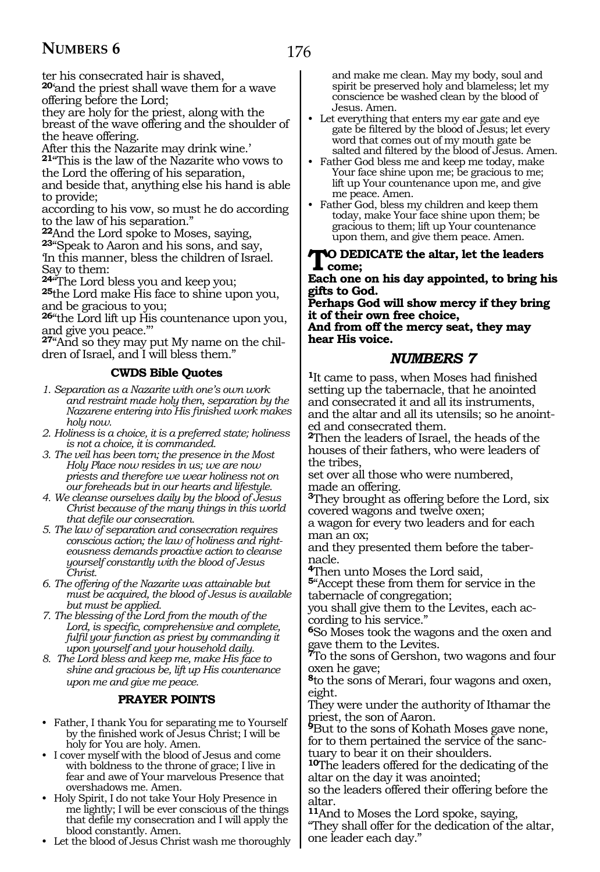176

ter his consecrated hair is shaved,

**<sup>20</sup>**'and the priest shall wave them for a wave offering before the Lord;

they are holy for the priest, along with the breast of the wave offering and the shoulder of the heave offering.

After this the Nazarite may drink wine.'

**<sup>21</sup>**"This is the law of the Nazarite who vows to the Lord the offering of his separation,

and beside that, anything else his hand is able to provide;

according to his vow, so must he do according

to the law of his separation."<br>22 And the Lord spoke to Moses, saying, **23**"Speak to Aaron and his sons, and say, 'In this manner, bless the children of Israel.

Say to them:<br>24"The Lord bless you and keep you;

<sup>25</sup>the Lord make His face to shine upon you, and be gracious to you;

**<sup>26</sup>**"the Lord lift up His countenance upon you, and give you peace."'

**27**"And so they may put My name on the children of Israel, and I will bless them."

### **CWDS Bible Quotes**

- *1. Separation as a Nazarite with one's own work and restraint made holy then, separation by the Nazarene entering into His finished work makes holy now.*
- *2. Holiness is a choice, it is a preferred state; holiness is not a choice, it is commanded.*
- *3. The veil has been torn; the presence in the Most Holy Place now resides in us; we are now priests and therefore we wear holiness not on our foreheads but in our hearts and lifestyle.*
- *4. We cleanse ourselves daily by the blood of Jesus Christ because of the many things in this world that defile our consecration.*
- *5. The law of separation and consecration requires conscious action; the law of holiness and righteousness demands proactive action to cleanse yourself constantly with the blood of Jesus Christ.*
- *6. The offering of the Nazarite was attainable but must be acquired, the blood of Jesus is available but must be applied.*
- *7. The blessing of the Lord from the mouth of the Lord, is specific, comprehensive and complete, fulfil your function as priest by commanding it upon yourself and your household daily.*
- *8. The Lord bless and keep me, make His face to shine and gracious be, lift up His countenance upon me and give me peace.*

### **PRAYER POINTS**

- Father, I thank You for separating me to Yourself by the finished work of Jesus Christ; I will be holy for You are holy. Amen.
- I cover myself with the blood of Jesus and come with boldness to the throne of grace; I live in fear and awe of Your marvelous Presence that overshadows me. Amen.
- Holy Spirit, I do not take Your Holy Presence in me lightly; I will be ever conscious of the things that defile my consecration and I will apply the blood constantly. Amen.
- Let the blood of Jesus Christ wash me thoroughly

and make me clean. May my body, soul and spirit be preserved holy and blameless; let my conscience be washed clean by the blood of Jesus. Amen.

- Let everything that enters my ear gate and eye gate be filtered by the blood of Jesus; let every word that comes out of my mouth gate be salted and filtered by the blood of Jesus. Amen.
- Father God bless me and keep me today, make Your face shine upon me; be gracious to me; lift up Your countenance upon me, and give me peace. Amen.
- Father God, bless my children and keep them today, make Your face shine upon them; be gracious to them; lift up Your countenance upon them, and give them peace. Amen.

#### **TO DEDICATE** the altar, let the leaders **come;**

**Each one on his day appointed, to bring his gifts to God.**

**Perhaps God will show mercy if they bring it of their own free choice, And from off the mercy seat, they may hear His voice.**

### *NUMBERS 7*

**<sup>1</sup>**It came to pass, when Moses had finished setting up the tabernacle, that he anointed and consecrated it and all its instruments, and the altar and all its utensils; so he anointed and consecrated them.

**<sup>2</sup>**Then the leaders of Israel, the heads of the houses of their fathers, who were leaders of the tribes,

set over all those who were numbered, made an offering.

**<sup>3</sup>**They brought as offering before the Lord, six covered wagons and twelve oxen;

a wagon for every two leaders and for each man an ox;

and they presented them before the tabernacle.

**<sup>4</sup>**Then unto Moses the Lord said,

**<sup>5</sup>**"Accept these from them for service in the tabernacle of congregation;

you shall give them to the Levites, each according to his service."

**<sup>6</sup>**So Moses took the wagons and the oxen and gave them to the Levites.

**<sup>7</sup>**To the sons of Gershon, two wagons and four oxen he gave;

**<sup>8</sup>**to the sons of Merari, four wagons and oxen, eight.

They were under the authority of Ithamar the priest, the son of Aaron.

**<sup>9</sup>**But to the sons of Kohath Moses gave none, for to them pertained the service of the sanctuary to bear it on their shoulders.

**<sup>10</sup>**The leaders offered for the dedicating of the altar on the day it was anointed;

so the leaders offered their offering before the altar.

**<sup>11</sup>**And to Moses the Lord spoke, saying,

"They shall offer for the dedication of the altar, one leader each day."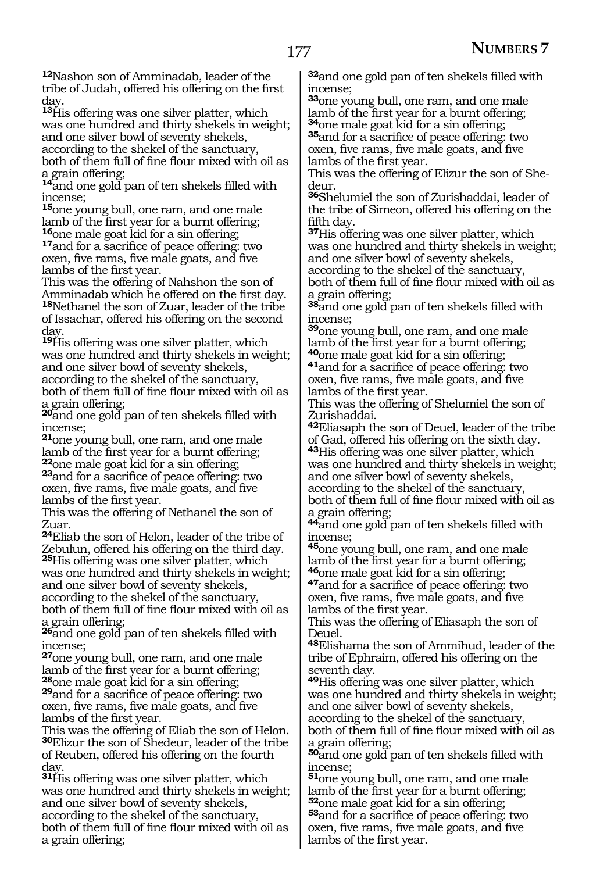**<sup>12</sup>**Nashon son of Amminadab, leader of the tribe of Judah, offered his offering on the first day.

**<sup>13</sup>**His offering was one silver platter, which was one hundred and thirty shekels in weight; and one silver bowl of seventy shekels, according to the shekel of the sanctuary,

both of them full of fine flour mixed with oil as a grain offering;

**<sup>14</sup>**and one gold pan of ten shekels filled with incense;

**<sup>15</sup>**one young bull, one ram, and one male lamb of the first year for a burnt offering;<br><sup>16</sup>one male goat kid for a sin offering;

17and for a sacrifice of peace offering: two oxen, five rams, five male goats, and five lambs of the first year.

This was the offering of Nahshon the son of Amminadab which he offered on the first day. **<sup>18</sup>**Nethanel the son of Zuar, leader of the tribe of Issachar, offered his offering on the second day.

**<sup>19</sup>**His offering was one silver platter, which was one hundred and thirty shekels in weight; and one silver bowl of seventy shekels, according to the shekel of the sanctuary, both of them full of fine flour mixed with oil as a grain offering;

**<sup>20</sup>**and one gold pan of ten shekels filled with incense;

**<sup>21</sup>**one young bull, one ram, and one male lamb of the first year for a burnt offering;<br><sup>22</sup>one male goat kid for a sin offering;

**23**and for a sacrifice of peace offering: two oxen, five rams, five male goats, and five lambs of the first year.

This was the offering of Nethanel the son of Zuar.

**<sup>24</sup>**Eliab the son of Helon, leader of the tribe of Zebulun, offered his offering on the third day. **<sup>25</sup>**His offering was one silver platter, which

was one hundred and thirty shekels in weight; and one silver bowl of seventy shekels, according to the shekel of the sanctuary,

both of them full of fine flour mixed with oil as a grain offering;

**<sup>26</sup>**and one gold pan of ten shekels filled with incense;

**<sup>27</sup>**one young bull, one ram, and one male lamb of the first year for a burnt offering;<br><sup>28</sup>one male goat kid for a sin offering;

**29**and for a sacrifice of peace offering: two oxen, five rams, five male goats, and five lambs of the first year.

This was the offering of Eliab the son of Helon. **<sup>30</sup>**Elizur the son of Shedeur, leader of the tribe of Reuben, offered his offering on the fourth day.

**<sup>31</sup>**His offering was one silver platter, which was one hundred and thirty shekels in weight; and one silver bowl of seventy shekels, according to the shekel of the sanctuary, both of them full of fine flour mixed with oil as a grain offering;

**<sup>32</sup>**and one gold pan of ten shekels filled with incense;

**<sup>33</sup>**one young bull, one ram, and one male lamb of the first year for a burnt offering;<br><sup>34</sup>one male goat kid for a sin offering; **35**and for a sacrifice of peace offering: two

oxen, five rams, five male goats, and five lambs of the first year.

This was the offering of Elizur the son of Shedeur.

**<sup>36</sup>**Shelumiel the son of Zurishaddai, leader of the tribe of Simeon, offered his offering on the fifth day.

**<sup>37</sup>**His offering was one silver platter, which was one hundred and thirty shekels in weight; and one silver bowl of seventy shekels, according to the shekel of the sanctuary, both of them full of fine flour mixed with oil as a grain offering;

**<sup>38</sup>**and one gold pan of ten shekels filled with incense;

**<sup>39</sup>**one young bull, one ram, and one male lamb of the first year for a burnt offering;<br>**<sup>40</sup>**one male goat kid for a sin offering;

<sup>41</sup>and for a sacrifice of peace offering: two oxen, five rams, five male goats, and five lambs of the first year.

This was the offering of Shelumiel the son of Zurishaddai.

**<sup>42</sup>**Eliasaph the son of Deuel, leader of the tribe of Gad, offered his offering on the sixth day.

**<sup>43</sup>**His offering was one silver platter, which was one hundred and thirty shekels in weight; and one silver bowl of seventy shekels, according to the shekel of the sanctuary, both of them full of fine flour mixed with oil as a grain offering;

**<sup>44</sup>**and one gold pan of ten shekels filled with incense;

**<sup>45</sup>**one young bull, one ram, and one male lamb of the first year for a burnt offering;<br><sup>46</sup>one male goat kid for a sin offering;

<sup>47</sup>and for a sacrifice of peace offering: two oxen, five rams, five male goats, and five lambs of the first year.

This was the offering of Eliasaph the son of Deuel.

**<sup>48</sup>**Elishama the son of Ammihud, leader of the tribe of Ephraim, offered his offering on the seventh day.

**<sup>49</sup>**His offering was one silver platter, which was one hundred and thirty shekels in weight; and one silver bowl of seventy shekels, according to the shekel of the sanctuary, both of them full of fine flour mixed with oil as a grain offering;

**<sup>50</sup>**and one gold pan of ten shekels filled with incense;

**<sup>51</sup>**one young bull, one ram, and one male lamb of the first year for a burnt offering;<br> $52$  one male goat kid for a sin offering;

**53** and for a sacrifice of peace offering: two oxen, five rams, five male goats, and five lambs of the first year.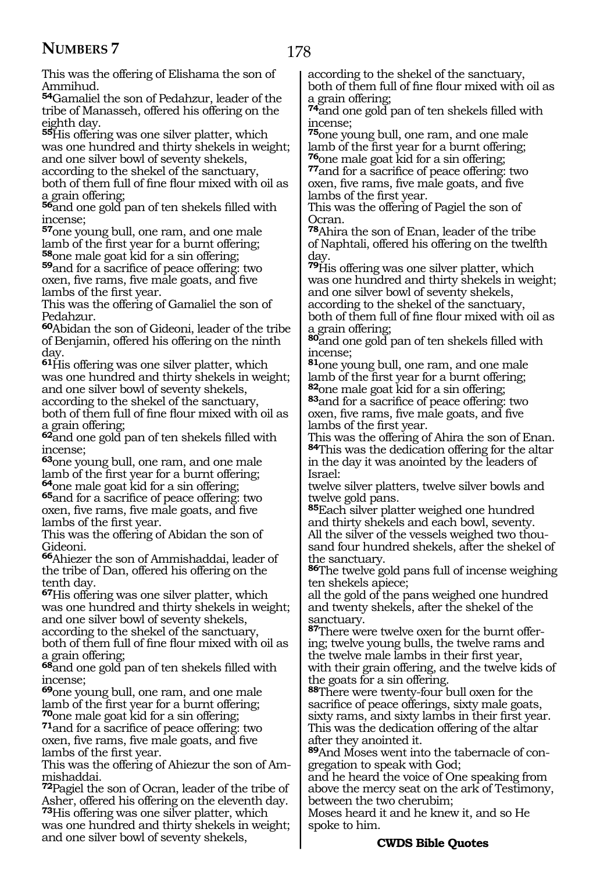This was the offering of Elishama the son of Ammihud.

**<sup>54</sup>**Gamaliel the son of Pedahzur, leader of the tribe of Manasseh, offered his offering on the eighth day.

**<sup>55</sup>**His offering was one silver platter, which was one hundred and thirty shekels in weight; and one silver bowl of seventy shekels,

according to the shekel of the sanctuary, both of them full of fine flour mixed with oil as a grain offering;

**<sup>56</sup>**and one gold pan of ten shekels filled with incense;

**<sup>57</sup>**one young bull, one ram, and one male lamb of the first year for a burnt offering;<br><sup>58</sup>one male goat kid for a sin offering;

**59**and for a sacrifice of peace offering: two oxen, five rams, five male goats, and five lambs of the first year.

This was the offering of Gamaliel the son of Pedahzur.

**<sup>60</sup>**Abidan the son of Gideoni, leader of the tribe of Benjamin, offered his offering on the ninth day.

**<sup>61</sup>**His offering was one silver platter, which was one hundred and thirty shekels in weight; and one silver bowl of seventy shekels,

according to the shekel of the sanctuary, both of them full of fine flour mixed with oil as a grain offering;

**<sup>62</sup>**and one gold pan of ten shekels filled with incense;

**<sup>63</sup>**one young bull, one ram, and one male lamb of the first year for a burnt offering;<br><sup>64</sup>one male goat kid for a sin offering;

**65**and for a sacrifice of peace offering: two oxen, five rams, five male goats, and five lambs of the first year.

This was the offering of Abidan the son of Gideoni.

**<sup>66</sup>**Ahiezer the son of Ammishaddai, leader of the tribe of Dan, offered his offering on the tenth day.

**<sup>67</sup>**His offering was one silver platter, which was one hundred and thirty shekels in weight; and one silver bowl of seventy shekels,

according to the shekel of the sanctuary, both of them full of fine flour mixed with oil as a grain offering;

**<sup>68</sup>**and one gold pan of ten shekels filled with incense;

**<sup>69</sup>**one young bull, one ram, and one male lamb of the first year for a burnt offering;  $\frac{70}{\text{one}}$  male goat kid for a sin offering;

**71**and for a sacrifice of peace offering: two oxen, five rams, five male goats, and five lambs of the first year.

This was the offering of Ahiezur the son of Ammishaddai.

**<sup>72</sup>**Pagiel the son of Ocran, leader of the tribe of Asher, offered his offering on the eleventh day. **<sup>73</sup>**His offering was one silver platter, which

was one hundred and thirty shekels in weight; and one silver bowl of seventy shekels,

according to the shekel of the sanctuary, both of them full of fine flour mixed with oil as a grain offering;

**<sup>74</sup>**and one gold pan of ten shekels filled with incense;

**<sup>75</sup>**one young bull, one ram, and one male lamb of the first year for a burnt offering;<br> $\frac{76}{2}$ one male goat kid for a sin offering;

**77**and for a sacrifice of peace offering: two oxen, five rams, five male goats, and five lambs of the first year.

This was the offering of Pagiel the son of Ocran.

**<sup>78</sup>**Ahira the son of Enan, leader of the tribe of Naphtali, offered his offering on the twelfth day.

**<sup>79</sup>**His offering was one silver platter, which was one hundred and thirty shekels in weight; and one silver bowl of seventy shekels, according to the shekel of the sanctuary,

both of them full of fine flour mixed with oil as a grain offering;

**<sup>80</sup>**and one gold pan of ten shekels filled with incense;

**<sup>81</sup>**one young bull, one ram, and one male lamb of the first year for a burnt offering;<br> $82$  one male goat kid for a sin offering; 83<sub>and for a sacrifice of peace offering: two</sub> oxen, five rams, five male goats, and five lambs of the first year.

This was the offering of Ahira the son of Enan. **<sup>84</sup>**This was the dedication offering for the altar in the day it was anointed by the leaders of Israel:

twelve silver platters, twelve silver bowls and twelve gold pans.

**<sup>85</sup>**Each silver platter weighed one hundred and thirty shekels and each bowl, seventy. All the silver of the vessels weighed two thousand four hundred shekels, after the shekel of the sanctuary.

**<sup>86</sup>**The twelve gold pans full of incense weighing ten shekels apiece;

all the gold of the pans weighed one hundred and twenty shekels, after the shekel of the sanctuary.

**87**There were twelve oxen for the burnt offering; twelve young bulls, the twelve rams and the twelve male lambs in their first year, with their grain offering, and the twelve kids of the goats for a sin offering.

**<sup>88</sup>**There were twenty-four bull oxen for the sacrifice of peace offerings, sixty male goats, sixty rams, and sixty lambs in their first year. This was the dedication offering of the altar after they anointed it.

**89**And Moses went into the tabernacle of congregation to speak with God;

and he heard the voice of One speaking from above the mercy seat on the ark of Testimony, between the two cherubim;

Moses heard it and he knew it, and so He spoke to him.

### **CWDS Bible Quotes**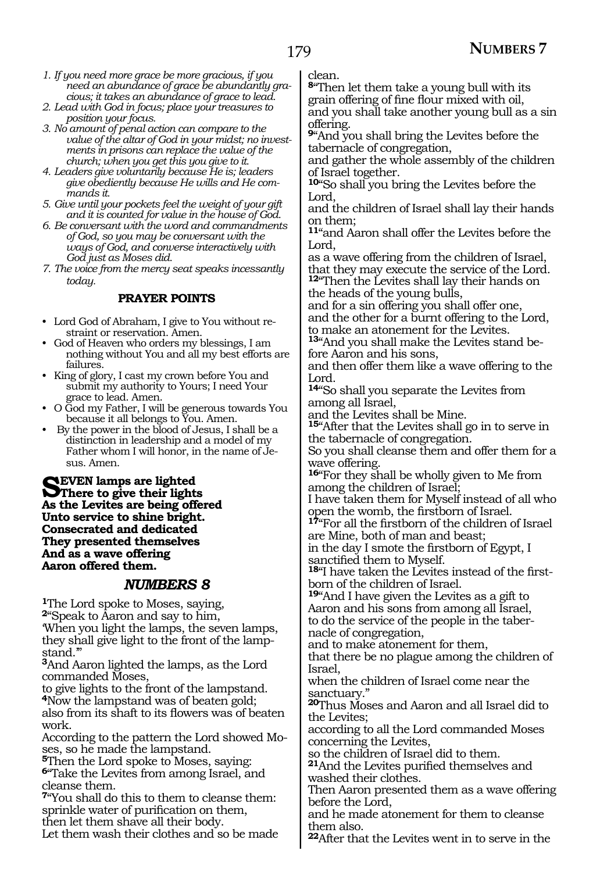- *1. If you need more grace be more gracious, if you need an abundance of grace be abundantly gracious; it takes an abundance of grace to lead.*
- *2. Lead with God in focus; place your treasures to position your focus.*
- *3. No amount of penal action can compare to the value of the altar of God in your midst; no investments in prisons can replace the value of the church; when you get this you give to it.*
- *4. Leaders give voluntarily because He is; leaders give obediently because He wills and He commands it.*
- *5. Give until your pockets feel the weight of your gift and it is counted for value in the house of God.*
- *6. Be conversant with the word and commandments of God, so you may be conversant with the ways of God, and converse interactively with God just as Moses did.*
- *7. The voice from the mercy seat speaks incessantly today.*

### **PRAYER POINTS**

- Lord God of Abraham, I give to You without restraint or reservation. Amen.
- God of Heaven who orders my blessings, I am nothing without You and all my best efforts are failures.
- King of glory, I cast my crown before You and submit my authority to Yours; I need Your grace to lead. Amen.
- O God my Father, I will be generous towards You because it all belongs to You. Amen.
- By the power in the blood of Jesus, I shall be a distinction in leadership and a model of my Father whom I will honor, in the name of Jesus. Amen.

**SEVEN lamps are lighted**<br> **State Lamited** and being office **As the Levites are being offered Unto service to shine bright. Consecrated and dedicated They presented themselves And as a wave offering Aaron offered them.**

### *NUMBERS 8*

**<sup>1</sup>**The Lord spoke to Moses, saying, **<sup>2</sup>**"Speak to Aaron and say to him, 'When you light the lamps, the seven lamps, they shall give light to the front of the lampstand.'"

**<sup>3</sup>**And Aaron lighted the lamps, as the Lord commanded Moses,

to give lights to the front of the lampstand. **<sup>4</sup>**Now the lampstand was of beaten gold; also from its shaft to its flowers was of beaten

work.

According to the pattern the Lord showed Mo- ses, so he made the lampstand.

**<sup>5</sup>**Then the Lord spoke to Moses, saying: **<sup>6</sup>**"Take the Levites from among Israel, and cleanse them.

**<sup>7</sup>**"You shall do this to them to cleanse them: sprinkle water of purification on them, then let them shave all their body.

Let them wash their clothes and so be made

clean.

**<sup>8</sup>**"Then let them take a young bull with its grain offering of fine flour mixed with oil, and you shall take another young bull as a sin offering.

**<sup>9</sup>**"And you shall bring the Levites before the tabernacle of congregation,

and gather the whole assembly of the children of Israel together.

**<sup>10</sup>**"So shall you bring the Levites before the Lord,

and the children of Israel shall lay their hands on them;

**<sup>11</sup>**"and Aaron shall offer the Levites before the Lord,

as a wave offering from the children of Israel, that they may execute the service of the Lord.

**<sup>12</sup>**"Then the Levites shall lay their hands on the heads of the young bulls,

and for a sin offering you shall offer one, and the other for a burnt offering to the Lord, to make an atonement for the Levites.

**13**"And you shall make the Levites stand before Aaron and his sons,

and then offer them like a wave offering to the Lord.

**<sup>14</sup>**"So shall you separate the Levites from among all Israel,

and the Levites shall be Mine.

**<sup>15</sup>**"After that the Levites shall go in to serve in the tabernacle of congregation.

So you shall cleanse them and offer them for a wave offering.

**<sup>16</sup>**"For they shall be wholly given to Me from among the children of Israel;

I have taken them for Myself instead of all who open the womb, the firstborn of Israel.

**<sup>17</sup>**"For all the firstborn of the children of Israel are Mine, both of man and beast;

in the day I smote the firstborn of Egypt, I sanctified them to Myself.

**18**"I have taken the Levites instead of the firstborn of the children of Israel.

**<sup>19</sup>**"And I have given the Levites as a gift to Aaron and his sons from among all Israel, to do the service of the people in the tabernacle of congregation,

and to make atonement for them,

that there be no plague among the children of Israel,

when the children of Israel come near the sanctuary."

**<sup>20</sup>**Thus Moses and Aaron and all Israel did to the Levites;

according to all the Lord commanded Moses concerning the Levites,

so the children of Israel did to them.

**<sup>21</sup>**And the Levites purified themselves and washed their clothes.

Then Aaron presented them as a wave offering before the Lord,

and he made atonement for them to cleanse them also.

**<sup>22</sup>**After that the Levites went in to serve in the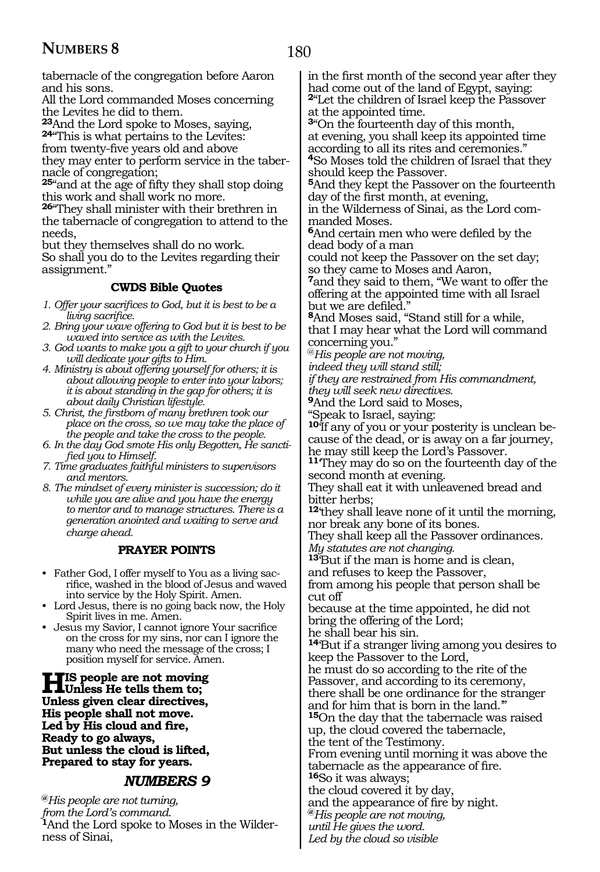tabernacle of the congregation before Aaron and his sons.

All the Lord commanded Moses concerning the Levites he did to them.

**<sup>23</sup>**And the Lord spoke to Moses, saying, **<sup>24</sup>**"This is what pertains to the Levites:

from twenty-five years old and above

they may enter to perform service in the tabernacle of congregation;

**<sup>25</sup>**"and at the age of fifty they shall stop doing this work and shall work no more.

**<sup>26</sup>**"They shall minister with their brethren in the tabernacle of congregation to attend to the needs,

but they themselves shall do no work. So shall you do to the Levites regarding their assignment."

### **CWDS Bible Quotes**

- *1. Offer your sacrifices to God, but it is best to be a living sacrifice.*
- *2. Bring your wave offering to God but it is best to be waved into service as with the Levites.*
- *3. God wants to make you a gift to your church if you will dedicate your gifts to Him.*
- *4. Ministry is about offering yourself for others; it is about allowing people to enter into your labors; it is about standing in the gap for others; it is about daily Christian lifestyle.*
- *5. Christ, the firstborn of many brethren took our place on the cross, so we may take the place of the people and take the cross to the people.*
- *6. In the day God smote His only Begotten, He sanctified you to Himself.*
- *7. Time graduates faithful ministers to supervisors and mentors.*
- *8. The mindset of every minister is succession; do it while you are alive and you have the energy to mentor and to manage structures. There is a generation anointed and waiting to serve and charge ahead.*

### **PRAYER POINTS**

- Father God, I offer myself to You as a living sacrifice, washed in the blood of Jesus and waved into service by the Holy Spirit. Amen.
- Lord Jesus, there is no going back now, the Holy Spirit lives in me. Amen.
- Jesus my Savior, I cannot ignore Your sacrifice on the cross for my sins, nor can I ignore the many who need the message of the cross; I position myself for service. Amen.

**His people are not moving Unless He tells them to; Unless given clear directives, His people shall not move. Led by His cloud and fire, Ready to go always, But unless the cloud is lifted, Prepared to stay for years.**

### *NUMBERS 9*

**@***His people are not turning, from the Lord's command.* **1**And the Lord spoke to Moses in the Wilderness of Sinai,

in the first month of the second year after they had come out of the land of Egypt, saying: **<sup>2</sup>**"Let the children of Israel keep the Passover at the appointed time.

**<sup>3</sup>**"On the fourteenth day of this month, at evening, you shall keep its appointed time according to all its rites and ceremonies." **<sup>4</sup>**So Moses told the children of Israel that they should keep the Passover.

**<sup>5</sup>**And they kept the Passover on the fourteenth day of the first month, at evening,

in the Wilderness of Sinai, as the Lord commanded Moses.

**<sup>6</sup>**And certain men who were defiled by the dead body of a man

could not keep the Passover on the set day; so they came to Moses and Aaron,

**<sup>7</sup>**and they said to them, "We want to offer the offering at the appointed time with all Israel but we are defiled."

**<sup>8</sup>**And Moses said, "Stand still for a while, that I may hear what the Lord will command concerning you."

@*His people are not moving,*

*indeed they will stand still;*

*if they are restrained from His commandment, they will seek new directives.*

**<sup>9</sup>**And the Lord said to Moses,

"Speak to Israel, saying:

**10**'If any of you or your posterity is unclean because of the dead, or is away on a far journey, he may still keep the Lord's Passover.

**<sup>11</sup>**'They may do so on the fourteenth day of the second month at evening.

They shall eat it with unleavened bread and bitter herbs;

**<sup>12</sup>**'they shall leave none of it until the morning, nor break any bone of its bones.

They shall keep all the Passover ordinances. *My statutes are not changing.*

**<sup>13</sup>**'But if the man is home and is clean,

and refuses to keep the Passover, from among his people that person shall be cut off

because at the time appointed, he did not bring the offering of the Lord;

he shall bear his sin.

**<sup>14</sup>**'But if a stranger living among you desires to keep the Passover to the Lord,

he must do so according to the rite of the Passover, and according to its ceremony, there shall be one ordinance for the stranger and for him that is born in the land.'"

**<sup>15</sup>**On the day that the tabernacle was raised up, the cloud covered the tabernacle,

the tent of the Testimony.

From evening until morning it was above the tabernacle as the appearance of fire.

**<sup>16</sup>**So it was always;

the cloud covered it by day,

and the appearance of fire by night.

**@***His people are not moving,*

*until He gives the word. Led by the cloud so visible*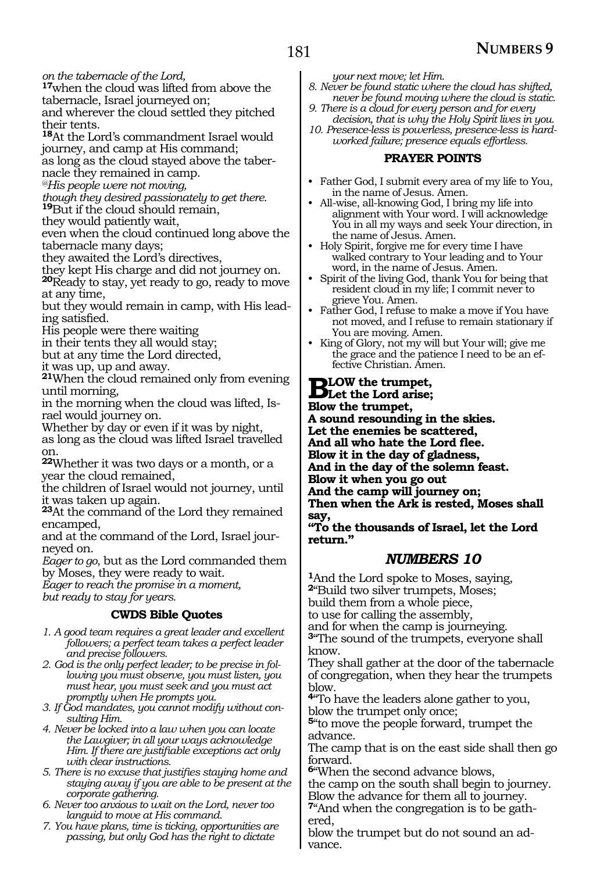*on the tabernacle of the Lord,*

**<sup>17</sup>**when the cloud was lifted from above the tabernacle, Israel journeyed on;

and wherever the cloud settled they pitched their tents.

**<sup>18</sup>**At the Lord's commandment Israel would journey, and camp at His command;

as long as the cloud stayed above the taber- nacle they remained in camp.

*@His people were not moving,*

*though they desired passionately to get there.*

**<sup>19</sup>**But if the cloud should remain,

they would patiently wait,

even when the cloud continued long above the tabernacle many days;

they awaited the Lord's directives,

they kept His charge and did not journey on. **<sup>20</sup>**Ready to stay, yet ready to go, ready to move at any time,

but they would remain in camp, with His leading satisfied.

His people were there waiting

in their tents they all would stay;

but at any time the Lord directed,

it was up, up and away.

**<sup>21</sup>**When the cloud remained only from evening until morning,

in the morning when the cloud was lifted, Israel would journey on.

Whether by day or even if it was by night,

as long as the cloud was lifted Israel travelled on.

**<sup>22</sup>**Whether it was two days or a month, or a year the cloud remained,

the children of Israel would not journey, until it was taken up again.

**<sup>23</sup>**At the command of the Lord they remained encamped,

and at the command of the Lord, Israel jour- neyed on.

*Eager to go*, but as the Lord commanded them by Moses, they were ready to wait.

*Eager to reach the promise in a moment, but ready to stay for years.*

### **CWDS Bible Quotes**

- *1. A good team requires a great leader and excellent followers; a perfect team takes a perfect leader and precise followers.*
- *2. God is the only perfect leader; to be precise in following you must observe, you must listen, you must hear, you must seek and you must act promptly when He prompts you.*
- *3. If God mandates, you cannot modify without consulting Him.*
- *4. Never be locked into a law when you can locate the Lawgiver; in all your ways acknowledge Him. If there are justifiable exceptions act only with clear instructions.*
- *5. There is no excuse that justifies staying home and staying away if you are able to be present at the corporate gathering.*
- *6. Never too anxious to wait on the Lord, never too languid to move at His command.*
- *7. You have plans, time is ticking, opportunities are passing, but only God has the right to dictate*

*your next move; let Him.* 

- *8. Never be found static where the cloud has shifted, never be found moving where the cloud is static.*
- *9. There is a cloud for every person and for every decision, that is why the Holy Spirit lives in you.*
- *10. Presence-less is powerless, presence-less is hardworked failure; presence equals effortless.*

### **PRAYER POINTS**

- Father God, I submit every area of my life to You, in the name of Jesus. Amen.
- All-wise, all-knowing God, I bring my life into alignment with Your word. I will acknowledge You in all my ways and seek Your direction, in the name of Jesus. Amen.
- Holy Spirit, forgive me for every time I have walked contrary to Your leading and to Your word, in the name of Jesus. Amen.
- Spirit of the living God, thank You for being that resident cloud in my life; I commit never to grieve You. Amen.
- Father God, I refuse to make a move if You have not moved, and I refuse to remain stationary if You are moving. Amen.
- King of Glory, not my will but Your will; give me the grace and the patience I need to be an effective Christian. Amen.

**Blow the trumpet, Let the Lord arise;**

**Blow the trumpet,**

**A sound resounding in the skies.**

**Let the enemies be scattered,**

**And all who hate the Lord flee.**

**Blow it in the day of gladness,**

**And in the day of the solemn feast.**

**Blow it when you go out** 

**And the camp will journey on;**

**Then when the Ark is rested, Moses shall say,** 

**"To the thousands of Israel, let the Lord return."**

### *NUMBERS 10*

**<sup>1</sup>**And the Lord spoke to Moses, saying, **<sup>2</sup>**"Build two silver trumpets, Moses; build them from a whole piece, to use for calling the assembly,

and for when the camp is journeying. **<sup>3</sup>**"The sound of the trumpets, everyone shall

know. They shall gather at the door of the tabernacle of congregation, when they hear the trumpets

blow. **<sup>4</sup>**"To have the leaders alone gather to you, blow the trumpet only once;

**<sup>5</sup>**"to move the people forward, trumpet the

advance. The camp that is on the east side shall then go forward.

**<sup>6</sup>**"When the second advance blows, the camp on the south shall begin to journey.

Blow the advance for them all to journey. **<sup>7</sup>**"And when the congregation is to be gath- ered,

blow the trumpet but do not sound an advance.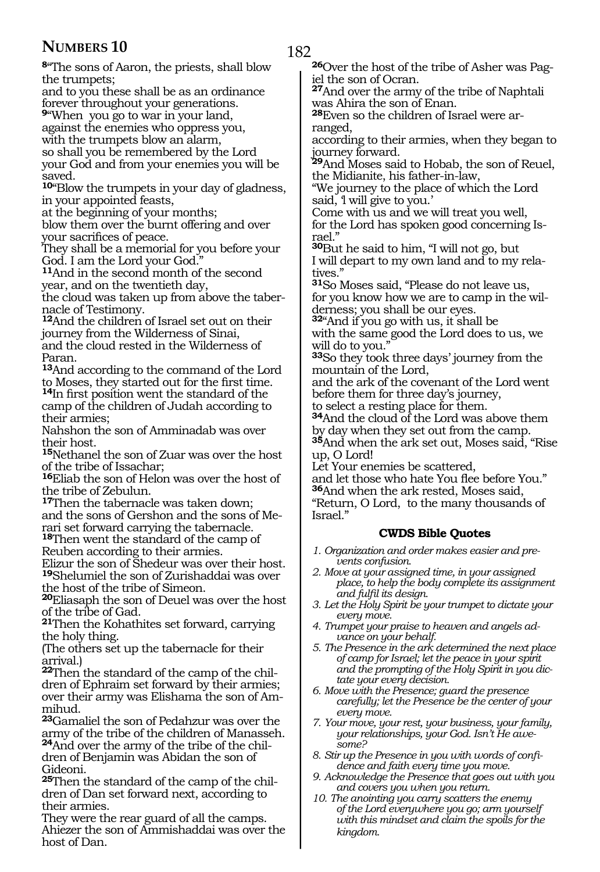**<sup>8</sup>**"The sons of Aaron, the priests, shall blow the trumpets;

and to you these shall be as an ordinance forever throughout your generations.

**<sup>9</sup>**"When you go to war in your land, against the enemies who oppress you, with the trumpets blow an alarm, so shall you be remembered by the Lord your God and from your enemies you will be saved.

**<sup>10</sup>**"Blow the trumpets in your day of gladness, in your appointed feasts,

at the beginning of your months;

blow them over the burnt offering and over your sacrifices of peace.

They shall be a memorial for you before your God. I am the Lord your God."

**<sup>11</sup>**And in the second month of the second year, and on the twentieth day,

the cloud was taken up from above the tabernacle of Testimony.

**<sup>12</sup>**And the children of Israel set out on their journey from the Wilderness of Sinai, and the cloud rested in the Wilderness of Paran.

**<sup>13</sup>**And according to the command of the Lord to Moses, they started out for the first time.

**<sup>14</sup>**In first position went the standard of the camp of the children of Judah according to their armies;

Nahshon the son of Amminadab was over their host.

**<sup>15</sup>**Nethanel the son of Zuar was over the host of the tribe of Issachar;

**<sup>16</sup>**Eliab the son of Helon was over the host of the tribe of Zebulun.

**<sup>17</sup>**Then the tabernacle was taken down; and the sons of Gershon and the sons of Me- rari set forward carrying the tabernacle.

**<sup>18</sup>**Then went the standard of the camp of Reuben according to their armies.

Elizur the son of Shedeur was over their host. **<sup>19</sup>**Shelumiel the son of Zurishaddai was over the host of the tribe of Simeon.

**<sup>20</sup>**Eliasaph the son of Deuel was over the host of the tribe of Gad.

**<sup>21</sup>**Then the Kohathites set forward, carrying the holy thing.

(The others set up the tabernacle for their arrival.)

**22**Then the standard of the camp of the children of Ephraim set forward by their armies; over their army was Elishama the son of Ammihud.

**<sup>23</sup>**Gamaliel the son of Pedahzur was over the army of the tribe of the children of Manasseh. **24**And over the army of the tribe of the children of Benjamin was Abidan the son of Gideoni.

**25**Then the standard of the camp of the children of Dan set forward next, according to their armies.

They were the rear guard of all the camps. Ahiezer the son of Ammishaddai was over the host of Dan.

**26**Over the host of the tribe of Asher was Pagiel the son of Ocran.

**<sup>27</sup>**And over the army of the tribe of Naphtali was Ahira the son of Enan.

**28**Even so the children of Israel were arranged,

according to their armies, when they began to journey forward.

**<sup>29</sup>**And Moses said to Hobab, the son of Reuel, the Midianite, his father-in-law,

"We journey to the place of which the Lord said, 'l will give to you.'

Come with us and we will treat you well, for the Lord has spoken good concerning Israel."

**<sup>30</sup>**But he said to him, "I will not go, but I will depart to my own land and to my relatives."

**<sup>31</sup>**So Moses said, "Please do not leave us, for you know how we are to camp in the wilderness; you shall be our eyes.

**<sup>32</sup>**"And if you go with us, it shall be with the same good the Lord does to us, we will do to you."

**<sup>33</sup>**So they took three days' journey from the mountain of the Lord,

and the ark of the covenant of the Lord went before them for three day's journey,

to select a resting place for them.

**<sup>34</sup>**And the cloud of the Lord was above them by day when they set out from the camp. **<sup>35</sup>**And when the ark set out, Moses said, "Rise

up, O Lord! Let Your enemies be scattered,

and let those who hate You flee before You." **<sup>36</sup>**And when the ark rested, Moses said, "Return, O Lord, to the many thousands of Israel."

### **CWDS Bible Quotes**

- *1. Organization and order makes easier and prevents confusion.*
- *2. Move at your assigned time, in your assigned place, to help the body complete its assignment and fulfil its design.*
- *3. Let the Holy Spirit be your trumpet to dictate your every move.*
- *4. Trumpet your praise to heaven and angels advance on your behalf.*
- *5. The Presence in the ark determined the next place of camp for Israel; let the peace in your spirit and the prompting of the Holy Spirit in you dictate your every decision.*
- *6. Move with the Presence; guard the presence carefully; let the Presence be the center of your every move.*
- *7. Your move, your rest, your business, your family, your relationships, your God. Isn't He awesome?*
- *8. Stir up the Presence in you with words of confidence and faith every time you move.*
- *9. Acknowledge the Presence that goes out with you and covers you when you return.*
- *10. The anointing you carry scatters the enemy of the Lord everywhere you go; arm yourself with this mindset and claim the spoils for the kingdom.*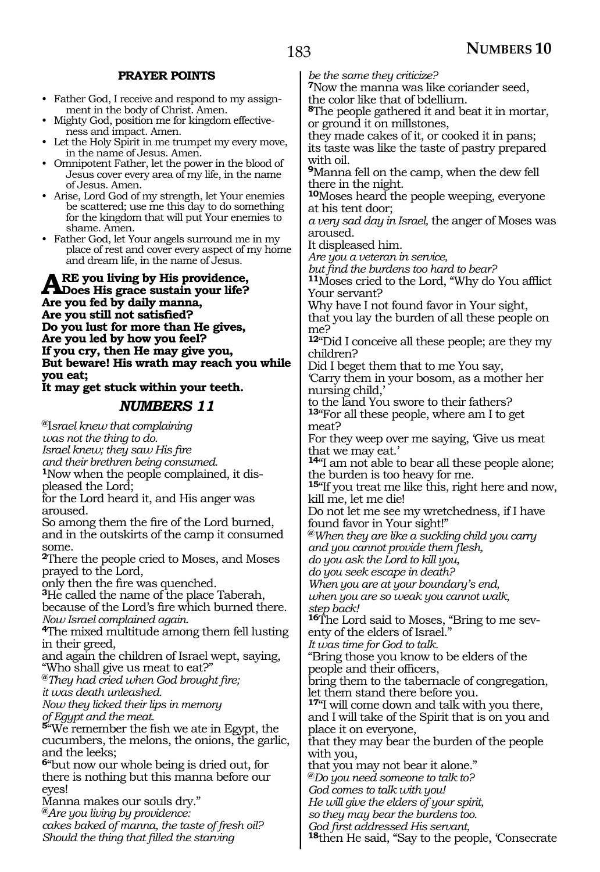### **PRAYER POINTS**

- Father God, I receive and respond to my assignment in the body of Christ. Amen.
- Mighty God, position me for kingdom effectiveness and impact. Amen.
- Let the Holy Spirit in me trumpet my every move, in the name of Jesus. Amen.
- Omnipotent Father, let the power in the blood of Jesus cover every area of my life, in the name of Jesus. Amen.
- Arise, Lord God of my strength, let Your enemies be scattered; use me this day to do something for the kingdom that will put Your enemies to shame. Amen.
- Father God, let Your angels surround me in my place of rest and cover every aspect of my home and dream life, in the name of Jesus.

**Are you living by His providence, Does His grace sustain your life? Are you fed by daily manna, Are you still not satisfied? Do you lust for more than He gives, Are you led by how you feel? If you cry, then He may give you, But beware! His wrath may reach you while you eat;** 

#### **It may get stuck within your teeth.**

### *NUMBERS 11*

**@**I*srael knew that complaining was not the thing to do. Israel knew; they saw His fire* 

*and their brethren being consumed.* <sup>1</sup>Now when the people complained, it dis-<br>pleased the Lord;

for the Lord heard it, and His anger was

aroused. So among them the fire of the Lord burned, and in the outskirts of the camp it consumed some.

**<sup>2</sup>**There the people cried to Moses, and Moses prayed to the Lord,

only then the fire was quenched.

**<sup>3</sup>**He called the name of the place Taberah,

because of the Lord's fire which burned there. *Now Israel complained again.*

**<sup>4</sup>**The mixed multitude among them fell lusting in their greed,

and again the children of Israel wept, saying, "Who shall give us meat to eat?"

**@***They had cried when God brought fire;* 

*it was death unleashed.* 

*Now they licked their lips in memory of Egypt and the meat.* 

**<sup>5</sup>**"We remember the fish we ate in Egypt, the cucumbers, the melons, the onions, the garlic, and the leeks;

**<sup>6</sup>**"but now our whole being is dried out, for there is nothing but this manna before our eyes!

Manna makes our souls dry."

**@***Are you living by providence: cakes baked of manna, the taste of fresh oil? Should the thing that filled the starving*

*be the same they criticize?*

**<sup>7</sup>**Now the manna was like coriander seed, the color like that of bdellium.

**<sup>8</sup>**The people gathered it and beat it in mortar, or ground it on millstones,

they made cakes of it, or cooked it in pans; its taste was like the taste of pastry prepared with oil.

**<sup>9</sup>**Manna fell on the camp, when the dew fell there in the night.

**<sup>10</sup>**Moses heard the people weeping, everyone at his tent door;

*a very sad day in Israel,* the anger of Moses was aroused.

It displeased him.

*Are you a veteran in service,* 

*but find the burdens too hard to bear?* **<sup>11</sup>**Moses cried to the Lord, "Why do You afflict Your servant?

Why have I not found favor in Your sight,

that you lay the burden of all these people on me?

**<sup>12</sup>**"Did I conceive all these people; are they my children?

Did I beget them that to me You say,

'Carry them in your bosom, as a mother her nursing child,'

to the land You swore to their fathers? **<sup>13</sup>**"For all these people, where am I to get meat?

For they weep over me saying, 'Give us meat that we may eat.'

**<sup>14</sup>**"I am not able to bear all these people alone; the burden is too heavy for me.

**<sup>15</sup>**"If you treat me like this, right here and now, kill me, let me die!

Do not let me see my wretchedness, if I have found favor in Your sight!"

**@***When they are like a suckling child you carry and you cannot provide them flesh,* 

*do you ask the Lord to kill you,* 

*do you seek escape in death?* 

*When you are at your boundary's end, when you are so weak you cannot walk, step back!* 

**16**The Lord said to Moses, "Bring to me seventy of the elders of Israel."

*It was time for God to talk.* 

"Bring those you know to be elders of the people and their officers,

bring them to the tabernacle of congregation, let them stand there before you.

**<sup>17</sup>**"I will come down and talk with you there, and I will take of the Spirit that is on you and place it on everyone,

that they may bear the burden of the people with you,

that you may not bear it alone."

**@***Do you need someone to talk to?* 

*God comes to talk with you!*

*He will give the elders of your spirit,*

*so they may bear the burdens too.*

*God first addressed His servant,*

**<sup>18</sup>**then He said, "Say to the people, 'Consecrate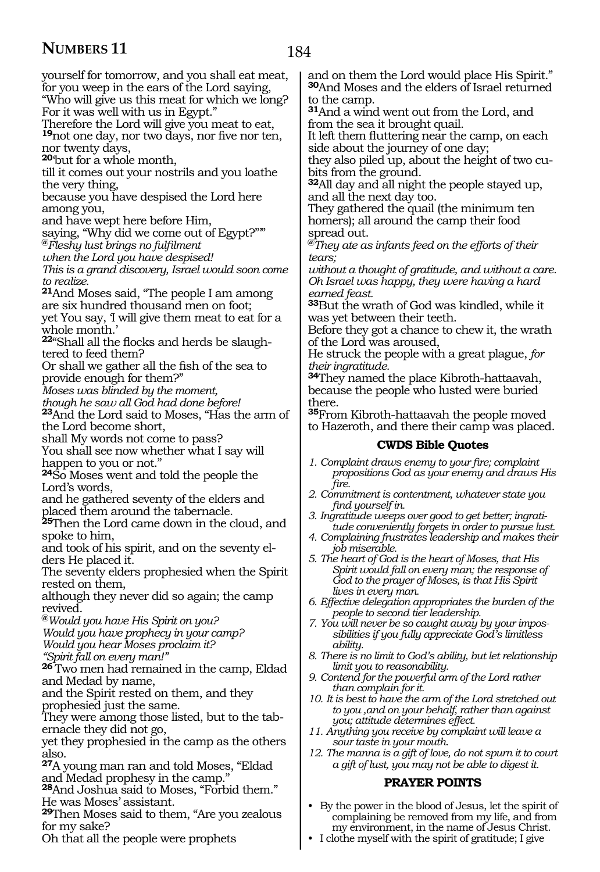184

yourself for tomorrow, and you shall eat meat, for you weep in the ears of the Lord saying, "Who will give us this meat for which we long? For it was well with us in Egypt." Therefore the Lord will give you meat to eat, **<sup>19</sup>**not one day, nor two days, nor five nor ten, nor twenty days, **<sup>20</sup>**'but for a whole month, till it comes out your nostrils and you loathe the very thing, because you have despised the Lord here among you,

and have wept here before Him,

saying, "Why did we come out of Egypt?"" **@***Fleshy lust brings no fulfilment*

*when the Lord you have despised!* 

*This is a grand discovery, Israel would soon come to realize.*

**<sup>21</sup>**And Moses said, "The people I am among are six hundred thousand men on foot; yet You say, 'I will give them meat to eat for a whole month.'

**22**"Shall all the flocks and herds be slaughtered to feed them?

Or shall we gather all the fish of the sea to provide enough for them?"

*Moses was blinded by the moment,* 

*though he saw all God had done before!*

**<sup>23</sup>**And the Lord said to Moses, "Has the arm of the Lord become short,

shall My words not come to pass?

You shall see now whether what I say will happen to you or not."

**<sup>24</sup>**So Moses went and told the people the Lord's words,

and he gathered seventy of the elders and placed them around the tabernacle.

**<sup>25</sup>**Then the Lord came down in the cloud, and spoke to him,

and took of his spirit, and on the seventy el- ders He placed it.

The seventy elders prophesied when the Spirit rested on them,

although they never did so again; the camp revived.

**@***Would you have His Spirit on you? Would you have prophecy in your camp? Would you hear Moses proclaim it?* 

*"Spirit fall on every man!"*

**<sup>26</sup>**Two men had remained in the camp, Eldad and Medad by name,

and the Spirit rested on them, and they prophesied just the same.

They were among those listed, but to the tabernacle they did not go,

yet they prophesied in the camp as the others also.

**<sup>27</sup>**A young man ran and told Moses, "Eldad and Medad prophesy in the camp."

**<sup>28</sup>**And Joshua said to Moses, "Forbid them." He was Moses' assistant.

**<sup>29</sup>**Then Moses said to them, "Are you zealous for my sake?

Oh that all the people were prophets

and on them the Lord would place His Spirit." **<sup>30</sup>**And Moses and the elders of Israel returned to the camp.

**<sup>31</sup>**And a wind went out from the Lord, and from the sea it brought quail.

It left them fluttering near the camp, on each side about the journey of one day;

they also piled up, about the height of two cubits from the ground.

**<sup>32</sup>**All day and all night the people stayed up, and all the next day too.

They gathered the quail (the minimum ten homers); all around the camp their food spread out.

**@***They ate as infants feed on the efforts of their tears;*

*without a thought of gratitude, and without a care. Oh Israel was happy, they were having a hard earned feast.*

**<sup>33</sup>**But the wrath of God was kindled, while it was yet between their teeth.

Before they got a chance to chew it, the wrath of the Lord was aroused,

He struck the people with a great plague, *for their ingratitude.*

**<sup>34</sup>**They named the place Kibroth-hattaavah, because the people who lusted were buried there.

**<sup>35</sup>**From Kibroth-hattaavah the people moved to Hazeroth, and there their camp was placed.

#### **CWDS Bible Quotes**

- *1. Complaint draws enemy to your fire; complaint propositions God as your enemy and draws His fire.*
- *2. Commitment is contentment, whatever state you find yourself in.*
- *3. Ingratitude weeps over good to get better; ingratitude conveniently forgets in order to pursue lust.*
- *4. Complaining frustrates leadership and makes their job miserable.*

*5. The heart of God is the heart of Moses, that His Spirit would fall on every man; the response of God to the prayer of Moses, is that His Spirit lives in every man.*

*6. Effective delegation appropriates the burden of the people to second tier leadership.*

*7. You will never be so caught away by your impossibilities if you fully appreciate God's limitless ability.*

*8. There is no limit to God's ability, but let relationship limit you to reasonability.*

- *9. Contend for the powerful arm of the Lord rather than complain for it.*
- *10. It is best to have the arm of the Lord stretched out to you ,and on your behalf, rather than against you; attitude determines effect.*
- *11. Anything you receive by complaint will leave a sour taste in your mouth.*
- *12. The manna is a gift of love, do not spurn it to court a gift of lust, you may not be able to digest it.*

### **PRAYER POINTS**

- By the power in the blood of Jesus, let the spirit of complaining be removed from my life, and from my environment, in the name of Jesus Christ.
- I clothe myself with the spirit of gratitude; I give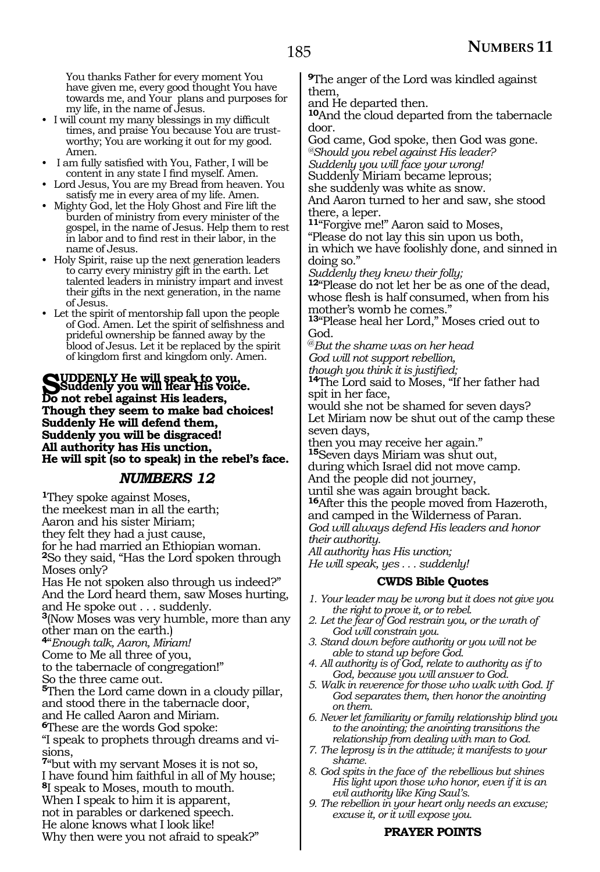You thanks Father for every moment You have given me, every good thought You have towards me, and Your plans and purposes for my life, in the name of Jesus.

- I will count my many blessings in my difficult times, and praise You because You are trustworthy; You are working it out for my good. Amen.
- I am fully satisfied with You, Father, I will be content in any state I find myself. Amen.
- Lord Jesus, You are my Bread from heaven. You satisfy me in every area of my life. Amen.
- Mighty God, let the Holy Ghost and Fire lift the burden of ministry from every minister of the gospel, in the name of Jesus. Help them to rest in labor and to find rest in their labor, in the name of Jesus.
- Holy Spirit, raise up the next generation leaders to carry every ministry gift in the earth. Let talented leaders in ministry impart and invest their gifts in the next generation, in the name of Jesus.
- Let the spirit of mentorship fall upon the people of God. Amen. Let the spirit of selfishness and prideful ownership be fanned away by the blood of Jesus. Let it be replaced by the spirit of kingdom first and kingdom only. Amen.

#### **Suddenly He will speak to you, Suddenly you will hear His voice. Do not rebel against His leaders, Though they seem to make bad choices! Suddenly He will defend them, Suddenly you will be disgraced! All authority has His unction, He will spit (so to speak) in the rebel's face.**

### *NUMBERS 12*

**<sup>1</sup>**They spoke against Moses, the meekest man in all the earth; Aaron and his sister Miriam; they felt they had a just cause, for he had married an Ethiopian woman. **<sup>2</sup>**So they said, "Has the Lord spoken through Moses only? Has He not spoken also through us indeed?" And the Lord heard them, saw Moses hurting, and He spoke out . . . suddenly. **<sup>3</sup>**(Now Moses was very humble, more than any other man on the earth.) **<sup>4</sup>**"*Enough talk, Aaron, Miriam!*  Come to Me all three of you, to the tabernacle of congregation!" So the three came out. **<sup>5</sup>**Then the Lord came down in a cloudy pillar, and stood there in the tabernacle door, and He called Aaron and Miriam. **<sup>6</sup>**These are the words God spoke: "I speak to prophets through dreams and visions, **<sup>7</sup>**"but with my servant Moses it is not so, I have found him faithful in all of My house; **<sup>8</sup>**I speak to Moses, mouth to mouth. When I speak to him it is apparent, not in parables or darkened speech. He alone knows what I look like! Why then were you not afraid to speak?"

**<sup>9</sup>**The anger of the Lord was kindled against them,

and He departed then.

**<sup>10</sup>**And the cloud departed from the tabernacle door.

God came, God spoke, then God was gone. *@Should you rebel against His leader?* 

*Suddenly you will face your wrong!* 

Suddenly Miriam became leprous;

she suddenly was white as snow.

And Aaron turned to her and saw, she stood there, a leper.

**<sup>11</sup>**"Forgive me!" Aaron said to Moses, "Please do not lay this sin upon us both, in which we have foolishly done, and sinned in doing so."

*Suddenly they knew their folly;*

**<sup>12</sup>**"Please do not let her be as one of the dead, whose flesh is half consumed, when from his mother's womb he comes."

**<sup>13</sup>**"Please heal her Lord," Moses cried out to God.

@*But the shame was on her head God will not support rebellion,* 

*though you think it is justified;* 

**<sup>14</sup>**The Lord said to Moses, "If her father had spit in her face,

would she not be shamed for seven days? Let Miriam now be shut out of the camp these seven days,

then you may receive her again." **<sup>15</sup>**Seven days Miriam was shut out,

during which Israel did not move camp. And the people did not journey,

until she was again brought back.

**<sup>16</sup>**After this the people moved from Hazeroth, and camped in the Wilderness of Paran. *God will always defend His leaders and honor* 

*their authority. All authority has His unction;* 

*He will speak, yes . . . suddenly!* 

### **CWDS Bible Quotes**

- *1. Your leader may be wrong but it does not give you the right to prove it, or to rebel.*
- *2. Let the fear of God restrain you, or the wrath of God will constrain you.*
- *3. Stand down before authority or you will not be able to stand up before God.*
- *4. All authority is of God, relate to authority as if to God, because you will answer to God.*
- *5. Walk in reverence for those who walk with God. If God separates them, then honor the anointing on them.*
- *6. Never let familiarity or family relationship blind you to the anointing; the anointing transitions the relationship from dealing with man to God.*
- *7. The leprosy is in the attitude; it manifests to your shame.*
- *8. God spits in the face of the rebellious but shines His light upon those who honor, even if it is an evil authority like King Saul's.*
- *9. The rebellion in your heart only needs an excuse; excuse it, or it will expose you.*

### **PRAYER POINTS**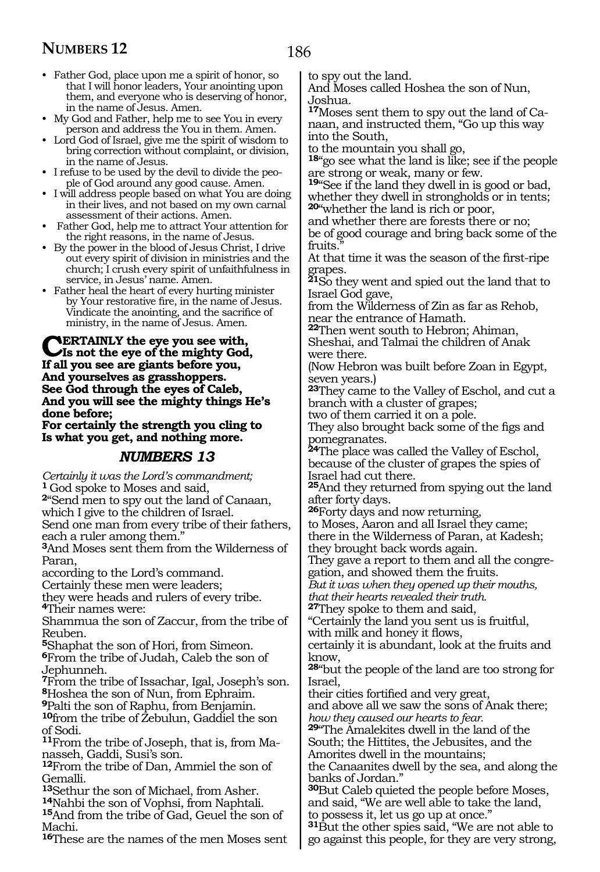• Father God, place upon me a spirit of honor, so that I will honor leaders, Your anointing upon them, and everyone who is deserving of honor, in the name of Jesus. Amen.

• My God and Father, help me to see You in every person and address the You in them. Amen.

• Lord God of Israel, give me the spirit of wisdom to bring correction without complaint, or division, in the name of Jesus.

• I refuse to be used by the devil to divide the people of God around any good cause. Amen.

• I will address people based on what You are doing in their lives, and not based on my own carnal assessment of their actions. Amen.

• Father God, help me to attract Your attention for the right reasons, in the name of Jesus.

• By the power in the blood of Jesus Christ, I drive out every spirit of division in ministries and the church; I crush every spirit of unfaithfulness in service, in Jesus' name. Amen.

• Father heal the heart of every hurting minister by Your restorative fire, in the name of Jesus. Vindicate the anointing, and the sacrifice of ministry, in the name of Jesus. Amen.

#### **Certainly the eye you see with, Is not the eye of the mighty God, If all you see are giants before you, And yourselves as grasshoppers. See God through the eyes of Caleb, And you will see the mighty things He's done before;**

**For certainly the strength you cling to Is what you get, and nothing more.**

### *NUMBERS 13*

*Certainly it was the Lord's commandment;* **<sup>1</sup>**God spoke to Moses and said,

**<sup>2</sup>**"Send men to spy out the land of Canaan, which I give to the children of Israel.

Send one man from every tribe of their fathers, each a ruler among them."

**<sup>3</sup>**And Moses sent them from the Wilderness of Paran,

according to the Lord's command.

Certainly these men were leaders;

they were heads and rulers of every tribe. **<sup>4</sup>**Their names were:

Shammua the son of Zaccur, from the tribe of Reuben.

**<sup>5</sup>**Shaphat the son of Hori, from Simeon. **<sup>6</sup>**From the tribe of Judah, Caleb the son of Jephunneh.

**<sup>7</sup>**From the tribe of Issachar, Igal, Joseph's son. **<sup>8</sup>**Hoshea the son of Nun, from Ephraim.

**<sup>9</sup>**Palti the son of Raphu, from Benjamin.

**<sup>10</sup>**from the tribe of Zebulun, Gaddiel the son of Sodi.

**11**From the tribe of Joseph, that is, from Manasseh, Gaddi, Susi's son.

**<sup>12</sup>**From the tribe of Dan, Ammiel the son of

Gemalli.<br><sup>13</sup>Sethur the son of Michael, from Asher. <sup>14</sup>Nahbi the son of Vophsi, from Naphtali.<br><sup>15</sup>And from the tribe of Gad, Geuel the son of Machi.

**<sup>16</sup>**These are the names of the men Moses sent

to spy out the land.

And Moses called Hoshea the son of Nun, Joshua.

**17**Moses sent them to spy out the land of Canaan, and instructed them, "Go up this way into the South,

to the mountain you shall go,

**<sup>18</sup>**"go see what the land is like; see if the people are strong or weak, many or few.

**<sup>19</sup>**"See if the land they dwell in is good or bad, whether they dwell in strongholds or in tents; **<sup>20</sup>**"whether the land is rich or poor,

and whether there are forests there or no; be of good courage and bring back some of the fruits.

At that time it was the season of the first-ripe grapes.

**<sup>21</sup>**So they went and spied out the land that to Israel God gave,

from the Wilderness of Zin as far as Rehob, near the entrance of Hamath.

**<sup>22</sup>**Then went south to Hebron; Ahiman, Sheshai, and Talmai the children of Anak were there.

(Now Hebron was built before Zoan in Egypt, seven years.)

**<sup>23</sup>**They came to the Valley of Eschol, and cut a branch with a cluster of grapes;

two of them carried it on a pole. They also brought back some of the figs and

pomegranates. **<sup>24</sup>**The place was called the Valley of Eschol, because of the cluster of grapes the spies of Israel had cut there.

**<sup>25</sup>**And they returned from spying out the land after forty days.

**<sup>26</sup>**Forty days and now returning,

to Moses, Aaron and all Israel they came; there in the Wilderness of Paran, at Kadesh;

they brought back words again.

They gave a report to them and all the congregation, and showed them the fruits.

*But it was when they opened up their mouths, that their hearts revealed their truth.*

**<sup>27</sup>**They spoke to them and said,

"Certainly the land you sent us is fruitful,

with milk and honey it flows,

certainly it is abundant, look at the fruits and know,

**<sup>28</sup>**"but the people of the land are too strong for Israel,

their cities fortified and very great, and above all we saw the sons of Anak there;

*how they caused our hearts to fear.*

**<sup>29</sup>**"The Amalekites dwell in the land of the South; the Hittites, the Jebusites, and the Amorites dwell in the mountains;

the Canaanites dwell by the sea, and along the banks of Jordan."

**<sup>30</sup>**But Caleb quieted the people before Moses, and said, "We are well able to take the land, to possess it, let us go up at once."

**<sup>31</sup>**But the other spies said, "We are not able to go against this people, for they are very strong,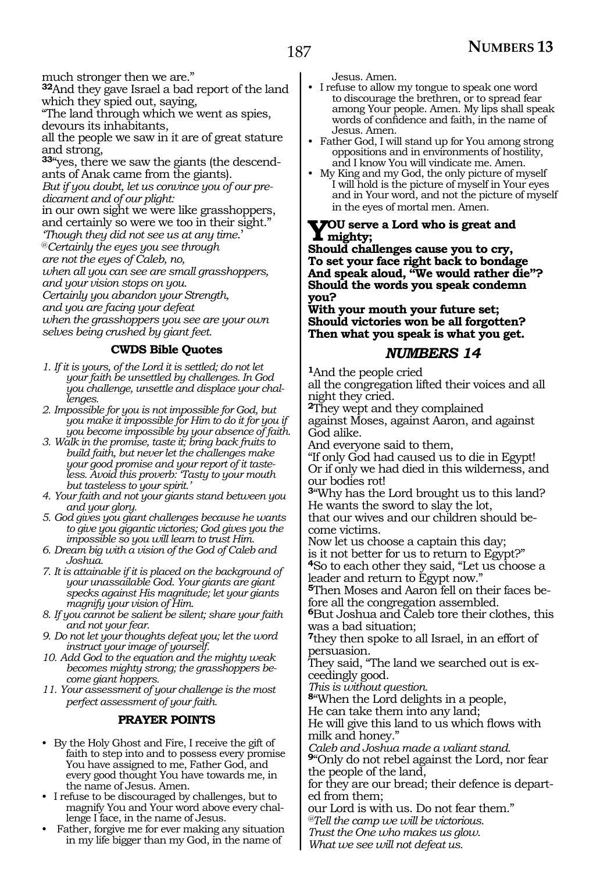much stronger then we are."

**<sup>32</sup>**And they gave Israel a bad report of the land which they spied out, saying,

"The land through which we went as spies, devours its inhabitants,

all the people we saw in it are of great stature and strong,

**33**"yes, there we saw the giants (the descendants of Anak came from the giants).

*But if you doubt, let us convince you of our predicament and of our plight:*

in our own sight we were like grasshoppers, and certainly so were we too in their sight." *'Though they did not see us at any time*.'

@*Certainly the eyes you see through* 

*are not the eyes of Caleb, no,*

*when all you can see are small grasshoppers,*

*and your vision stops on you.*

*Certainly you abandon your Strength,*

*and you are facing your defeat*

*when the grasshoppers you see are your own selves being crushed by giant feet.*

### **CWDS Bible Quotes**

- *1. If it is yours, of the Lord it is settled; do not let your faith be unsettled by challenges. In God you challenge, unsettle and displace your challenges.*
- *2. Impossible for you is not impossible for God, but you make it impossible for Him to do it for you if you become impossible by your absence of faith.*
- *3. Walk in the promise, taste it; bring back fruits to build faith, but never let the challenges make your good promise and your report of it tasteless. Avoid this proverb: 'Tasty to your mouth but tasteless to your spirit.'*
- *4. Your faith and not your giants stand between you and your glory.*
- *5. God gives you giant challenges because he wants to give you gigantic victories; God gives you the impossible so you will learn to trust Him.*
- *6. Dream big with a vision of the God of Caleb and Joshua.*
- *7. It is attainable if it is placed on the background of your unassailable God. Your giants are giant specks against His magnitude; let your giants magnify your vision of Him.*
- *8. If you cannot be salient be silent; share your faith and not your fear.*
- *9. Do not let your thoughts defeat you; let the word instruct your image of yourself.*
- *10. Add God to the equation and the mighty weak becomes mighty strong; the grasshoppers become giant hoppers.*

*11. Your assessment of your challenge is the most perfect assessment of your faith.*

#### **PRAYER POINTS**

- By the Holy Ghost and Fire, I receive the gift of faith to step into and to possess every promise You have assigned to me, Father God, and every good thought You have towards me, in the name of Jesus. Amen.
- I refuse to be discouraged by challenges, but to magnify You and Your word above every challenge I face, in the name of Jesus.
- Father, forgive me for ever making any situation in my life bigger than my God, in the name of

Jesus. Amen.

- I refuse to allow my tongue to speak one word to discourage the brethren, or to spread fear among Your people. Amen. My lips shall speak words of confidence and faith, in the name of Jesus. Amen.
- Father God, I will stand up for You among strong oppositions and in environments of hostility, and I know You will vindicate me. Amen.
- My King and my God, the only picture of myself I will hold is the picture of myself in Your eyes and in Your word, and not the picture of myself in the eyes of mortal men. Amen.

### **You serve a Lord who is great and mighty;**

**Should challenges cause you to cry, To set your face right back to bondage And speak aloud, "We would rather die"? Should the words you speak condemn you?**

**With your mouth your future set; Should victories won be all forgotten? Then what you speak is what you get.**

### *NUMBERS 14*

**<sup>1</sup>**And the people cried

all the congregation lifted their voices and all night they cried.

**<sup>2</sup>**They wept and they complained against Moses, against Aaron, and against God alike.

And everyone said to them,

"If only God had caused us to die in Egypt! Or if only we had died in this wilderness, and our bodies rot!

**<sup>3</sup>**"Why has the Lord brought us to this land? He wants the sword to slay the lot,

that our wives and our children should become victims.

Now let us choose a captain this day; is it not better for us to return to Egypt?" **<sup>4</sup>**So to each other they said, "Let us choose a leader and return to Egypt now."

**5**Then Moses and Aaron fell on their faces before all the congregation assembled.

**<sup>6</sup>**But Joshua and Caleb tore their clothes, this was a bad situation;

**<sup>7</sup>**they then spoke to all Israel, in an effort of persuasion.

They said, "The land we searched out is exceedingly good.

*This is without question.*

**<sup>8</sup>**"When the Lord delights in a people,

He can take them into any land;

He will give this land to us which flows with milk and honey."

*Caleb and Joshua made a valiant stand.*

**<sup>9</sup>**"Only do not rebel against the Lord, nor fear the people of the land,

for they are our bread; their defence is departed from them;

our Lord is with us. Do not fear them."

*@Tell the camp we will be victorious.*

*Trust the One who makes us glow. What we see will not defeat us.*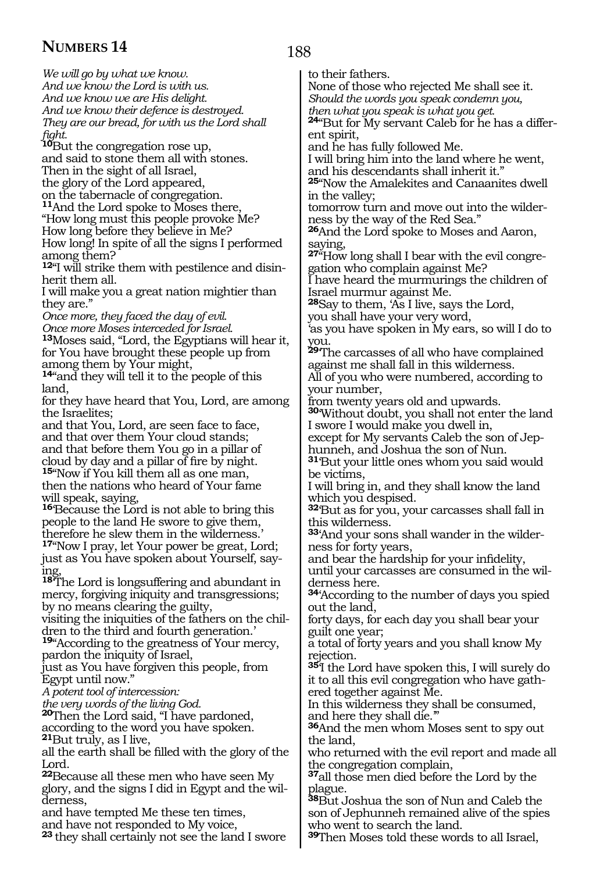*We will go by what we know. And we know the Lord is with us. And we know we are His delight. And we know their defence is destroyed. They are our bread, for with us the Lord shall* 

*fight.*

**<sup>10</sup>**But the congregation rose up, and said to stone them all with stones. Then in the sight of all Israel,

the glory of the Lord appeared,

on the tabernacle of congregation.

**<sup>11</sup>**And the Lord spoke to Moses there,

"How long must this people provoke Me? How long before they believe in Me?

How long! In spite of all the signs I performed among them?

**12**"I will strike them with pestilence and disinherit them all.

I will make you a great nation mightier than they are."

*Once more, they faced the day of evil. Once more Moses interceded for Israel.* **<sup>13</sup>**Moses said, "Lord, the Egyptians will hear it, for You have brought these people up from among them by Your might,

**<sup>14</sup>**"and they will tell it to the people of this land,

for they have heard that You, Lord, are among the Israelites;

and that You, Lord, are seen face to face, and that over them Your cloud stands; and that before them You go in a pillar of cloud by day and a pillar of fire by night. **<sup>15</sup>**"Now if You kill them all as one man, then the nations who heard of Your fame will speak, saying,

**<sup>16</sup>**'Because the Lord is not able to bring this people to the land He swore to give them, therefore he slew them in the wilderness.' **<sup>17</sup>**"Now I pray, let Your power be great, Lord; just as You have spoken about Yourself, saying,

**<sup>18</sup>**'The Lord is longsuffering and abundant in mercy, forgiving iniquity and transgressions; by no means clearing the guilty,

visiting the iniquities of the fathers on the children to the third and fourth generation.' **<sup>19</sup>**"According to the greatness of Your mercy,

pardon the iniquity of Israel,

just as You have forgiven this people, from Egypt until now."

*A potent tool of intercession:*

*the very words of the living God.*

**<sup>20</sup>**Then the Lord said, "I have pardoned, according to the word you have spoken. **<sup>21</sup>**But truly, as I live,

all the earth shall be filled with the glory of the Lord.

**<sup>22</sup>**Because all these men who have seen My glory, and the signs I did in Egypt and the wil- derness,

and have tempted Me these ten times, and have not responded to My voice,

**<sup>23</sup>**they shall certainly not see the land I swore

188

to their fathers.

None of those who rejected Me shall see it. *Should the words you speak condemn you, then what you speak is what you get.*

**24**"But for My servant Caleb for he has a different spirit,

and he has fully followed Me.

I will bring him into the land where he went, and his descendants shall inherit it."

**<sup>25</sup>**"Now the Amalekites and Canaanites dwell in the valley;

tomorrow turn and move out into the wilder- ness by the way of the Red Sea."

**<sup>26</sup>**And the Lord spoke to Moses and Aaron, saying,

**27**"How long shall I bear with the evil congregation who complain against Me?

I have heard the murmurings the children of Israel murmur against Me.

**<sup>28</sup>**Say to them, 'As I live, says the Lord, you shall have your very word,

'as you have spoken in My ears, so will I do to you.

**<sup>29</sup>**'The carcasses of all who have complained against me shall fall in this wilderness. All of you who were numbered, according to your number,

from twenty years old and upwards.

**<sup>30</sup>**'Without doubt, you shall not enter the land I swore I would make you dwell in,

except for My servants Caleb the son of Jephunneh, and Joshua the son of Nun.

**<sup>31</sup>**'But your little ones whom you said would be victims,

I will bring in, and they shall know the land which you despised.

**<sup>32</sup>**'But as for you, your carcasses shall fall in this wilderness.

**<sup>33</sup>**'And your sons shall wander in the wilder- ness for forty years,

and bear the hardship for your infidelity,

until your carcasses are consumed in the wilderness here.

**<sup>34</sup>**'According to the number of days you spied out the land,

forty days, for each day you shall bear your guilt one year;

a total of forty years and you shall know My rejection.

**<sup>35</sup>**'I the Lord have spoken this, I will surely do it to all this evil congregation who have gathered together against Me.

In this wilderness they shall be consumed, and here they shall die.'"

**<sup>36</sup>**And the men whom Moses sent to spy out the land,

who returned with the evil report and made all the congregation complain,

**<sup>37</sup>**all those men died before the Lord by the plague.

**<sup>38</sup>**But Joshua the son of Nun and Caleb the son of Jephunneh remained alive of the spies who went to search the land.

**<sup>39</sup>**Then Moses told these words to all Israel,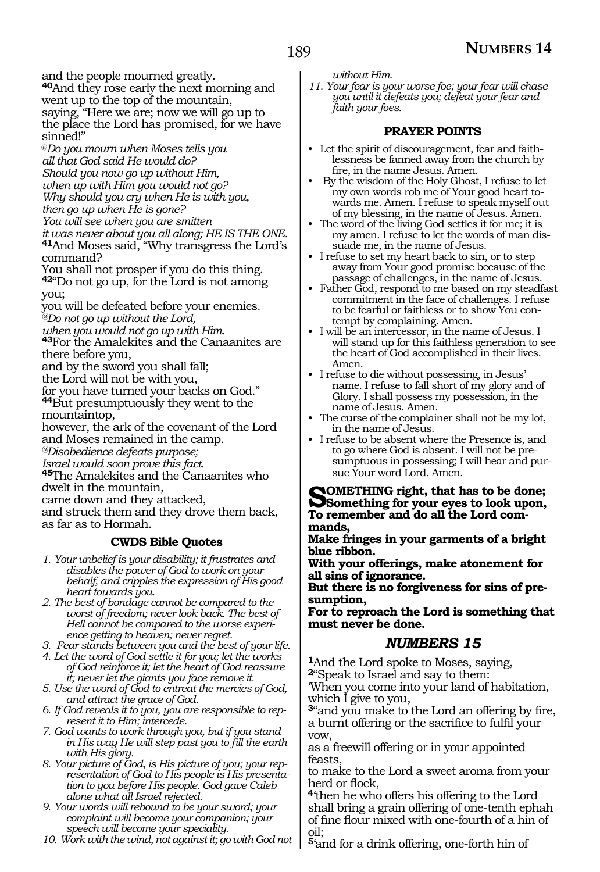and the people mourned greatly.

**<sup>40</sup>**And they rose early the next morning and went up to the top of the mountain, saying, "Here we are; now we will go up to the place the Lord has promised, for we have sinned!"

@*Do you mourn when Moses tells you all that God said He would do? Should you now go up without Him,*

*when up with Him you would not go?*

*Why should you cry when He is with you,*

*then go up when He is gone?*

*You will see when you are smitten* <sup>41</sup>And Moses said, "Why transgress the Lord's command?

You shall not prosper if you do this thing. **<sup>42</sup>**"Do not go up, for the Lord is not among you;

you will be defeated before your enemies. *@Do not go up without the Lord,*

*when you would not go up with Him*. **<sup>43</sup>**For the Amalekites and the Canaanites are there before you,

and by the sword you shall fall;

the Lord will not be with you,

for you have turned your backs on God."

**<sup>44</sup>**But presumptuously they went to the mountaintop,

however, the ark of the covenant of the Lord and Moses remained in the camp.

*@Disobedience defeats purpose;*

*Israel would soon prove this fact.*

**<sup>45</sup>**The Amalekites and the Canaanites who dwelt in the mountain,

came down and they attacked,

and struck them and they drove them back, as far as to Hormah.

### **CWDS Bible Quotes**

*1. Your unbelief is your disability; it frustrates and disables the power of God to work on your behalf, and cripples the expression of His good heart towards you.*

*2. The best of bondage cannot be compared to the worst of freedom; never look back. The best of Hell cannot be compared to the worse experience getting to heaven; never regret.*

*3. Fear stands between you and the best of your life.*

*4. Let the word of God settle it for you; let the works of God reinforce it; let the heart of God reassure it; never let the giants you face remove it.*

*5. Use the word of God to entreat the mercies of God, and attract the grace of God.*

*6. If God reveals it to you, you are responsible to represent it to Him; intercede.*

*7. God wants to work through you, but if you stand in His way He will step past you to fill the earth with His glory.*

*8. Your picture of God, is His picture of you; your representation of God to His people is His presentation to you before His people. God gave Caleb alone what all Israel rejected.*

*9. Your words will rebound to be your sword; your complaint will become your companion; your speech will become your speciality.*

*10. Work with the wind, not against it; go with God not* 

*without Him.*

*11. Your fear is your worse foe; your fear will chase you until it defeats you; defeat your fear and faith your foes.*

### **PRAYER POINTS**

- Let the spirit of discouragement, fear and faithlessness be fanned away from the church by fire, in the name Jesus. Amen.
- By the wisdom of the Holy Ghost, I refuse to let my own words rob me of Your good heart towards me. Amen. I refuse to speak myself out of my blessing, in the name of Jesus. Amen.
- The word of the living God settles it for me; it is my amen. I refuse to let the words of man dissuade me, in the name of Jesus.
- I refuse to set my heart back to sin, or to step away from Your good promise because of the passage of challenges, in the name of Jesus.
- Father God, respond to me based on my steadfast commitment in the face of challenges. I refuse to be fearful or faithless or to show You contempt by complaining. Amen.
- I will be an intercessor, in the name of Jesus. I will stand up for this faithless generation to see the heart of God accomplished in their lives. Amen.
- I refuse to die without possessing, in Jesus' name. I refuse to fall short of my glory and of Glory. I shall possess my possession, in the name of Jesus. Amen.
- The curse of the complainer shall not be my lot, in the name of Jesus.
- I refuse to be absent where the Presence is, and to go where God is absent. I will not be presumptuous in possessing; I will hear and pursue Your word Lord. Amen.

**SOMETHING right, that has to be done;**<br> **Something for your eyes to look upon, To remember and do all the Lord com- mands,**

**Make fringes in your garments of a bright blue ribbon.**

**With your offerings, make atonement for all sins of ignorance.**

**But there is no forgiveness for sins of presumption,**

**For to reproach the Lord is something that must never be done.** 

### *NUMBERS 15*

**<sup>1</sup>**And the Lord spoke to Moses, saying, **<sup>2</sup>**"Speak to Israel and say to them:

'When you come into your land of habitation, which I give to you,

**<sup>3</sup>**"and you make to the Lord an offering by fire, a burnt offering or the sacrifice to fulfil your vow,

as a freewill offering or in your appointed feasts,

to make to the Lord a sweet aroma from your herd or flock,

**<sup>4</sup>**'then he who offers his offering to the Lord shall bring a grain offering of one-tenth ephah of fine flour mixed with one-fourth of a hin of oil;

**<sup>5</sup>**'and for a drink offering, one-forth hin of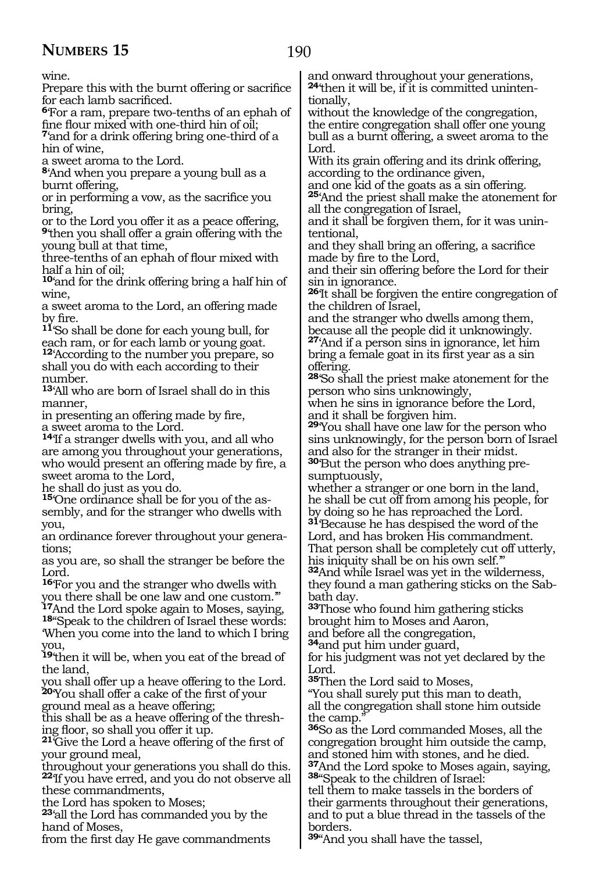wine.

Prepare this with the burnt offering or sacrifice for each lamb sacrificed.

**<sup>6</sup>**'For a ram, prepare two-tenths of an ephah of fine flour mixed with one-third hin of oil;

**<sup>7</sup>**'and for a drink offering bring one-third of a hin of wine,

a sweet aroma to the Lord.

**<sup>8</sup>**'And when you prepare a young bull as a burnt offering,

or in performing a vow, as the sacrifice you bring,

or to the Lord you offer it as a peace offering, **<sup>9</sup>**'then you shall offer a grain offering with the young bull at that time,

three-tenths of an ephah of flour mixed with half a hin of oil;

**<sup>10</sup>**'and for the drink offering bring a half hin of wine,

a sweet aroma to the Lord, an offering made by fire.

**<sup>11</sup>**'So shall be done for each young bull, for each ram, or for each lamb or young goat. **<sup>12</sup>**'According to the number you prepare, so shall you do with each according to their number.

**<sup>13</sup>**'All who are born of Israel shall do in this manner,

in presenting an offering made by fire, a sweet aroma to the Lord.

**<sup>14</sup>**'If a stranger dwells with you, and all who are among you throughout your generations, who would present an offering made by fire, a sweet aroma to the Lord,

he shall do just as you do.

**15**'One ordinance shall be for you of the assembly, and for the stranger who dwells with you,

an ordinance forever throughout your generations;

as you are, so shall the stranger be before the Lord.

**<sup>16</sup>**'For you and the stranger who dwells with you there shall be one law and one custom.'" **<sup>17</sup>**And the Lord spoke again to Moses, saying, **18**"Speak to the children of Israel these words:

'When you come into the land to which I bring you,

**<sup>19</sup>**'then it will be, when you eat of the bread of the land,

you shall offer up a heave offering to the Lord. **<sup>20</sup>**'You shall offer a cake of the first of your ground meal as a heave offering;

this shall be as a heave offering of the threshing floor, so shall you offer it up.

**<sup>21</sup>**'Give the Lord a heave offering of the first of your ground meal,

throughout your generations you shall do this. **<sup>22</sup>**'If you have erred, and you do not observe all these commandments,

the Lord has spoken to Moses;

**<sup>23</sup>**'all the Lord has commanded you by the hand of Moses,

from the first day He gave commandments

and onward throughout your generations, **<sup>24</sup>**'then it will be, if it is committed uninten- tionally,

without the knowledge of the congregation, the entire congregation shall offer one young bull as a burnt offering, a sweet aroma to the Lord.

With its grain offering and its drink offering, according to the ordinance given,

and one kid of the goats as a sin offering. **<sup>25</sup>**'And the priest shall make the atonement for all the congregation of Israel,

and it shall be forgiven them, for it was unintentional,

and they shall bring an offering, a sacrifice made by fire to the Lord,

and their sin offering before the Lord for their sin in ignorance.

**<sup>26</sup>**'It shall be forgiven the entire congregation of the children of Israel,

and the stranger who dwells among them, because all the people did it unknowingly. **<sup>27</sup>**'And if a person sins in ignorance, let him

bring a female goat in its first year as a sin offering.

**<sup>28</sup>**'So shall the priest make atonement for the person who sins unknowingly,

when he sins in ignorance before the Lord, and it shall be forgiven him.

**<sup>29</sup>**'You shall have one law for the person who sins unknowingly, for the person born of Israel and also for the stranger in their midst.

**30**'But the person who does anything presumptuously,

whether a stranger or one born in the land, he shall be cut off from among his people, for by doing so he has reproached the Lord. **<sup>31</sup>**'Because he has despised the word of the

Lord, and has broken His commandment.

That person shall be completely cut off utterly, his iniquity shall be on his own self."

**<sup>32</sup>**And while Israel was yet in the wilderness, they found a man gathering sticks on the Sabbath day.

**<sup>33</sup>**Those who found him gathering sticks brought him to Moses and Aaron,

and before all the congregation,

**<sup>34</sup>**and put him under guard,

for his judgment was not yet declared by the Lord.

**<sup>35</sup>**Then the Lord said to Moses,

"You shall surely put this man to death, all the congregation shall stone him outside the camp.

**<sup>36</sup>**So as the Lord commanded Moses, all the congregation brought him outside the camp, and stoned him with stones, and he died. **<sup>37</sup>**And the Lord spoke to Moses again, saying, **<sup>38</sup>**"Speak to the children of Israel:

tell them to make tassels in the borders of their garments throughout their generations, and to put a blue thread in the tassels of the borders.

**<sup>39</sup>**"And you shall have the tassel,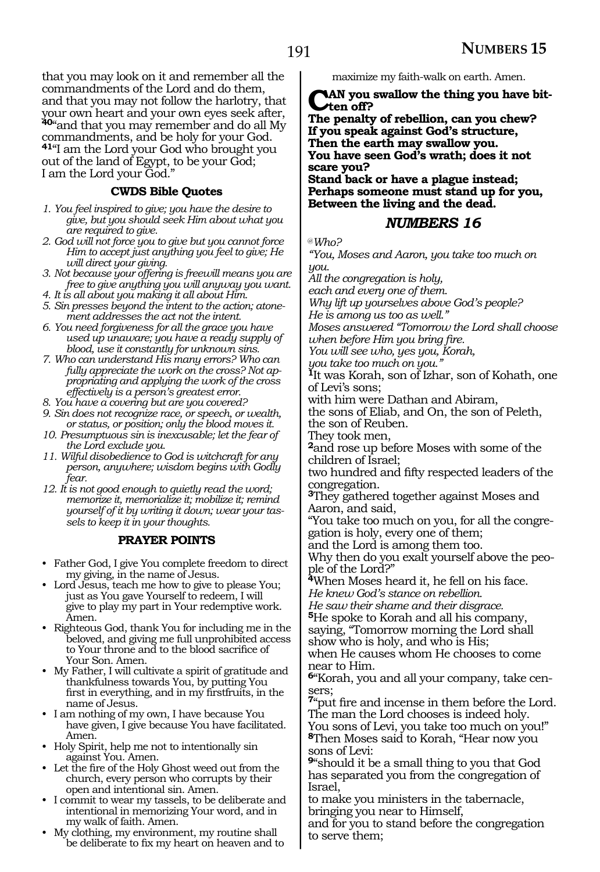that you may look on it and remember all the commandments of the Lord and do them, and that you may not follow the harlotry, that your own heart and your own eyes seek after, **<sup>40</sup>**"and that you may remember and do all My commandments, and be holy for your God. **<sup>41</sup>**"I am the Lord your God who brought you out of the land of Egypt, to be your God; I am the Lord your God."

### **CWDS Bible Quotes**

- *1. You feel inspired to give; you have the desire to give, but you should seek Him about what you are required to give.*
- *2. God will not force you to give but you cannot force Him to accept just anything you feel to give; He will direct your giving.*
- *3. Not because your offering is freewill means you are free to give anything you will anyway you want.*
- *4. It is all about you making it all about Him.*
- *5. Sin presses beyond the intent to the action; atonement addresses the act not the intent.*
- *6. You need forgiveness for all the grace you have used up unaware; you have a ready supply of blood, use it constantly for unknown sins.*
- *7. Who can understand His many errors? Who can fully appreciate the work on the cross? Not appropriating and applying the work of the cross effectively is a person's greatest error.*
- *8. You have a covering but are you covered?*
- *9. Sin does not recognize race, or speech, or wealth, or status, or position; only the blood moves it.*
- *10. Presumptuous sin is inexcusable; let the fear of the Lord exclude you.*
- *11. Wilful disobedience to God is witchcraft for any person, anywhere; wisdom begins with Godly fear.*
- *12. It is not good enough to quietly read the word; memorize it, memorialize it; mobilize it; remind yourself of it by writing it down; wear your tassels to keep it in your thoughts.*

#### **PRAYER POINTS**

- Father God, I give You complete freedom to direct my giving, in the name of Jesus.
- Lord Jesus, teach me how to give to please You; just as You gave Yourself to redeem, I will give to play my part in Your redemptive work. Amen.
- Righteous God, thank You for including me in the beloved, and giving me full unprohibited access to Your throne and to the blood sacrifice of Your Son. Amen.
- My Father, I will cultivate a spirit of gratitude and thankfulness towards You, by putting You first in everything, and in my firstfruits, in the name of Jesus.
- I am nothing of my own, I have because You have given, I give because You have facilitated. Amen.
- Holy Spirit, help me not to intentionally sin against You. Amen.
- Let the fire of the Holy Ghost weed out from the church, every person who corrupts by their open and intentional sin. Amen.
- I commit to wear my tassels, to be deliberate and intentional in memorizing Your word, and in my walk of faith. Amen.
- My clothing, my environment, my routine shall be deliberate to fix my heart on heaven and to

maximize my faith-walk on earth. Amen.

#### **AN** you swallow the thing you have bit**ten off?**

**The penalty of rebellion, can you chew? If you speak against God's structure, Then the earth may swallow you. You have seen God's wrath; does it not scare you?**

**Stand back or have a plague instead; Perhaps someone must stand up for you, Between the living and the dead.**

### *NUMBERS 16*

@*Who?* 

*"You, Moses and Aaron, you take too much on you.*

*All the congregation is holy,*

*each and every one of them.* 

*Why lift up yourselves above God's people?*

*He is among us too as well." Moses answered "Tomorrow the Lord shall choose when before Him you bring fire.*

*You will see who, yes you, Korah,*

*you take too much on you."*

**<sup>1</sup>**It was Korah, son of Izhar, son of Kohath, one of Levi's sons;

with him were Dathan and Abiram,

the sons of Eliab, and On, the son of Peleth, the son of Reuben.

They took men,

**<sup>2</sup>**and rose up before Moses with some of the children of Israel;

two hundred and fifty respected leaders of the congregation.

**<sup>3</sup>**They gathered together against Moses and Aaron, and said,

"You take too much on you, for all the congre- gation is holy, every one of them;

and the Lord is among them too.

Why then do you exalt yourself above the peo- ple of the Lord?"

**<sup>4</sup>**When Moses heard it, he fell on his face. *He knew God's stance on rebellion.*

*He saw their shame and their disgrace.*

**<sup>5</sup>**He spoke to Korah and all his company, saying, "Tomorrow morning the Lord shall show who is holy, and who is His;

when He causes whom He chooses to come near to Him.

**6**"Korah, you and all your company, take censers:

**<sup>7</sup>**"put fire and incense in them before the Lord. The man the Lord chooses is indeed holy. You sons of Levi, you take too much on you!" **<sup>8</sup>**Then Moses said to Korah, "Hear now you

sons of Levi:

**<sup>9</sup>**"should it be a small thing to you that God has separated you from the congregation of Israel,

to make you ministers in the tabernacle, bringing you near to Himself,

and for you to stand before the congregation to serve them;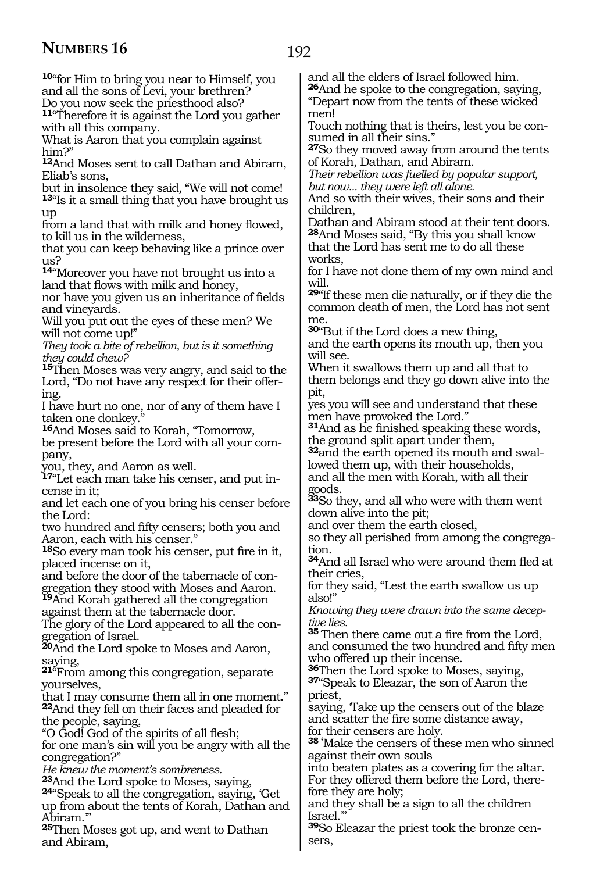Abiram.'"

and Abiram,

**<sup>25</sup>**Then Moses got up, and went to Dathan

**<sup>10</sup>**"for Him to bring you near to Himself, you and all the sons of Levi, your brethren?

Do you now seek the priesthood also? **<sup>11</sup>**"Therefore it is against the Lord you gather with all this company. What is Aaron that you complain against him?" **<sup>12</sup>**And Moses sent to call Dathan and Abiram, Eliab's sons, but in insolence they said*,* "We will not come! **<sup>13</sup>**"Is it a small thing that you have brought us up from a land that with milk and honey flowed, to kill us in the wilderness, that you can keep behaving like a prince over us? **<sup>14</sup>**"Moreover you have not brought us into a land that flows with milk and honey, nor have you given us an inheritance of fields and vineyards. Will you put out the eyes of these men? We will not come up!" *They took a bite of rebellion, but is it something they could chew?* **<sup>15</sup>**Then Moses was very angry, and said to the Lord, "Do not have any respect for their offering. I have hurt no one, nor of any of them have I taken one donkey." **<sup>16</sup>**And Moses said to Korah, "Tomorrow, be present before the Lord with all your company, you, they, and Aaron as well. **<sup>17</sup>**"Let each man take his censer, and put in- cense in it; and let each one of you bring his censer before the Lord: two hundred and fifty censers; both you and Aaron, each with his censer." **<sup>18</sup>**So every man took his censer, put fire in it, placed incense on it, and before the door of the tabernacle of con- gregation they stood with Moses and Aaron. **<sup>19</sup>**And Korah gathered all the congregation against them at the tabernacle door.<br>The glory of the Lord appeared to all the con-The glory of the Lord appeared to all the con- gregation of Israel. **<sup>20</sup>**And the Lord spoke to Moses and Aaron, saying, **<sup>21</sup>**"From among this congregation, separate yourselves, that I may consume them all in one moment." **<sup>22</sup>**And they fell on their faces and pleaded for the people, saying, "O God! God of the spirits of all flesh; for one man's sin will you be angry with all the congregation?" *He knew the moment's sombreness.* 24"Speak to all the congregation, saying, Get up from about the tents of Korah, Dathan and men! children, works, will. me. will see. pit, goods. tion. also!" *tive lies.* priest,

and all the elders of Israel followed him.

**<sup>26</sup>**And he spoke to the congregation, saying, "Depart now from the tents of these wicked

Touch nothing that is theirs, lest you be consumed in all their sins."

**<sup>27</sup>**So they moved away from around the tents of Korah, Dathan, and Abiram.

*Their rebellion was fuelled by popular support, but now... they were left all alone.*

And so with their wives, their sons and their

Dathan and Abiram stood at their tent doors. **<sup>28</sup>**And Moses said, "By this you shall know

that the Lord has sent me to do all these

for I have not done them of my own mind and

**<sup>29</sup>**"If these men die naturally, or if they die the common death of men, the Lord has not sent

**<sup>30</sup>**"But if the Lord does a new thing,

and the earth opens its mouth up, then you

When it swallows them up and all that to them belongs and they go down alive into the

yes you will see and understand that these men have provoked the Lord."

**<sup>31</sup>**And as he finished speaking these words, the ground split apart under them,

**32**and the earth opened its mouth and swallowed them up, with their households,

and all the men with Korah, with all their

**<sup>33</sup>**So they, and all who were with them went down alive into the pit;

and over them the earth closed,

so they all perished from among the congrega-

**<sup>34</sup>**And all Israel who were around them fled at their cries,

for they said, "Lest the earth swallow us up

*Knowing they were drawn into the same decep-*

**<sup>35</sup>**Then there came out a fire from the Lord, and consumed the two hundred and fifty men who offered up their incense.<br><sup>36</sup>Then the Lord spoke to Moses, saying,

**37**"Speak to Eleazar, the son of Aaron the

saying, Take up the censers out of the blaze and scatter the fire some distance away, for their censers are holy.

**38 '**Make the censers of these men who sinned against their own souls

into beaten plates as a covering for the altar. For they offered them before the Lord, therefore they are holy;

and they shall be a sign to all the children Israel.'"

**<sup>39</sup>**So Eleazar the priest took the bronze cen- sers,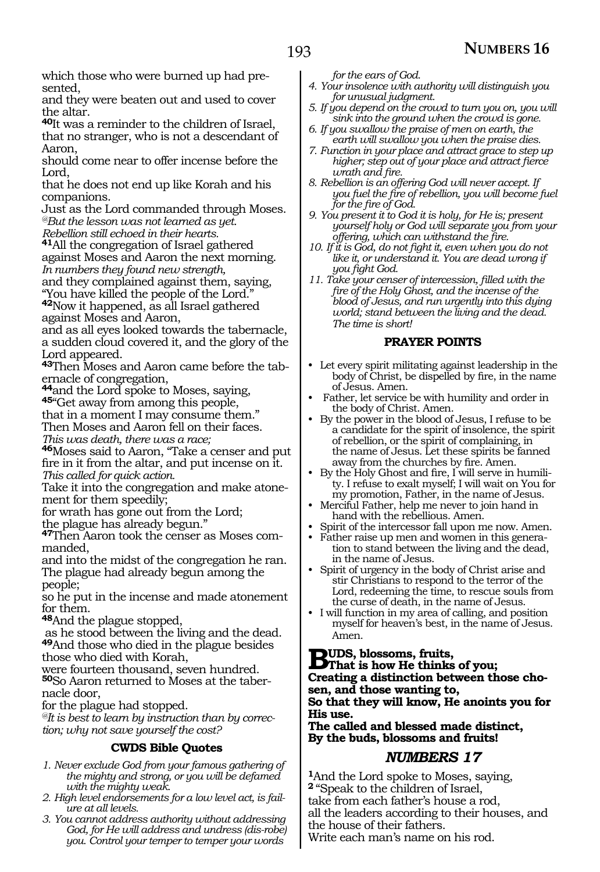which those who were burned up had presented,

and they were beaten out and used to cover the altar.

**<sup>40</sup>**It was a reminder to the children of Israel, that no stranger, who is not a descendant of Aaron,

should come near to offer incense before the Lord,

that he does not end up like Korah and his companions.

Just as the Lord commanded through Moses. *@But the lesson was not learned as yet. Rebellion still echoed in their hearts.*

**<sup>41</sup>**All the congregation of Israel gathered against Moses and Aaron the next morning. *In numbers they found new strength,*

and they complained against them, saying, "You have killed the people of the Lord."

**<sup>42</sup>**Now it happened, as all Israel gathered against Moses and Aaron,

and as all eyes looked towards the tabernacle, a sudden cloud covered it, and the glory of the Lord appeared.

**43**Then Moses and Aaron came before the tabernacle of congregation,

**<sup>44</sup>**and the Lord spoke to Moses, saying, **<sup>45</sup>**"Get away from among this people,

that in a moment I may consume them."

Then Moses and Aaron fell on their faces.

*This was death, there was a race;*

**<sup>46</sup>**Moses said to Aaron, "Take a censer and put fire in it from the altar, and put incense on it. *This called for quick action.*

Take it into the congregation and make atonement for them speedily;

for wrath has gone out from the Lord;

the plague has already begun."

**<sup>47</sup>**Then Aaron took the censer as Moses com- manded,

and into the midst of the congregation he ran. The plague had already begun among the people;

so he put in the incense and made atonement for them.

**<sup>48</sup>**And the plague stopped,

 as he stood between the living and the dead. **<sup>49</sup>**And those who died in the plague besides those who died with Korah,

were fourteen thousand, seven hundred. **50**So Aaron returned to Moses at the tabernacle door,

for the plague had stopped.

*@It is best to learn by instruction than by correction; why not save yourself the cost?*

### **CWDS Bible Quotes**

- *1. Never exclude God from your famous gathering of the mighty and strong, or you will be defamed with the mighty weak.*
- *2. High level endorsements for a low level act, is failure at all levels.*
- *3. You cannot address authority without addressing God, for He will address and undress (dis-robe) you. Control your temper to temper your words*

*for the ears of God.*

- *4. Your insolence with authority will distinguish you for unusual judgment.*
- *5. If you depend on the crowd to turn you on, you will sink into the ground when the crowd is gone.*
- *6. If you swallow the praise of men on earth, the earth will swallow you when the praise dies.*

*7. Function in your place and attract grace to step up higher; step out of your place and attract fierce wrath and fire.*

*8. Rebellion is an offering God will never accept. If you fuel the fire of rebellion, you will become fuel for the fire of God.*

*9. You present it to God it is holy, for He is; present yourself holy or God will separate you from your offering, which can withstand the fire.* 

*10. If it is God, do not fight it, even when you do not like it, or understand it. You are dead wrong if you fight God.* 

*11. Take your censer of intercession, filled with the fire of the Holy Ghost, and the incense of the blood of Jesus, and run urgently into this dying world; stand between the living and the dead. The time is short!*

### **PRAYER POINTS**

- Let every spirit militating against leadership in the body of Christ, be dispelled by fire, in the name of Jesus. Amen.
- Father, let service be with humility and order in the body of Christ. Amen.
- By the power in the blood of Jesus, I refuse to be a candidate for the spirit of insolence, the spirit of rebellion, or the spirit of complaining, in the name of Jesus. Let these spirits be fanned away from the churches by fire. Amen.
- By the Holy Ghost and fire, I will serve in humility. I refuse to exalt myself; I will wait on You for my promotion, Father, in the name of Jesus.
- Merciful Father, help me never to join hand in hand with the rebellious. Amen.
- Spirit of the intercessor fall upon me now. Amen.
- Father raise up men and women in this generation to stand between the living and the dead, in the name of Jesus.
- Spirit of urgency in the body of Christ arise and stir Christians to respond to the terror of the Lord, redeeming the time, to rescue souls from the curse of death, in the name of Jesus.
- I will function in my area of calling, and position myself for heaven's best, in the name of Jesus. Amen.

**BUDS, blossoms, fruits,<br>
<b>B**That is how He thinks of you;<br>
Constitute a distinction between the

**Creating a distinction between those chosen, and those wanting to, So that they will know, He anoints you for His use.** 

**The called and blessed made distinct, By the buds, blossoms and fruits!** 

### *NUMBERS 17*

**<sup>1</sup>**And the Lord spoke to Moses, saying, **<sup>2</sup>**"Speak to the children of Israel, take from each father's house a rod, all the leaders according to their houses, and the house of their fathers. Write each man's name on his rod.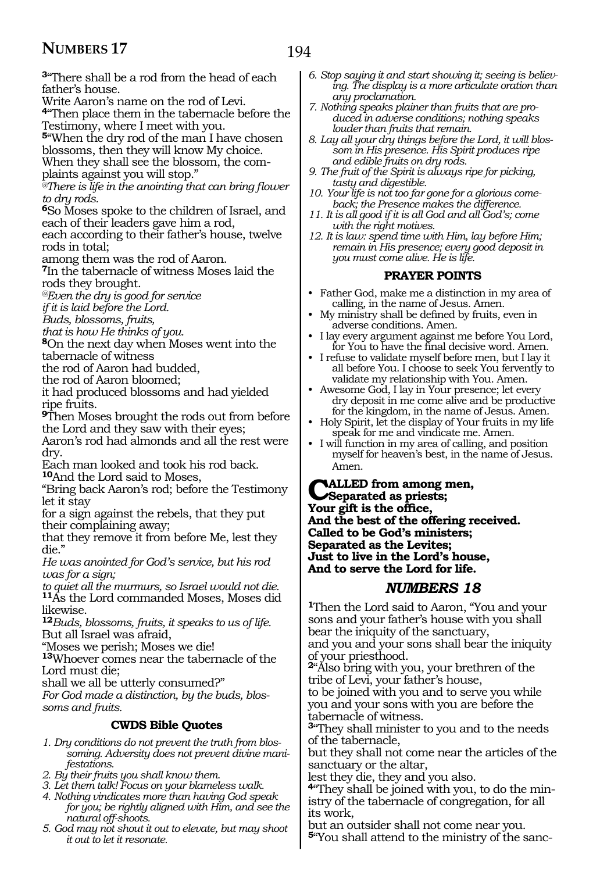**<sup>3</sup>**"There shall be a rod from the head of each father's house.

Write Aaron's name on the rod of Levi.

**<sup>4</sup>**"Then place them in the tabernacle before the Testimony, where I meet with you.

**<sup>5</sup>**"When the dry rod of the man I have chosen blossoms, then they will know My choice.

When they shall see the blossom, the com-

plaints against you will stop."

*@There is life in the anointing that can bring flower to dry rods.*

**<sup>6</sup>**So Moses spoke to the children of Israel, and each of their leaders gave him a rod,

each according to their father's house, twelve rods in total;

among them was the rod of Aaron.

**<sup>7</sup>**In the tabernacle of witness Moses laid the rods they brought.

*@Even the dry is good for service* 

*if it is laid before the Lord.* 

*Buds, blossoms, fruits,* 

*that is how He thinks of you.*

**<sup>8</sup>**On the next day when Moses went into the tabernacle of witness

the rod of Aaron had budded,

the rod of Aaron bloomed;

it had produced blossoms and had yielded ripe fruits.

**<sup>9</sup>**Then Moses brought the rods out from before the Lord and they saw with their eyes;

Aaron's rod had almonds and all the rest were dry.

Each man looked and took his rod back. **<sup>10</sup>**And the Lord said to Moses,

"Bring back Aaron's rod; before the Testimony let it stay

for a sign against the rebels, that they put their complaining away;

that they remove it from before Me, lest they die."

*He was anointed for God's service, but his rod was for a sign;* 

*to quiet all the murmurs, so Israel would not die.* **<sup>11</sup>**As the Lord commanded Moses, Moses did likewise.

**<sup>12</sup>***Buds, blossoms, fruits, it speaks to us of life.* But all Israel was afraid,

"Moses we perish; Moses we die!

**<sup>13</sup>**Whoever comes near the tabernacle of the Lord must die;

shall we all be utterly consumed?"

*For God made a distinction, by the buds, blossoms and fruits.*

#### **CWDS Bible Quotes**

- *1. Dry conditions do not prevent the truth from blossoming. Adversity does not prevent divine manifestations.*
- *2. By their fruits you shall know them.*
- *3. Let them talk! Focus on your blameless walk.*
- *4. Nothing vindicates more than having God speak for you; be rightly aligned with Him, and see the natural off-shoots.*
- *5. God may not shout it out to elevate, but may shoot it out to let it resonate.*
- *6. Stop saying it and start showing it; seeing is believing. The display is a more articulate oration than any proclamation.*
- *7. Nothing speaks plainer than fruits that are produced in adverse conditions; nothing speaks louder than fruits that remain.*
- *8. Lay all your dry things before the Lord, it will blossom in His presence. His Spirit produces ripe and edible fruits on dry rods.*
- *9. The fruit of the Spirit is always ripe for picking, tasty and digestible.*
- *10. Your life is not too far gone for a glorious comeback; the Presence makes the difference.*
- *11. It is all good if it is all God and all God's; come with the right motives.*
- *12. It is law: spend time with Him, lay before Him; remain in His presence; every good deposit in you must come alive. He is life.*

#### **PRAYER POINTS**

- Father God, make me a distinction in my area of calling, in the name of Jesus. Amen.
- My ministry shall be defined by fruits, even in adverse conditions. Amen.
- I lay every argument against me before You Lord, for You to have the final decisive word. Amen.
- I refuse to validate myself before men, but I lay it all before You. I choose to seek You fervently to validate my relationship with You. Amen.
- Awesome God, I lay in Your presence; let every dry deposit in me come alive and be productive for the kingdom, in the name of Jesus. Amen.
- Holy Spirit, let the display of Your fruits in my life speak for me and vindicate me. Amen.
- I will function in my area of calling, and position myself for heaven's best, in the name of Jesus. Amen.

**Called from among men, Separated as priests; Your gift is the office, And the best of the offering received. Called to be God's ministers; Separated as the Levites; Just to live in the Lord's house, And to serve the Lord for life.**

### *NUMBERS 18*

**<sup>1</sup>**Then the Lord said to Aaron, "You and your sons and your father's house with you shall bear the iniquity of the sanctuary, and you and your sons shall bear the iniquity of your priesthood.

**<sup>2</sup>**"Also bring with you, your brethren of the tribe of Levi, your father's house,

to be joined with you and to serve you while you and your sons with you are before the tabernacle of witness.

**<sup>3</sup>**"They shall minister to you and to the needs of the tabernacle,

but they shall not come near the articles of the sanctuary or the altar,

lest they die, they and you also.

**4**"They shall be joined with you, to do the ministry of the tabernacle of congregation, for all its work,

but an outsider shall not come near you. **5**"You shall attend to the ministry of the sanc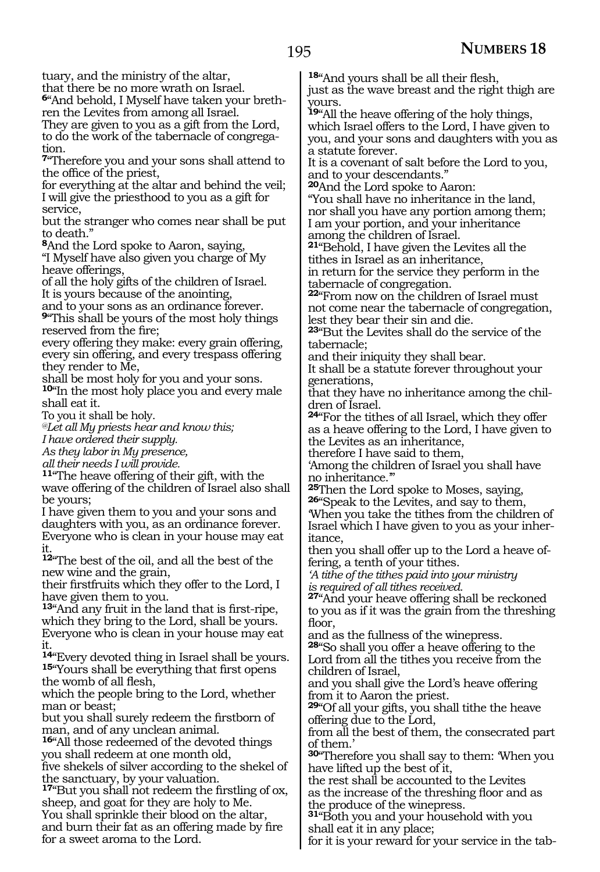tuary, and the ministry of the altar, that there be no more wrath on Israel.

**6**"And behold, I Myself have taken your brethren the Levites from among all Israel.

They are given to you as a gift from the Lord, to do the work of the tabernacle of congregation.

**<sup>7</sup>**"Therefore you and your sons shall attend to the office of the priest,

for everything at the altar and behind the veil; I will give the priesthood to you as a gift for service,

but the stranger who comes near shall be put to death."

**<sup>8</sup>**And the Lord spoke to Aaron, saying,

"I Myself have also given you charge of My heave offerings,

of all the holy gifts of the children of Israel. It is yours because of the anointing,

and to your sons as an ordinance forever.

**<sup>9</sup>**"This shall be yours of the most holy things reserved from the fire;

every offering they make: every grain offering, every sin offering, and every trespass offering they render to Me,

shall be most holy for you and your sons.

**<sup>10</sup>**"In the most holy place you and every male shall eat it.

To you it shall be holy.

*@Let all My priests hear and know this;*

*I have ordered their supply.*

*As they labor in My presence,*

*all their needs I will provide.*

**<sup>11</sup>**"The heave offering of their gift, with the wave offering of the children of Israel also shall be yours;

I have given them to you and your sons and daughters with you, as an ordinance forever. Everyone who is clean in your house may eat it.

**<sup>12</sup>**"The best of the oil, and all the best of the new wine and the grain,

their firstfruits which they offer to the Lord, I have given them to you.

**<sup>13</sup>**"And any fruit in the land that is first-ripe, which they bring to the Lord, shall be yours. Everyone who is clean in your house may eat it.

**<sup>14</sup>**"Every devoted thing in Israel shall be yours. **<sup>15</sup>**"Yours shall be everything that first opens the womb of all flesh,

which the people bring to the Lord, whether man or beast;

but you shall surely redeem the firstborn of man, and of any unclean animal.

**<sup>16</sup>**"All those redeemed of the devoted things you shall redeem at one month old,

five shekels of silver according to the shekel of the sanctuary, by your valuation.

**<sup>17</sup>**"But you shall not redeem the firstling of ox, sheep, and goat for they are holy to Me. You shall sprinkle their blood on the altar, and burn their fat as an offering made by fire for a sweet aroma to the Lord.

**<sup>18</sup>**"And yours shall be all their flesh,

just as the wave breast and the right thigh are yours.

**<sup>19</sup>**"All the heave offering of the holy things, which Israel offers to the Lord, I have given to you, and your sons and daughters with you as a statute forever.

It is a covenant of salt before the Lord to you, and to your descendants."

**<sup>20</sup>**And the Lord spoke to Aaron:

"You shall have no inheritance in the land, nor shall you have any portion among them; I am your portion, and your inheritance among the children of Israel.

**<sup>21</sup>**"Behold, I have given the Levites all the tithes in Israel as an inheritance,

in return for the service they perform in the tabernacle of congregation.

**<sup>22</sup>**"From now on the children of Israel must not come near the tabernacle of congregation, lest they bear their sin and die.

**<sup>23</sup>**"But the Levites shall do the service of the tabernacle;

and their iniquity they shall bear.

It shall be a statute forever throughout your generations,

that they have no inheritance among the children of Israel.

**<sup>24</sup>**"For the tithes of all Israel, which they offer as a heave offering to the Lord, I have given to the Levites as an inheritance,

therefore I have said to them,

'Among the children of Israel you shall have

no inheritance."<br><sup>25</sup>Then the Lord spoke to Moses, saying,

**26**"Speak to the Levites, and say to them, 'When you take the tithes from the children of Israel which I have given to you as your inheritance,

then you shall offer up to the Lord a heave offering, a tenth of your tithes.

*'A tithe of the tithes paid into your ministry is required of all tithes received.*

**<sup>27</sup>**"And your heave offering shall be reckoned to you as if it was the grain from the threshing floor,

and as the fullness of the winepress.

**<sup>28</sup>**"So shall you offer a heave offering to the Lord from all the tithes you receive from the children of Israel,

and you shall give the Lord's heave offering from it to Aaron the priest.

**<sup>29</sup>**"Of all your gifts, you shall tithe the heave offering due to the Lord,

from all the best of them, the consecrated part of them.'

**<sup>30</sup>**"Therefore you shall say to them: 'When you have lifted up the best of it,

the rest shall be accounted to the Levites as the increase of the threshing floor and as the produce of the winepress.

**<sup>31</sup>**"Both you and your household with you shall eat it in any place;

for it is your reward for your service in the tab-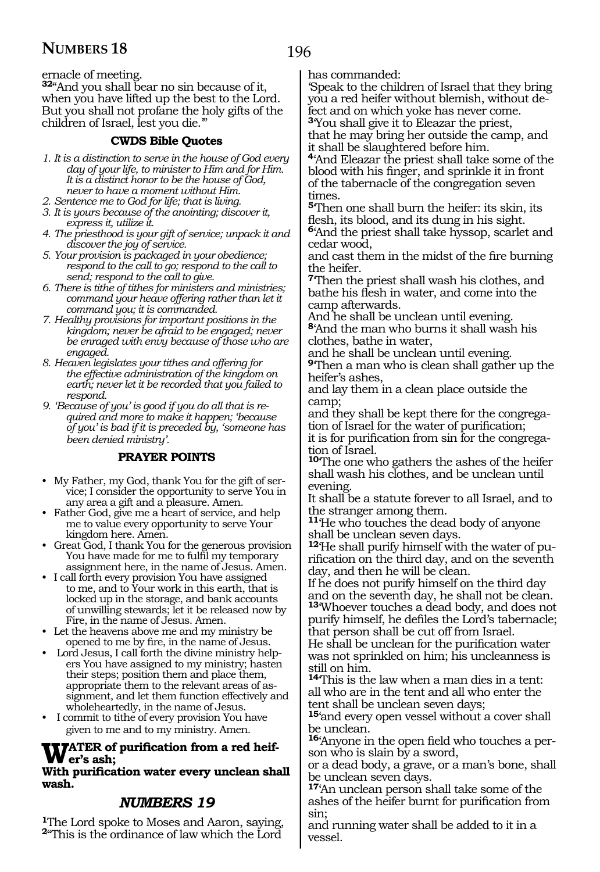ernacle of meeting.

**<sup>32</sup>**"And you shall bear no sin because of it, when you have lifted up the best to the Lord. But you shall not profane the holy gifts of the children of Israel, lest you die.'"

### **CWDS Bible Quotes**

- *1. It is a distinction to serve in the house of God every day of your life, to minister to Him and for Him. It is a distinct honor to be the house of God, never to have a moment without Him.*
- *2. Sentence me to God for life; that is living.*
- *3. It is yours because of the anointing; discover it, express it, utilize it.*
- *4. The priesthood is your gift of service; unpack it and discover the joy of service.*
- *5. Your provision is packaged in your obedience; respond to the call to go; respond to the call to send; respond to the call to give.*
- *6. There is tithe of tithes for ministers and ministries; command your heave offering rather than let it command you; it is commanded.*
- *7. Healthy provisions for important positions in the kingdom; never be afraid to be engaged; never be enraged with envy because of those who are engaged.*
- *8. Heaven legislates your tithes and offering for the effective administration of the kingdom on earth; never let it be recorded that you failed to respond.*
- *9. 'Because of you' is good if you do all that is required and more to make it happen; 'because of you' is bad if it is preceded by, 'someone has been denied ministry'.*

### **PRAYER POINTS**

- My Father, my God, thank You for the gift of service; I consider the opportunity to serve You in any area a gift and a pleasure. Amen.
- Father God, give me a heart of service, and help me to value every opportunity to serve Your kingdom here. Amen.
- Great God, I thank You for the generous provision You have made for me to fulfil my temporary assignment here, in the name of Jesus. Amen.
- I call forth every provision You have assigned to me, and to Your work in this earth, that is locked up in the storage, and bank accounts of unwilling stewards; let it be released now by Fire, in the name of Jesus. Amen.
- Let the heavens above me and my ministry be opened to me by fire, in the name of Jesus.
- Lord Jesus, I call forth the divine ministry helpers You have assigned to my ministry; hasten their steps; position them and place them, appropriate them to the relevant areas of assignment, and let them function effectively and wholeheartedly, in the name of Jesus.
- I commit to tithe of every provision You have given to me and to my ministry. Amen.

# **WATER** of purification from a red heif-<br>Wer's ash;<br>With aveigentian water crow unclear abo

#### **With purification water every unclean shall wash.**

### *NUMBERS 19*

**<sup>1</sup>**The Lord spoke to Moses and Aaron, saying, **<sup>2</sup>**"This is the ordinance of law which the Lord has commanded:

'Speak to the children of Israel that they bring you a red heifer without blemish, without defect and on which yoke has never come. **<sup>3</sup>**'You shall give it to Eleazar the priest, that he may bring her outside the camp, and

it shall be slaughtered before him. **<sup>4</sup>**'And Eleazar the priest shall take some of the blood with his finger, and sprinkle it in front of the tabernacle of the congregation seven times.

**<sup>5</sup>**'Then one shall burn the heifer: its skin, its flesh, its blood, and its dung in his sight. **<sup>6</sup>**'And the priest shall take hyssop, scarlet and cedar wood,

and cast them in the midst of the fire burning the heifer.

**<sup>7</sup>**'Then the priest shall wash his clothes, and bathe his flesh in water, and come into the camp afterwards.

And he shall be unclean until evening. **<sup>8</sup>**'And the man who burns it shall wash his clothes, bathe in water,

and he shall be unclean until evening.

**<sup>9</sup>**'Then a man who is clean shall gather up the heifer's ashes,

and lay them in a clean place outside the camp;

and they shall be kept there for the congregation of Israel for the water of purification;

it is for purification from sin for the congregation of Israel.

**<sup>10</sup>**'The one who gathers the ashes of the heifer shall wash his clothes, and be unclean until evening.

It shall be a statute forever to all Israel, and to the stranger among them.

**<sup>11</sup>**'He who touches the dead body of anyone shall be unclean seven days.

**<sup>12</sup>**'He shall purify himself with the water of pu- rification on the third day, and on the seventh day, and then he will be clean.

If he does not purify himself on the third day and on the seventh day, he shall not be clean.

**<sup>13</sup>**'Whoever touches a dead body, and does not purify himself, he defiles the Lord's tabernacle; that person shall be cut off from Israel.

He shall be unclean for the purification water was not sprinkled on him; his uncleanness is still on him.

**<sup>14</sup>**'This is the law when a man dies in a tent: all who are in the tent and all who enter the tent shall be unclean seven days;

**<sup>15</sup>**'and every open vessel without a cover shall be unclean.

**16**'Anyone in the open field who touches a person who is slain by a sword,

or a dead body, a grave, or a man's bone, shall be unclean seven days.

**<sup>17</sup>**'An unclean person shall take some of the ashes of the heifer burnt for purification from sin;

and running water shall be added to it in a vessel.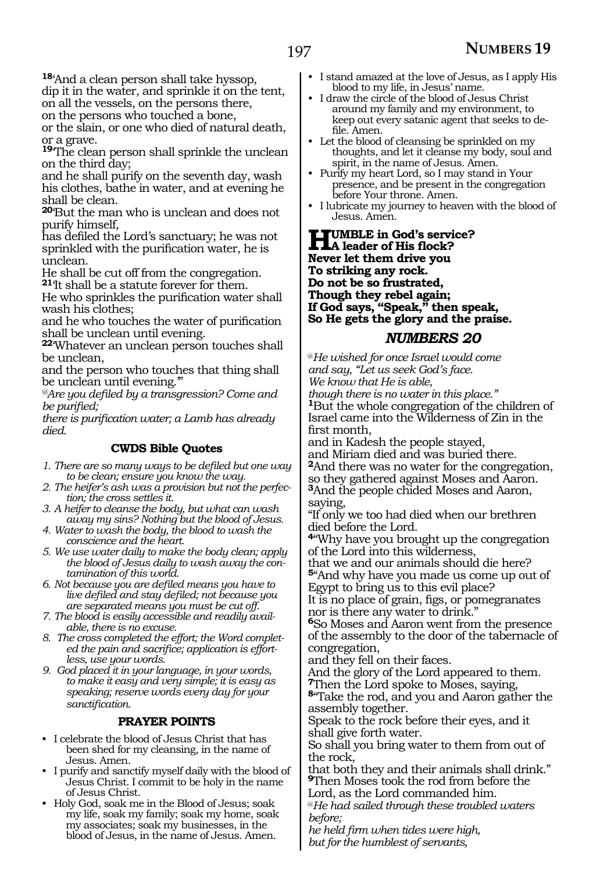**<sup>18</sup>**'And a clean person shall take hyssop,

dip it in the water, and sprinkle it on the tent, on all the vessels, on the persons there, on the persons who touched a bone,

or the slain, or one who died of natural death, or a grave.

**<sup>19</sup>**'The clean person shall sprinkle the unclean on the third day;

and he shall purify on the seventh day, wash his clothes, bathe in water, and at evening he shall be clean.

**<sup>20</sup>**'But the man who is unclean and does not purify himself,

has defiled the Lord's sanctuary; he was not sprinkled with the purification water, he is unclean.

He shall be cut off from the congregation. **<sup>21</sup>**'It shall be a statute forever for them.

He who sprinkles the purification water shall wash his clothes;

and he who touches the water of purification shall be unclean until evening.

**<sup>22</sup>**'Whatever an unclean person touches shall be unclean,

and the person who touches that thing shall be unclean until evening."

*@Are you defiled by a transgression? Come and be purified;*

*there is purification water; a Lamb has already died.* 

### **CWDS Bible Quotes**

- *1. There are so many ways to be defiled but one way to be clean; ensure you know the way.*
- *2. The heifer's ash was a provision but not the perfection; the cross settles it.*
- *3. A heifer to cleanse the body, but what can wash away my sins? Nothing but the blood of Jesus.*
- *4. Water to wash the body, the blood to wash the conscience and the heart.*
- *5. We use water daily to make the body clean; apply the blood of Jesus daily to wash away the contamination of this world.*

*6. Not because you are defiled means you have to live defiled and stay defiled; not because you are separated means you must be cut off.*

- *7. The blood is easily accessible and readily available, there is no excuse.*
- *8. The cross completed the effort; the Word completed the pain and sacrifice; application is effortless, use your words.*
- *9. God placed it in your language, in your words, to make it easy and very simple; it is easy as speaking; reserve words every day for your sanctification.*

### **PRAYER POINTS**

- I celebrate the blood of Jesus Christ that has been shed for my cleansing, in the name of Jesus. Amen.
- I purify and sanctify myself daily with the blood of Jesus Christ. I commit to be holy in the name of Jesus Christ.
- Holy God, soak me in the Blood of Jesus; soak my life, soak my family; soak my home, soak my associates; soak my businesses, in the blood of Jesus, in the name of Jesus. Amen.
- I stand amazed at the love of Jesus, as I apply His blood to my life, in Jesus' name.
- I draw the circle of the blood of Jesus Christ around my family and my environment, to keep out every satanic agent that seeks to defile. Amen.
- Let the blood of cleansing be sprinkled on my thoughts, and let it cleanse my body, soul and spirit, in the name of Jesus. Amen.
- Purify my heart Lord, so I may stand in Your presence, and be present in the congregation before Your throne. Amen.
- I lubricate my journey to heaven with the blood of Jesus. Amen.

**Humble in God's service? A leader of His flock? Never let them drive you To striking any rock. Do not be so frustrated, Though they rebel again; If God says, "Speak," then speak, So He gets the glory and the praise.**

### *NUMBERS 20*

@*He wished for once Israel would come and say, "Let us seek God's face. We know that He is able,*

*though there is no water in this place."* **<sup>1</sup>**But the whole congregation of the children of Israel came into the Wilderness of Zin in the first month,

and in Kadesh the people stayed,

and Miriam died and was buried there. **<sup>2</sup>**And there was no water for the congregation, so they gathered against Moses and Aaron. **<sup>3</sup>**And the people chided Moses and Aaron, saying,

"If only we too had died when our brethren died before the Lord.

**<sup>4</sup>**"Why have you brought up the congregation of the Lord into this wilderness,

that we and our animals should die here? **<sup>5</sup>**"And why have you made us come up out of Egypt to bring us to this evil place?

It is no place of grain, figs, or pomegranates nor is there any water to drink."

**<sup>6</sup>**So Moses and Aaron went from the presence of the assembly to the door of the tabernacle of congregation,

and they fell on their faces.

And the glory of the Lord appeared to them. **<sup>7</sup>**Then the Lord spoke to Moses, saying,

**<sup>8</sup>**"Take the rod, and you and Aaron gather the assembly together.

Speak to the rock before their eyes, and it shall give forth water.

So shall you bring water to them from out of the rock,

that both they and their animals shall drink." **<sup>9</sup>**Then Moses took the rod from before the

Lord, as the Lord commanded him.

@*He had sailed through these troubled waters before;*

*he held firm when tides were high, but for the humblest of servants,*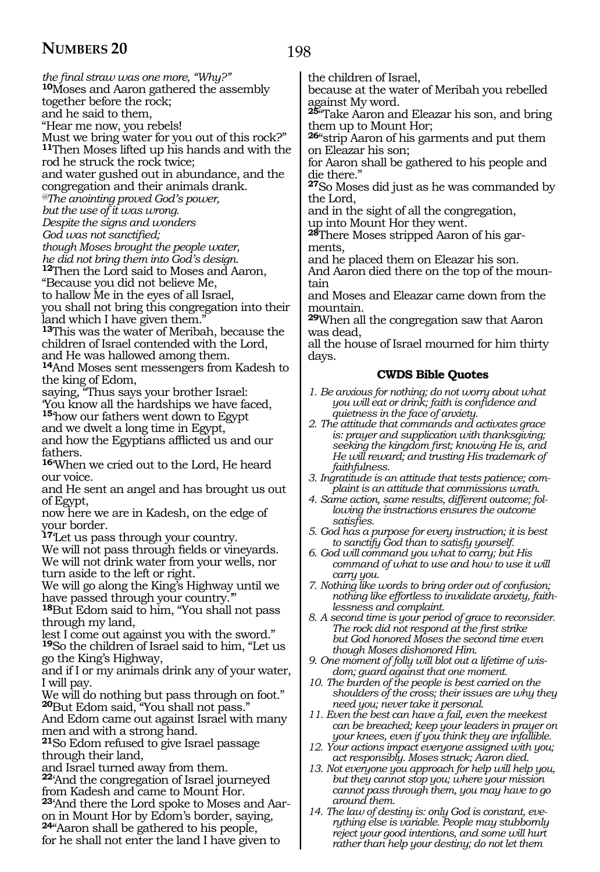198

*the final straw was one more, "Why?"* **<sup>10</sup>**Moses and Aaron gathered the assembly together before the rock; and he said to them, "Hear me now, you rebels! Must we bring water for you out of this rock?" **<sup>11</sup>**Then Moses lifted up his hands and with the rod he struck the rock twice; and water gushed out in abundance, and the congregation and their animals drank. *@The anointing proved God's power, but the use of it was wrong. Despite the signs and wonders God was not sanctified; though Moses brought the people water, he did not bring them into God's design.* **<sup>12</sup>**Then the Lord said to Moses and Aaron, "Because you did not believe Me, to hallow Me in the eyes of all Israel, you shall not bring this congregation into their land which I have given them. **<sup>13</sup>**This was the water of Meribah, because the children of Israel contended with the Lord, and He was hallowed among them. **<sup>14</sup>**And Moses sent messengers from Kadesh to the king of Edom, saying, "Thus says your brother Israel: 'You know all the hardships we have faced, **<sup>15</sup>**'how our fathers went down to Egypt and we dwelt a long time in Egypt, and how the Egyptians afflicted us and our fathers. **<sup>16</sup>**'When we cried out to the Lord, He heard our voice. and He sent an angel and has brought us out of Egypt, now here we are in Kadesh, on the edge of your border. **<sup>17</sup>**'Let us pass through your country. We will not pass through fields or vineyards. We will not drink water from your wells, nor turn aside to the left or right. We will go along the King's Highway until we have passed through your country.' **<sup>18</sup>**But Edom said to him, "You shall not pass through my land, lest I come out against you with the sword." **<sup>19</sup>**So the children of Israel said to him, "Let us go the King's Highway, and if I or my animals drink any of your water, I will pay. We will do nothing but pass through on foot." **<sup>20</sup>**But Edom said, "You shall not pass." And Edom came out against Israel with many men and with a strong hand. **<sup>21</sup>**So Edom refused to give Israel passage through their land, and Israel turned away from them. **<sup>22</sup>**'And the congregation of Israel journeyed from Kadesh and came to Mount Hor. **<sup>23</sup>**'And there the Lord spoke to Moses and Aar- on in Mount Hor by Edom's border, saying, **<sup>24</sup>**"Aaron shall be gathered to his people,

for he shall not enter the land I have given to

the children of Israel,

because at the water of Meribah you rebelled against My word.

**<sup>25</sup>**"Take Aaron and Eleazar his son, and bring them up to Mount Hor;

**<sup>26</sup>**"strip Aaron of his garments and put them on Eleazar his son;

for Aaron shall be gathered to his people and die there."

**<sup>27</sup>**So Moses did just as he was commanded by the Lord,

and in the sight of all the congregation,

up into Mount Hor they went.

**28**There Moses stripped Aaron of his garments,

and he placed them on Eleazar his son.

And Aaron died there on the top of the mountain

and Moses and Eleazar came down from the mountain.

**<sup>29</sup>**When all the congregation saw that Aaron was dead,

all the house of Israel mourned for him thirty days.

### **CWDS Bible Quotes**

*1. Be anxious for nothing; do not worry about what you will eat or drink; faith is confidence and quietness in the face of anxiety.*

*2. The attitude that commands and activates grace is: prayer and supplication with thanksgiving; seeking the kingdom first; knowing He is, and He will reward; and trusting His trademark of faithfulness.*

- *3. Ingratitude is an attitude that tests patience; complaint is an attitude that commissions wrath.*
- *4. Same action, same results, different outcome; following the instructions ensures the outcome satisfies.*
- *5. God has a purpose for every instruction; it is best to sanctify God than to satisfy yourself.*
- *6. God will command you what to carry; but His command of what to use and how to use it will carry you.*
- *7. Nothing like words to bring order out of confusion; nothing like effortless to invalidate anxiety, faithlessness and complaint.*

*8. A second time is your period of grace to reconsider. The rock did not respond at the first strike but God honored Moses the second time even though Moses dishonored Him.* 

*9. One moment of folly will blot out a lifetime of wisdom; guard against that one moment.*

*10. The burden of the people is best carried on the shoulders of the cross; their issues are why they need you; never take it personal.*

*11. Even the best can have a fail, even the meekest can be breached; keep your leaders in prayer on your knees, even if you think they are infallible.*

*12. Your actions impact everyone assigned with you; act responsibly. Moses struck; Aaron died.* 

*13. Not everyone you approach for help will help you, but they cannot stop you; where your mission cannot pass through them, you may have to go around them.* 

*14. The law of destiny is: only God is constant, everything else is variable. People may stubbornly reject your good intentions, and some will hurt rather than help your destiny; do not let them*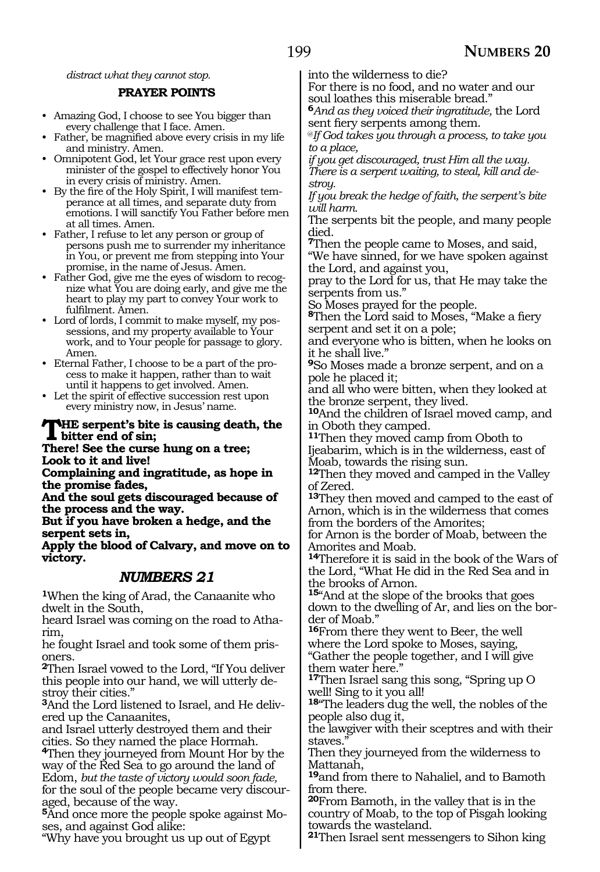*distract what they cannot stop.*

#### **PRAYER POINTS**

- Amazing God, I choose to see You bigger than every challenge that I face. Amen.
- Father, be magnified above every crisis in my life and ministry. Amen.
- Omnipotent God, let Your grace rest upon every minister of the gospel to effectively honor You in every crisis of ministry. Amen.
- By the fire of the Holy Spirit, I will manifest temperance at all times, and separate duty from emotions. I will sanctify You Father before men at all times. Amen.
- Father, I refuse to let any person or group of persons push me to surrender my inheritance in You, or prevent me from stepping into Your promise, in the name of Jesus. Amen.
- Father God, give me the eyes of wisdom to recognize what You are doing early, and give me the heart to play my part to convey Your work to fulfilment. Amen.
- Lord of lords, I commit to make myself, my possessions, and my property available to Your work, and to Your people for passage to glory. Amen.
- Eternal Father, I choose to be a part of the process to make it happen, rather than to wait until it happens to get involved. Amen.
- Let the spirit of effective succession rest upon every ministry now, in Jesus' name.

# **THE serpent's bite is causing death, the**<br> **bitter end of sin;**<br> **There!** See the sume burg on a tree:

**There! See the curse hung on a tree; Look to it and live!**

**Complaining and ingratitude, as hope in the promise fades,**

**And the soul gets discouraged because of the process and the way.**

**But if you have broken a hedge, and the serpent sets in,**

**Apply the blood of Calvary, and move on to victory.**

### *NUMBERS 21*

**<sup>1</sup>**When the king of Arad, the Canaanite who dwelt in the South,

heard Israel was coming on the road to Atharim,

he fought Israel and took some of them prisoners.

**<sup>2</sup>**Then Israel vowed to the Lord, "If You deliver this people into our hand, we will utterly destroy their cities."

**3**And the Lord listened to Israel, and He delivered up the Canaanites,

and Israel utterly destroyed them and their cities. So they named the place Hormah.

**<sup>4</sup>**Then they journeyed from Mount Hor by the way of the Red Sea to go around the land of Edom, *but the taste of victory would soon fade,* for the soul of the people became very discouraged, because of the way.

**5**And once more the people spoke against Moses, and against God alike:

"Why have you brought us up out of Egypt

into the wilderness to die?

For there is no food, and no water and our soul loathes this miserable bread."

**<sup>6</sup>***And as they voiced their ingratitude,* the Lord sent fiery serpents among them.

@*If God takes you through a process, to take you to a place,*

*if you get discouraged, trust Him all the way. There is a serpent waiting, to steal, kill and destroy.*

*If you break the hedge of faith, the serpent's bite will harm.*

The serpents bit the people, and many people died.

**<sup>7</sup>**Then the people came to Moses, and said,

"We have sinned, for we have spoken against the Lord, and against you,

pray to the Lord for us, that He may take the serpents from us."

So Moses prayed for the people.

**<sup>8</sup>**Then the Lord said to Moses, "Make a fiery serpent and set it on a pole;

and everyone who is bitten, when he looks on it he shall live."

**<sup>9</sup>**So Moses made a bronze serpent, and on a pole he placed it;

and all who were bitten, when they looked at the bronze serpent, they lived.

**<sup>10</sup>**And the children of Israel moved camp, and in Oboth they camped.

**<sup>11</sup>**Then they moved camp from Oboth to Ijeabarim, which is in the wilderness, east of Moab, towards the rising sun.

**<sup>12</sup>**Then they moved and camped in the Valley of Zered.

**<sup>13</sup>**They then moved and camped to the east of Arnon, which is in the wilderness that comes from the borders of the Amorites;

for Arnon is the border of Moab, between the Amorites and Moab.

**<sup>14</sup>**Therefore it is said in the book of the Wars of the Lord, "What He did in the Red Sea and in the brooks of Arnon.

**<sup>15</sup>**"And at the slope of the brooks that goes down to the dwelling of Ar, and lies on the border of Moab."

**<sup>16</sup>**From there they went to Beer, the well where the Lord spoke to Moses, saying,

"Gather the people together, and I will give them water here."

**<sup>17</sup>**Then Israel sang this song, "Spring up O well! Sing to it you all!

**<sup>18</sup>**"The leaders dug the well, the nobles of the people also dug it,

the lawgiver with their sceptres and with their staves.

Then they journeyed from the wilderness to Mattanah,

**<sup>19</sup>**and from there to Nahaliel, and to Bamoth from there.

**<sup>20</sup>**From Bamoth, in the valley that is in the country of Moab, to the top of Pisgah looking towards the wasteland.

**<sup>21</sup>**Then Israel sent messengers to Sihon king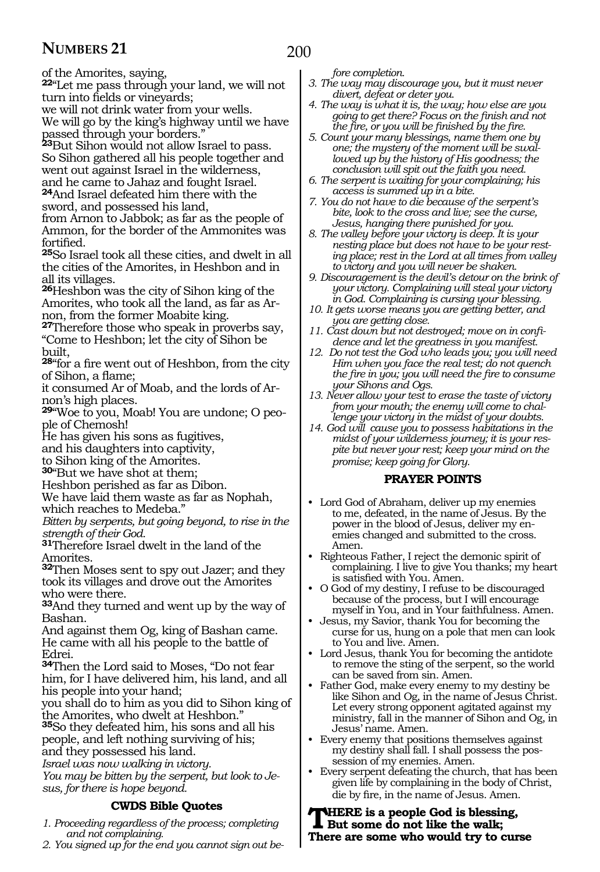200

of the Amorites, saying,

**<sup>22</sup>**"Let me pass through your land, we will not turn into fields or vineyards;

we will not drink water from your wells.

We will go by the king's highway until we have passed through your borders."

**<sup>23</sup>**But Sihon would not allow Israel to pass. So Sihon gathered all his people together and went out against Israel in the wilderness, and he came to Jahaz and fought Israel.

**<sup>24</sup>**And Israel defeated him there with the sword, and possessed his land,

from Arnon to Jabbok; as far as the people of Ammon, for the border of the Ammonites was fortified.

**<sup>25</sup>**So Israel took all these cities, and dwelt in all the cities of the Amorites, in Heshbon and in all its villages.

**<sup>26</sup>**Heshbon was the city of Sihon king of the Amorites, who took all the land, as far as Arnon, from the former Moabite king.

**<sup>27</sup>**Therefore those who speak in proverbs say, "Come to Heshbon; let the city of Sihon be built,

**<sup>28</sup>**"for a fire went out of Heshbon, from the city of Sihon, a flame;

it consumed Ar of Moab, and the lords of Arnon's high places.

**29**"Woe to you, Moab! You are undone; O people of Chemosh!

He has given his sons as fugitives,

and his daughters into captivity,

to Sihon king of the Amorites.

**<sup>30</sup>**"But we have shot at them;

Heshbon perished as far as Dibon.

We have laid them waste as far as Nophah, which reaches to Medeba."

*Bitten by serpents, but going beyond, to rise in the strength of their God.*

**<sup>31</sup>**Therefore Israel dwelt in the land of the Amorites.

**<sup>32</sup>**Then Moses sent to spy out Jazer; and they took its villages and drove out the Amorites who were there.

**<sup>33</sup>**And they turned and went up by the way of Bashan.

And against them Og, king of Bashan came. He came with all his people to the battle of Edrei.

**<sup>34</sup>**Then the Lord said to Moses, "Do not fear him, for I have delivered him, his land, and all his people into your hand;

you shall do to him as you did to Sihon king of the Amorites, who dwelt at Heshbon."

**<sup>35</sup>**So they defeated him, his sons and all his people, and left nothing surviving of his; and they possessed his land.

*Israel was now walking in victory.*

*You may be bitten by the serpent, but look to Jesus, for there is hope beyond.*

### **CWDS Bible Quotes**

- *1. Proceeding regardless of the process; completing and not complaining.*
- *2. You signed up for the end you cannot sign out be-*

*fore completion.*

- *3. The way may discourage you, but it must never divert, defeat or deter you.*
- *4. The way is what it is, the way; how else are you going to get there? Focus on the finish and not the fire, or you will be finished by the fire.*
- *5. Count your many blessings, name them one by one; the mystery of the moment will be swallowed up by the history of His goodness; the conclusion will spit out the faith you need.*
- *6. The serpent is waiting for your complaining; his access is summed up in a bite.*
- *7. You do not have to die because of the serpent's bite, look to the cross and live; see the curse, Jesus, hanging there punished for you.*
- *8. The valley before your victory is deep. It is your nesting place but does not have to be your resting place; rest in the Lord at all times from valley to victory and you will never be shaken.*
- *9. Discouragement is the devil's detour on the brink of your victory. Complaining will steal your victory in God. Complaining is cursing your blessing.*
- *10. It gets worse means you are getting better, and you are getting close.*
- *11. Cast down but not destroyed; move on in confidence and let the greatness in you manifest.*
- *12. Do not test the God who leads you; you will need Him when you face the real test; do not quench the fire in you; you will need the fire to consume your Sihons and Ogs.*
- *13. Never allow your test to erase the taste of victory from your mouth; the enemy will come to challenge your victory in the midst of your doubts.*
- *14. God will cause you to possess habitations in the midst of your wilderness journey; it is your respite but never your rest; keep your mind on the promise; keep going for Glory.*

#### **PRAYER POINTS**

- Lord God of Abraham, deliver up my enemies to me, defeated, in the name of Jesus. By the power in the blood of Jesus, deliver my enemies changed and submitted to the cross. Amen.
- Righteous Father, I reject the demonic spirit of complaining. I live to give You thanks; my heart is satisfied with You. Amen.
- O God of my destiny, I refuse to be discouraged because of the process, but I will encourage myself in You, and in Your faithfulness. Amen.
- Jesus, my Savior, thank You for becoming the curse for us, hung on a pole that men can look to You and live. Amen.
- Lord Jesus, thank You for becoming the antidote to remove the sting of the serpent, so the world can be saved from sin. Amen.
- Father God, make every enemy to my destiny be like Sihon and Og, in the name of Jesus Christ. Let every strong opponent agitated against my ministry, fall in the manner of Sihon and Og, in Jesus' name. Amen.
- Every enemy that positions themselves against my destiny shall fall. I shall possess the possession of my enemies. Amen.
- Every serpent defeating the church, that has been given life by complaining in the body of Christ, die by fire, in the name of Jesus. Amen.

**THERE** is a people God is blessing,<br>But some do not like the walk;<br>There are agreements would turn to sure **There are some who would try to curse**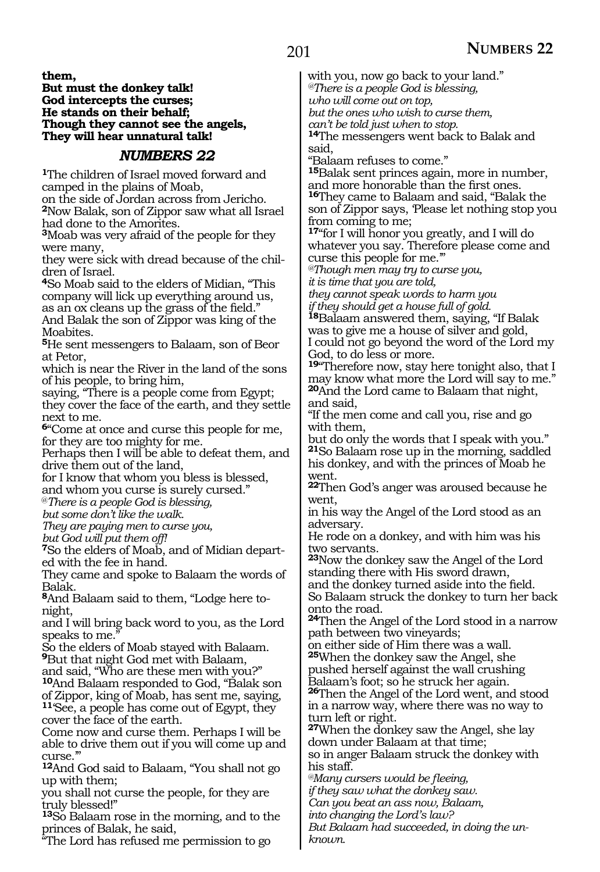**them,**

#### **But must the donkey talk! God intercepts the curses; He stands on their behalf; Though they cannot see the angels, They will hear unnatural talk!**

### *NUMBERS 22*

**<sup>1</sup>**The children of Israel moved forward and camped in the plains of Moab,

on the side of Jordan across from Jericho. **<sup>2</sup>**Now Balak, son of Zippor saw what all Israel had done to the Amorites.

**<sup>3</sup>**Moab was very afraid of the people for they were many,

they were sick with dread because of the children of Israel.

**<sup>4</sup>**So Moab said to the elders of Midian, "This company will lick up everything around us, as an ox cleans up the grass of the field."

And Balak the son of Zippor was king of the Moabites.

**<sup>5</sup>**He sent messengers to Balaam, son of Beor at Petor,

which is near the River in the land of the sons of his people, to bring him,

saying, "There is a people come from Egypt; they cover the face of the earth, and they settle next to me.

**<sup>6</sup>**"Come at once and curse this people for me, for they are too mighty for me.

Perhaps then I will be able to defeat them, and drive them out of the land,

for I know that whom you bless is blessed, and whom you curse is surely cursed."

@*There is a people God is blessing,* 

*but some don't like the walk.* 

*They are paying men to curse you,* 

*but God will put them off!* 

**7**So the elders of Moab, and of Midian departed with the fee in hand.

They came and spoke to Balaam the words of Balak.

**8**And Balaam said to them, "Lodge here tonight,

and I will bring back word to you, as the Lord speaks to me."

So the elders of Moab stayed with Balaam. **<sup>9</sup>**But that night God met with Balaam,

and said, "Who are these men with you?" **<sup>10</sup>**And Balaam responded to God, "Balak son of Zippor, king of Moab, has sent me, saying, **<sup>11</sup>**'See, a people has come out of Egypt, they cover the face of the earth.

Come now and curse them. Perhaps I will be able to drive them out if you will come up and  $_{\rm CUISS}$   $^{\prime}$ 

**<sup>12</sup>**And God said to Balaam, "You shall not go up with them;

you shall not curse the people, for they are truly blessed!"

**<sup>13</sup>**So Balaam rose in the morning, and to the princes of Balak, he said,

"The Lord has refused me permission to go

with you, now go back to your land." *@There is a people God is blessing, who will come out on top, but the ones who wish to curse them,*

*can't be told just when to stop.*

**<sup>14</sup>**The messengers went back to Balak and said,

"Balaam refuses to come."

**<sup>15</sup>**Balak sent princes again, more in number, and more honorable than the first ones. **<sup>16</sup>**They came to Balaam and said, "Balak the son of Zippor says, 'Please let nothing stop you from coming to me;

**<sup>17</sup>**"for I will honor you greatly, and I will do whatever you say. Therefore please come and curse this people for me.'"

*@Though men may try to curse you, it is time that you are told,* 

*they cannot speak words to harm you if they should get a house full of gold.* 

**<sup>18</sup>**Balaam answered them, saying, "If Balak was to give me a house of silver and gold, I could not go beyond the word of the Lord my God, to do less or more.

**<sup>19</sup>**"Therefore now, stay here tonight also, that I may know what more the Lord will say to me." **<sup>20</sup>**And the Lord came to Balaam that night, and said,

"If the men come and call you, rise and go with them,

but do only the words that I speak with you." **<sup>21</sup>**So Balaam rose up in the morning, saddled his donkey, and with the princes of Moab he went.

**<sup>22</sup>**Then God's anger was aroused because he went,

in his way the Angel of the Lord stood as an adversary.

He rode on a donkey, and with him was his two servants.

**<sup>23</sup>**Now the donkey saw the Angel of the Lord standing there with His sword drawn,

and the donkey turned aside into the field. So Balaam struck the donkey to turn her back onto the road.

**<sup>24</sup>**Then the Angel of the Lord stood in a narrow path between two vineyards;

on either side of Him there was a wall. **<sup>25</sup>**When the donkey saw the Angel, she pushed herself against the wall crushing Balaam's foot; so he struck her again.

**<sup>26</sup>**Then the Angel of the Lord went, and stood in a narrow way, where there was no way to turn left or right.

**<sup>27</sup>**When the donkey saw the Angel, she lay down under Balaam at that time; so in anger Balaam struck the donkey with his staff.

*@Many cursers would be fleeing,*

*if they saw what the donkey saw.* 

*Can you beat an ass now, Balaam,* 

*into changing the Lord's law?* 

*But Balaam had succeeded, in doing the unknown.*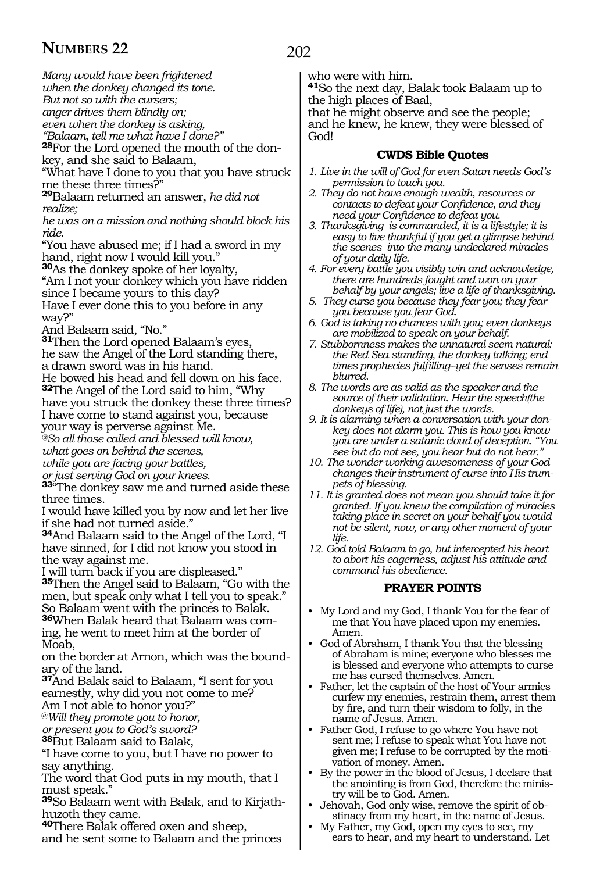*Many would have been frightened*

*when the donkey changed its tone.*

*But not so with the cursers; anger drives them blindly on;*

*even when the donkey is asking,* 

*"Balaam, tell me what have I done?"* 

**28**For the Lord opened the mouth of the don-

key, and she said to Balaam,

"What have I done to you that you have struck me these three times?"

**<sup>29</sup>**Balaam returned an answer, *he did not realize;*

*he was on a mission and nothing should block his ride.* 

"You have abused me; if I had a sword in my hand, right now I would kill you."

**<sup>30</sup>**As the donkey spoke of her loyalty,

"Am I not your donkey which you have ridden since I became yours to this day? Have I ever done this to you before in any way?"

And Balaam said, "No."

**<sup>31</sup>**Then the Lord opened Balaam's eyes, he saw the Angel of the Lord standing there, a drawn sword was in his hand.

He bowed his head and fell down on his face. **<sup>32</sup>**The Angel of the Lord said to him, "Why have you struck the donkey these three times? I have come to stand against you, because

your way is perverse against Me.

*@So all those called and blessed will know, what goes on behind the scenes,*

*while you are facing your battles,*

*or just serving God on your knees.*

**<sup>33</sup>**"The donkey saw me and turned aside these three times.

I would have killed you by now and let her live if she had not turned aside."

**<sup>34</sup>**And Balaam said to the Angel of the Lord, "I have sinned, for I did not know you stood in the way against me.

I will turn back if you are displeased."

**<sup>35</sup>**Then the Angel said to Balaam, "Go with the men, but speak only what I tell you to speak." So Balaam went with the princes to Balak.

**36**When Balak heard that Balaam was coming, he went to meet him at the border of Moab,

on the border at Arnon, which was the boundary of the land.

**<sup>37</sup>**And Balak said to Balaam, "I sent for you earnestly, why did you not come to me? Am I not able to honor you?"

@*Will they promote you to honor,* 

*or present you to God's sword?* 

**<sup>38</sup>**But Balaam said to Balak,

"I have come to you, but I have no power to say anything.

The word that God puts in my mouth, that I must speak."

**39**So Balaam went with Balak, and to Kirjathhuzoth they came.

**<sup>40</sup>**There Balak offered oxen and sheep, and he sent some to Balaam and the princes

### 202

who were with him.

**<sup>41</sup>**So the next day, Balak took Balaam up to the high places of Baal,

that he might observe and see the people; and he knew, he knew, they were blessed of God!

### **CWDS Bible Quotes**

- *1. Live in the will of God for even Satan needs God's permission to touch you.*
- *2. They do not have enough wealth, resources or contacts to defeat your Confidence, and they need your Confidence to defeat you.*
- *3. Thanksgiving is commanded, it is a lifestyle; it is easy to live thankful if you get a glimpse behind the scenes into the many undeclared miracles of your daily life.*
- *4. For every battle you visibly win and acknowledge, there are hundreds fought and won on your behalf by your angels; live a life of thanksgiving.*
- *5. They curse you because they fear you; they fear you because you fear God.*
- *6. God is taking no chances with you; even donkeys are mobilized to speak on your behalf.*
- *7. Stubbornness makes the unnatural seem natural: the Red Sea standing, the donkey talking; end times prophecies fulfilling\_\_yet the senses remain blurred.*
- *8. The words are as valid as the speaker and the source of their validation. Hear the speech(the donkeys of life), not just the words.*
- *9. It is alarming when a conversation with your donkey does not alarm you. This is how you know you are under a satanic cloud of deception. "You see but do not see, you hear but do not hear."*
- *10. The wonder-working awesomeness of your God changes their instrument of curse into His trumpets of blessing.*
- *11. It is granted does not mean you should take it for granted. If you knew the compilation of miracles taking place in secret on your behalf you would not be silent, now, or any other moment of your life.*
- *12. God told Balaam to go, but intercepted his heart to abort his eagerness, adjust his attitude and command his obedience.*

### **PRAYER POINTS**

- My Lord and my God, I thank You for the fear of me that You have placed upon my enemies. Amen.
- God of Abraham, I thank You that the blessing of Abraham is mine; everyone who blesses me is blessed and everyone who attempts to curse me has cursed themselves. Amen.
- Father, let the captain of the host of Your armies curfew my enemies, restrain them, arrest them by fire, and turn their wisdom to folly, in the name of Jesus. Amen.
- Father God, I refuse to go where You have not sent me; I refuse to speak what You have not given me; I refuse to be corrupted by the motivation of money. Amen.
- By the power in the blood of Jesus, I declare that the anointing is from God, therefore the ministry will be to God. Amen.
- Jehovah, God only wise, remove the spirit of obstinacy from my heart, in the name of Jesus.
- My Father, my God, open my eyes to see, my ears to hear, and my heart to understand. Let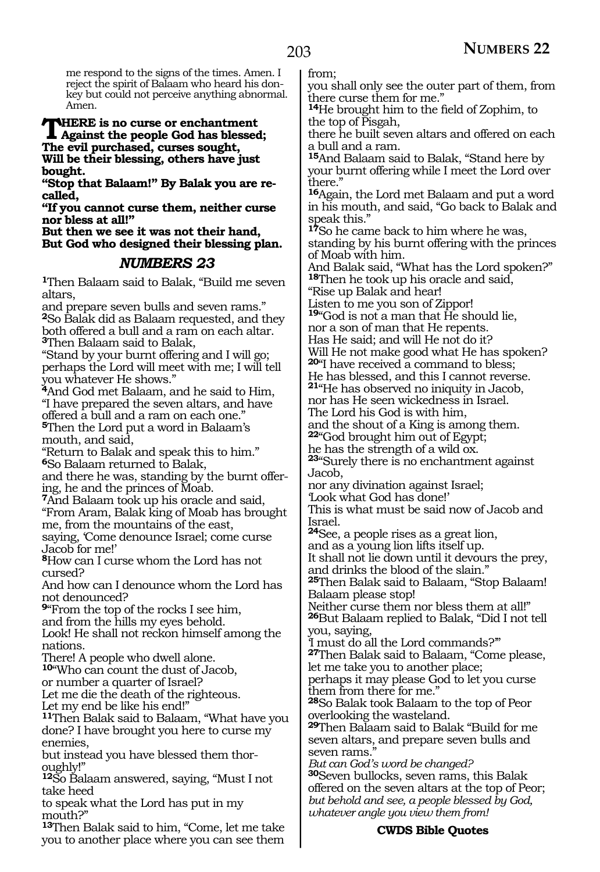me respond to the signs of the times. Amen. I reject the spirit of Balaam who heard his donkey but could not perceive anything abnormal. Amen.

### **THERE is no curse or enchantment**<br>Against the people God has blessed;<br>The original property countries **The evil purchased, curses sought, Will be their blessing, others have just bought.**

**"Stop that Balaam!" By Balak you are recalled,** 

**"If you cannot curse them, neither curse nor bless at all!"**

**But then we see it was not their hand, But God who designed their blessing plan.**

### *NUMBERS 23*

**<sup>1</sup>**Then Balaam said to Balak, "Build me seven altars,

and prepare seven bulls and seven rams." **<sup>2</sup>**So Balak did as Balaam requested, and they both offered a bull and a ram on each altar. **<sup>3</sup>**Then Balaam said to Balak,

"Stand by your burnt offering and I will go; perhaps the Lord will meet with me; I will tell you whatever He shows."

**<sup>4</sup>**And God met Balaam, and he said to Him, "I have prepared the seven altars, and have offered a bull and a ram on each one."

**<sup>5</sup>**Then the Lord put a word in Balaam's mouth, and said,

"Return to Balak and speak this to him." **<sup>6</sup>**So Balaam returned to Balak,

and there he was, standing by the burnt offering, he and the princes of Moab.

**<sup>7</sup>**And Balaam took up his oracle and said, "From Aram, Balak king of Moab has brought

me, from the mountains of the east,

saying, 'Come denounce Israel; come curse Jacob for me!'

**<sup>8</sup>**How can I curse whom the Lord has not cursed?

And how can I denounce whom the Lord has not denounced?

**<sup>9</sup>**"From the top of the rocks I see him,

and from the hills my eyes behold.

Look! He shall not reckon himself among the nations.

There! A people who dwell alone.

**<sup>10</sup>**"Who can count the dust of Jacob,

or number a quarter of Israel?

Let me die the death of the righteous.

Let my end be like his end!"

**<sup>11</sup>**Then Balak said to Balaam, "What have you done? I have brought you here to curse my enemies,

but instead you have blessed them thoroughly!"

**<sup>12</sup>**So Balaam answered, saying, "Must I not take heed

to speak what the Lord has put in my mouth?"

**<sup>13</sup>**Then Balak said to him, "Come, let me take you to another place where you can see them from;

you shall only see the outer part of them, from there curse them for me."

**<sup>14</sup>**He brought him to the field of Zophim, to the top of Pisgah,

there he built seven altars and offered on each a bull and a ram.

**<sup>15</sup>**And Balaam said to Balak, "Stand here by your burnt offering while I meet the Lord over there."

**<sup>16</sup>**Again, the Lord met Balaam and put a word in his mouth, and said, "Go back to Balak and speak this."

**<sup>17</sup>**So he came back to him where he was,

standing by his burnt offering with the princes of Moab with him.

And Balak said, "What has the Lord spoken?" **<sup>18</sup>**Then he took up his oracle and said,

"Rise up Balak and hear!

Listen to me you son of Zippor! **<sup>19</sup>**"God is not a man that He should lie,

nor a son of man that He repents.

Has He said; and will He not do it?

Will He not make good what He has spoken?

**<sup>20</sup>**"I have received a command to bless;

He has blessed, and this I cannot reverse. **<sup>21</sup>**"He has observed no iniquity in Jacob,

nor has He seen wickedness in Israel.

The Lord his God is with him,

and the shout of a King is among them.

**<sup>22</sup>**"God brought him out of Egypt;

he has the strength of a wild ox.

**<sup>23</sup>**"Surely there is no enchantment against Jacob,

nor any divination against Israel;

'Look what God has done!'

This is what must be said now of Jacob and Israel.

**<sup>24</sup>**See, a people rises as a great lion,

and as a young lion lifts itself up.

It shall not lie down until it devours the prey, and drinks the blood of the slain."

**<sup>25</sup>**Then Balak said to Balaam, "Stop Balaam! Balaam please stop!

Neither curse them nor bless them at all!" **<sup>26</sup>**But Balaam replied to Balak, "Did I not tell you, saying,

'I must do all the Lord commands?'"

**<sup>27</sup>**Then Balak said to Balaam, "Come please, let me take you to another place;

perhaps it may please God to let you curse them from there for me."

**<sup>28</sup>**So Balak took Balaam to the top of Peor overlooking the wasteland.

**<sup>29</sup>**Then Balaam said to Balak "Build for me seven altars, and prepare seven bulls and seven rams.'

*But can God's word be changed?* **<sup>30</sup>**Seven bullocks, seven rams, this Balak offered on the seven altars at the top of Peor; *but behold and see, a people blessed by God, whatever angle you view them from!* 

### **CWDS Bible Quotes**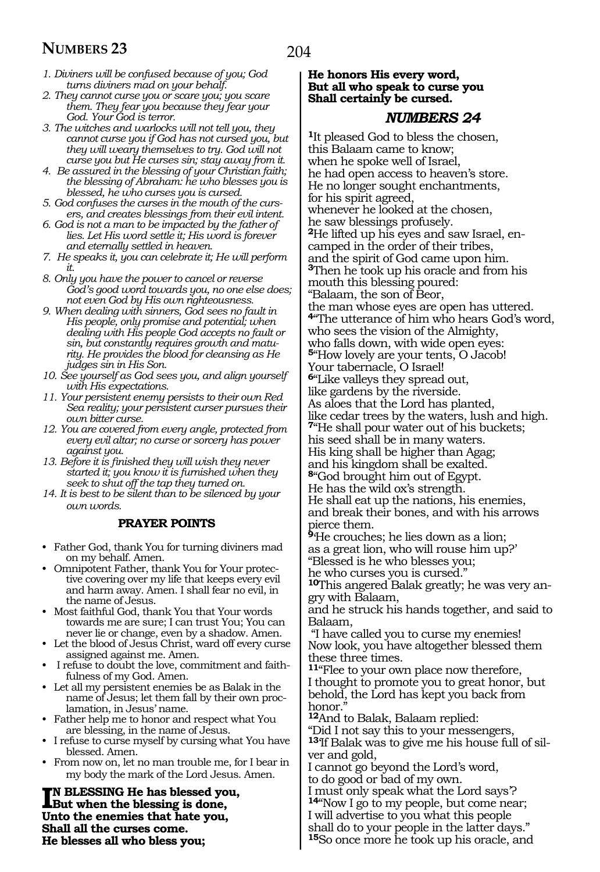- *1. Diviners will be confused because of you; God turns diviners mad on your behalf.*
- *2. They cannot curse you or scare you; you scare them. They fear you because they fear your God. Your God is terror.*
- *3. The witches and warlocks will not tell you, they cannot curse you if God has not cursed you, but they will weary themselves to try. God will not curse you but He curses sin; stay away from it.*
- *4. Be assured in the blessing of your Christian faith; the blessing of Abraham: he who blesses you is blessed, he who curses you is cursed.*
- *5. God confuses the curses in the mouth of the cursers, and creates blessings from their evil intent.*
- *6. God is not a man to be impacted by the father of lies. Let His word settle it; His word is forever and eternally settled in heaven.*
- *7. He speaks it, you can celebrate it; He will perform it.*
- *8. Only you have the power to cancel or reverse God's good word towards you, no one else does; not even God by His own righteousness.*
- *9. When dealing with sinners, God sees no fault in His people, only promise and potential; when dealing with His people God accepts no fault or sin, but constantly requires growth and maturity. He provides the blood for cleansing as He judges sin in His Son.*
- *10. See yourself as God sees you, and align yourself with His expectations.*
- *11. Your persistent enemy persists to their own Red Sea reality; your persistent curser pursues their own bitter curse.*
- *12. You are covered from every angle, protected from every evil altar; no curse or sorcery has power against you.*
- *13. Before it is finished they will wish they never started it; you know it is furnished when they seek to shut off the tap they turned on.*
- *14. It is best to be silent than to be silenced by your own words.*

#### **PRAYER POINTS**

- Father God, thank You for turning diviners mad on my behalf. Amen.
- Omnipotent Father, thank You for Your protective covering over my life that keeps every evil and harm away. Amen. I shall fear no evil, in the name of Jesus.
- Most faithful God, thank You that Your words towards me are sure; I can trust You; You can never lie or change, even by a shadow. Amen.
- Let the blood of Jesus Christ, ward off every curse assigned against me. Amen.
- refuse to doubt the love, commitment and faithfulness of my God. Amen.
- Let all my persistent enemies be as Balak in the name of Jesus; let them fall by their own proclamation, in Jesus' name.
- Father help me to honor and respect what You are blessing, in the name of Jesus.
- I refuse to curse myself by cursing what You have blessed. Amen.
- From now on, let no man trouble me, for I bear in my body the mark of the Lord Jesus. Amen.

**IN BLESSING He has blessed you but when the blessing is done, n blessing He has blessed you, Unto the enemies that hate you, Shall all the curses come. He blesses all who bless you;**

#### **He honors His every word, But all who speak to curse you Shall certainly be cursed.**

### *NUMBERS 24*

**<sup>1</sup>**It pleased God to bless the chosen, this Balaam came to know; when he spoke well of Israel, he had open access to heaven's store. He no longer sought enchantments, for his spirit agreed, whenever he looked at the chosen, he saw blessings profusely. **<sup>2</sup>**He lifted up his eyes and saw Israel, en- camped in the order of their tribes, and the spirit of God came upon him. **<sup>3</sup>**Then he took up his oracle and from his mouth this blessing poured: "Balaam, the son of Beor, the man whose eyes are open has uttered. **<sup>4</sup>**"The utterance of him who hears God's word, who sees the vision of the Almighty, who falls down, with wide open eyes: **<sup>5</sup>**"How lovely are your tents, O Jacob! Your tabernacle, O Israel! **<sup>6</sup>**"Like valleys they spread out, like gardens by the riverside. As aloes that the Lord has planted, like cedar trees by the waters, lush and high. **<sup>7</sup>**"He shall pour water out of his buckets; his seed shall be in many waters. His king shall be higher than Agag; and his kingdom shall be exalted. **<sup>8</sup>**"God brought him out of Egypt. He has the wild ox's strength. He shall eat up the nations, his enemies, and break their bones, and with his arrows pierce them. **<sup>9</sup>**'He crouches; he lies down as a lion; as a great lion, who will rouse him up?' "Blessed is he who blesses you; he who curses you is cursed." **10**This angered Balak greatly; he was very angry with Balaam, and he struck his hands together, and said to Balaam, "I have called you to curse my enemies! Now look, you have altogether blessed them these three times. **<sup>11</sup>**"Flee to your own place now therefore, I thought to promote you to great honor, but behold, the Lord has kept you back from honor." **<sup>12</sup>**And to Balak, Balaam replied: "Did I not say this to your messengers, **13**'If Balak was to give me his house full of silver and gold,

I cannot go beyond the Lord's word, to do good or bad of my own.

I must only speak what the Lord says'?

**<sup>14</sup>**"Now I go to my people, but come near; I will advertise to you what this people

shall do to your people in the latter days." **<sup>15</sup>**So once more he took up his oracle, and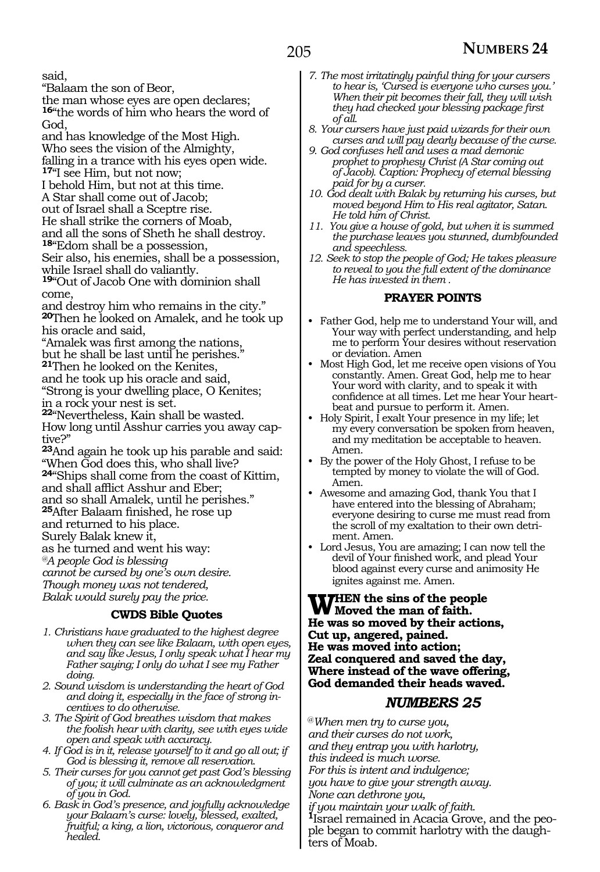said,

"Balaam the son of Beor,

the man whose eyes are open declares; **<sup>16</sup>**"the words of him who hears the word of

God, and has knowledge of the Most High. Who sees the vision of the Almighty, falling in a trance with his eyes open wide. **<sup>17</sup>**"I see Him, but not now; I behold Him, but not at this time. A Star shall come out of Jacob; out of Israel shall a Sceptre rise. He shall strike the corners of Moab, and all the sons of Sheth he shall destroy. **<sup>18</sup>**"Edom shall be a possession, Seir also, his enemies, shall be a possession, while Israel shall do valiantly.

**<sup>19</sup>**"Out of Jacob One with dominion shall come,

and destroy him who remains in the city." **<sup>20</sup>**Then he looked on Amalek, and he took up his oracle and said,

"Amalek was first among the nations, but he shall be last until he perishes."

**<sup>21</sup>**Then he looked on the Kenites,

and he took up his oracle and said,

"Strong is your dwelling place, O Kenites; in a rock your nest is set.

**<sup>22</sup>**"Nevertheless, Kain shall be wasted. How long until Asshur carries you away captive?"

**<sup>23</sup>**And again he took up his parable and said: "When God does this, who shall live? **<sup>24</sup>**"Ships shall come from the coast of Kittim, and shall afflict Asshur and Eber; and so shall Amalek, until he perishes." **<sup>25</sup>**After Balaam finished, he rose up and returned to his place.

Surely Balak knew it,

as he turned and went his way:

*@A people God is blessing*

*cannot be cursed by one's own desire.*

*Though money was not tendered,*

*Balak would surely pay the price.*

### **CWDS Bible Quotes**

- *1. Christians have graduated to the highest degree when they can see like Balaam, with open eyes, and say like Jesus, I only speak what I hear my Father saying; I only do what I see my Father doing.*
- *2. Sound wisdom is understanding the heart of God and doing it, especially in the face of strong incentives to do otherwise.*
- *3. The Spirit of God breathes wisdom that makes the foolish hear with clarity, see with eyes wide open and speak with accuracy.*
- *4. If God is in it, release yourself to it and go all out; if God is blessing it, remove all reservation.*
- *5. Their curses for you cannot get past God's blessing of you; it will culminate as an acknowledgment of you in God.*
- *6. Bask in God's presence, and joyfully acknowledge your Balaam's curse: lovely, blessed, exalted, fruitful; a king, a lion, victorious, conqueror and healed.*
- *7. The most irritatingly painful thing for your cursers to hear is, 'Cursed is everyone who curses you.' When their pit becomes their fall, they will wish they had checked your blessing package first of all.*
- *8. Your cursers have just paid wizards for their own curses and will pay dearly because of the curse.*
- *9. God confuses hell and uses a mad demonic prophet to prophesy Christ (A Star coming out of Jacob). Caption: Prophecy of eternal blessing paid for by a curser.*
- *10. God dealt with Balak by returning his curses, but moved beyond Him to His real agitator, Satan. He told him of Christ.*
- *11. You give a house of gold, but when it is summed the purchase leaves you stunned, dumbfounded and speechless.*
- *12. Seek to stop the people of God; He takes pleasure to reveal to you the full extent of the dominance He has invested in them .*

### **PRAYER POINTS**

- Father God, help me to understand Your will, and Your way with perfect understanding, and help me to perform Your desires without reservation or deviation. Amen
- Most High God, let me receive open visions of You constantly. Amen. Great God, help me to hear Your word with clarity, and to speak it with confidence at all times. Let me hear Your heartbeat and pursue to perform it. Amen.
- Holy Spirit, I exalt Your presence in my life; let my every conversation be spoken from heaven, and my meditation be acceptable to heaven. Amen.
- By the power of the Holy Ghost, I refuse to be tempted by money to violate the will of God. Amen.
- Awesome and amazing God, thank You that I have entered into the blessing of Abraham; everyone desiring to curse me must read from the scroll of my exaltation to their own detriment. Amen.
- Lord Jesus, You are amazing; I can now tell the devil of Your finished work, and plead Your blood against every curse and animosity He ignites against me. Amen.

**WHEN** the sins of the people<br> **W** Moved the man of faith.<br> **He was as moved by their estic He was so moved by their actions, Cut up, angered, pained. He was moved into action; Zeal conquered and saved the day, Where instead of the wave offering, God demanded their heads waved.**

### *NUMBERS 25*

@*When men try to curse you, and their curses do not work, and they entrap you with harlotry, this indeed is much worse. For this is intent and indulgence; you have to give your strength away. None can dethrone you,*

*if you maintain your walk of faith.*

**<sup>1</sup>**Israel remained in Acacia Grove, and the peo- ple began to commit harlotry with the daughters of Moab.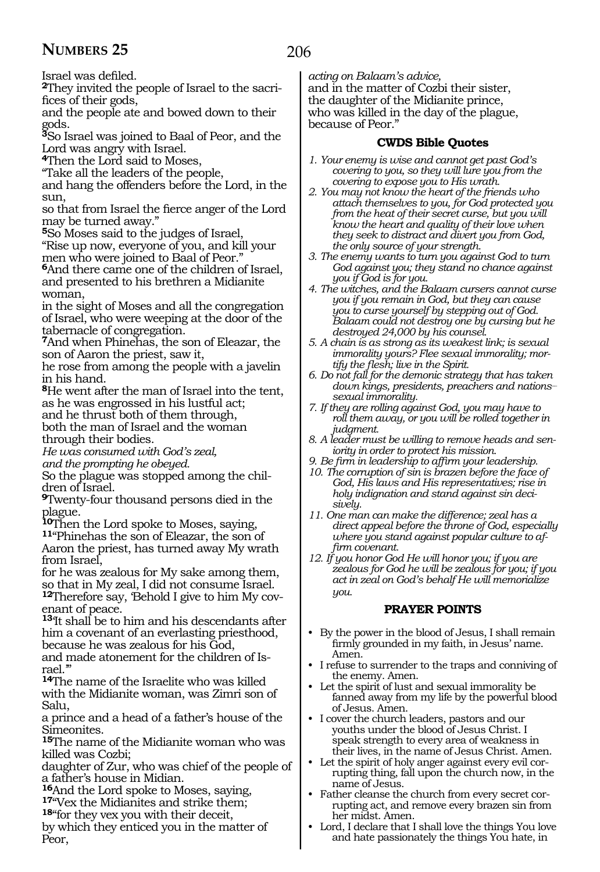Israel was defiled.

**2**They invited the people of Israel to the sacrifices of their gods,

and the people ate and bowed down to their gods.

**<sup>3</sup>**So Israel was joined to Baal of Peor, and the Lord was angry with Israel.

**<sup>4</sup>**Then the Lord said to Moses,

"Take all the leaders of the people,

and hang the offenders before the Lord, in the  $sinn$ 

so that from Israel the fierce anger of the Lord may be turned away."

**<sup>5</sup>**So Moses said to the judges of Israel,

"Rise up now, everyone of you, and kill your men who were joined to Baal of Peor."

**<sup>6</sup>**And there came one of the children of Israel, and presented to his brethren a Midianite woman,

in the sight of Moses and all the congregation of Israel, who were weeping at the door of the tabernacle of congregation.

**<sup>7</sup>**And when Phinehas, the son of Eleazar, the son of Aaron the priest, saw it,

he rose from among the people with a javelin in his hand.

**<sup>8</sup>**He went after the man of Israel into the tent, as he was engrossed in his lustful act; and he thrust both of them through,

both the man of Israel and the woman through their bodies.

*He was consumed with God's zeal, and the prompting he obeyed.*

So the plague was stopped among the chil- dren of Israel.

**<sup>9</sup>**Twenty-four thousand persons died in the plague.

**<sup>10</sup>**Then the Lord spoke to Moses, saying, **<sup>11</sup>**"Phinehas the son of Eleazar, the son of

Aaron the priest, has turned away My wrath from Israel,

for he was zealous for My sake among them, so that in My zeal, I did not consume Israel. **12**Therefore say, 'Behold I give to him My covenant of peace.

**<sup>13</sup>**'It shall be to him and his descendants after him a covenant of an everlasting priesthood, because he was zealous for his God,

and made atonement for the children of Israel.'"

**<sup>14</sup>**The name of the Israelite who was killed with the Midianite woman, was Zimri son of Salu,

a prince and a head of a father's house of the Simeonites.

**<sup>15</sup>**The name of the Midianite woman who was killed was Cozbi;

daughter of Zur, who was chief of the people of

a father's house in Midian.<br><sup>16</sup>And the Lord spoke to Moses, saying,

**17** Vex the Midianites and strike them;

**<sup>18</sup>**"for they vex you with their deceit,

by which they enticed you in the matter of Peor,

*acting on Balaam's advice,* and in the matter of Cozbi their sister, the daughter of the Midianite prince, who was killed in the day of the plague, because of Peor."

### **CWDS Bible Quotes**

- *1. Your enemy is wise and cannot get past God's covering to you, so they will lure you from the covering to expose you to His wrath.*
- *2. You may not know the heart of the friends who attach themselves to you, for God protected you from the heat of their secret curse, but you will know the heart and quality of their love when they seek to distract and divert you from God, the only source of your strength.*
- *3. The enemy wants to turn you against God to turn God against you; they stand no chance against you if God is for you.*
- *4. The witches, and the Balaam cursers cannot curse you if you remain in God, but they can cause you to curse yourself by stepping out of God. Balaam could not destroy one by cursing but he destroyed 24,000 by his counsel.*
- *5. A chain is as strong as its weakest link; is sexual immorality yours? Flee sexual immorality; mortify the flesh; live in the Spirit.*
- *6. Do not fall for the demonic strategy that has taken down kings, presidents, preachers and nations\_\_ sexual immorality.*
- *7. If they are rolling against God, you may have to roll them away, or you will be rolled together in judgment.*
- *8. A leader must be willing to remove heads and seniority in order to protect his mission.*
- *9. Be firm in leadership to affirm your leadership.*
- *10. The corruption of sin is brazen before the face of God, His laws and His representatives; rise in holy indignation and stand against sin decisively.*
- *11. One man can make the difference; zeal has a direct appeal before the throne of God, especially where you stand against popular culture to affirm covenant.*
- *12. If you honor God He will honor you; if you are zealous for God he will be zealous for you; if you act in zeal on God's behalf He will memorialize you.*

### **PRAYER POINTS**

- By the power in the blood of Jesus, I shall remain firmly grounded in my faith, in Jesus' name. Amen.
- I refuse to surrender to the traps and conniving of the enemy. Amen.
- Let the spirit of lust and sexual immorality be fanned away from my life by the powerful blood of Jesus. Amen.
- I cover the church leaders, pastors and our youths under the blood of Jesus Christ. I speak strength to every area of weakness in their lives, in the name of Jesus Christ. Amen.
- Let the spirit of holy anger against every evil corrupting thing, fall upon the church now, in the name of Jesus.
- Father cleanse the church from every secret corrupting act, and remove every brazen sin from her midst. Amen.
- Lord, I declare that I shall love the things You love and hate passionately the things You hate, in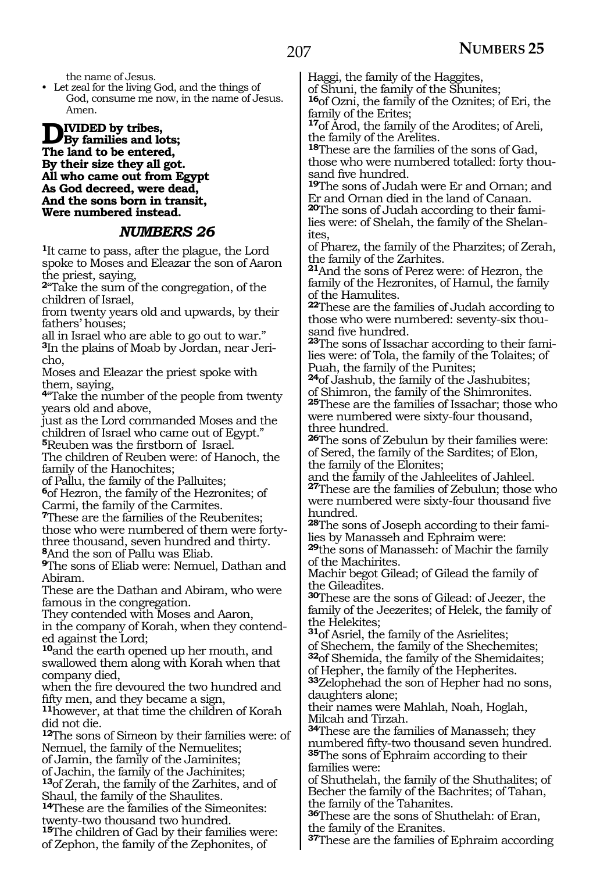the name of Jesus.

• Let zeal for the living God, and the things of God, consume me now, in the name of Jesus. Amen.

**D**<sup>IVIDED</sup> by tribes,<br>The land to be entered; **The land to be entered, By their size they all got. All who came out from Egypt As God decreed, were dead, And the sons born in transit, Were numbered instead.**

### *NUMBERS 26*

**<sup>1</sup>**It came to pass, after the plague, the Lord spoke to Moses and Eleazar the son of Aaron the priest, saying,

**<sup>2</sup>**"Take the sum of the congregation, of the children of Israel,

from twenty years old and upwards, by their fathers' houses;

all in Israel who are able to go out to war."

**3**In the plains of Moab by Jordan, near Jericho,

Moses and Eleazar the priest spoke with them, saying,

**<sup>4</sup>**"Take the number of the people from twenty years old and above,

just as the Lord commanded Moses and the children of Israel who came out of Egypt."

**<sup>5</sup>**Reuben was the firstborn of Israel.

The children of Reuben were: of Hanoch, the family of the Hanochites;

of Pallu, the family of the Palluites; **<sup>6</sup>**of Hezron, the family of the Hezronites; of

Carmi, the family of the Carmites.

**<sup>7</sup>**These are the families of the Reubenites; those who were numbered of them were fortythree thousand, seven hundred and thirty. **<sup>8</sup>**And the son of Pallu was Eliab.

**<sup>9</sup>**The sons of Eliab were: Nemuel, Dathan and Abiram.

These are the Dathan and Abiram, who were famous in the congregation.

They contended with Moses and Aaron, in the company of Korah, when they contended against the Lord;

**<sup>10</sup>**and the earth opened up her mouth, and swallowed them along with Korah when that company died,

when the fire devoured the two hundred and fifty men, and they became a sign,

**<sup>11</sup>**however, at that time the children of Korah did not die.

**<sup>12</sup>**The sons of Simeon by their families were: of Nemuel, the family of the Nemuelites; of Jamin, the family of the Jaminites;

of Jachin, the family of the Jachinites; **<sup>13</sup>**of Zerah, the family of the Zarhites, and of Shaul, the family of the Shaulites.

**<sup>14</sup>**These are the families of the Simeonites: twenty-two thousand two hundred. **<sup>15</sup>**The children of Gad by their families were: of Zephon, the family of the Zephonites, of

Haggi, the family of the Haggites,

of Shuni, the family of the Shunites;

**<sup>16</sup>**of Ozni, the family of the Oznites; of Eri, the family of the Erites;

**<sup>17</sup>**of Arod, the family of the Arodites; of Areli, the family of the Arelites.

**<sup>18</sup>**These are the families of the sons of Gad, those who were numbered totalled: forty thousand five hundred.

**<sup>19</sup>**The sons of Judah were Er and Ornan; and Er and Ornan died in the land of Canaan. **20**The sons of Judah according to their fami-

lies were: of Shelah, the family of the Shelanites,

of Pharez, the family of the Pharzites; of Zerah, the family of the Zarhites.

**<sup>21</sup>**And the sons of Perez were: of Hezron, the family of the Hezronites, of Hamul, the family of the Hamulites.

**<sup>22</sup>**These are the families of Judah according to those who were numbered: seventy-six thousand five hundred.

**23**The sons of Issachar according to their families were: of Tola, the family of the Tolaites; of Puah, the family of the Punites;

**<sup>24</sup>**of Jashub, the family of the Jashubites; of Shimron, the family of the Shimronites. **<sup>25</sup>**These are the families of Issachar; those who were numbered were sixty-four thousand, three hundred.

**<sup>26</sup>**The sons of Zebulun by their families were: of Sered, the family of the Sardites; of Elon, the family of the Elonites;

and the family of the Jahleelites of Jahleel. **<sup>27</sup>**These are the families of Zebulun; those who were numbered were sixty-four thousand five hundred.

**<sup>28</sup>**The sons of Joseph according to their fami- lies by Manasseh and Ephraim were:

**<sup>29</sup>**the sons of Manasseh: of Machir the family of the Machirites.

Machir begot Gilead; of Gilead the family of the Gileadites.

**<sup>30</sup>**These are the sons of Gilead: of Jeezer, the family of the Jeezerites; of Helek, the family of the Helekites;

**<sup>31</sup>**of Asriel, the family of the Asrielites; of Shechem, the family of the Shechemites; **<sup>32</sup>**of Shemida, the family of the Shemidaites;

of Hepher, the family of the Hepherites.

**<sup>33</sup>**Zelophehad the son of Hepher had no sons, daughters alone;

their names were Mahlah, Noah, Hoglah, Milcah and Tirzah.

**<sup>34</sup>**These are the families of Manasseh; they numbered fifty-two thousand seven hundred. **<sup>35</sup>**The sons of Ephraim according to their families were:

of Shuthelah, the family of the Shuthalites; of Becher the family of the Bachrites; of Tahan, the family of the Tahanites.

**<sup>36</sup>**These are the sons of Shuthelah: of Eran, the family of the Eranites.

**<sup>37</sup>**These are the families of Ephraim according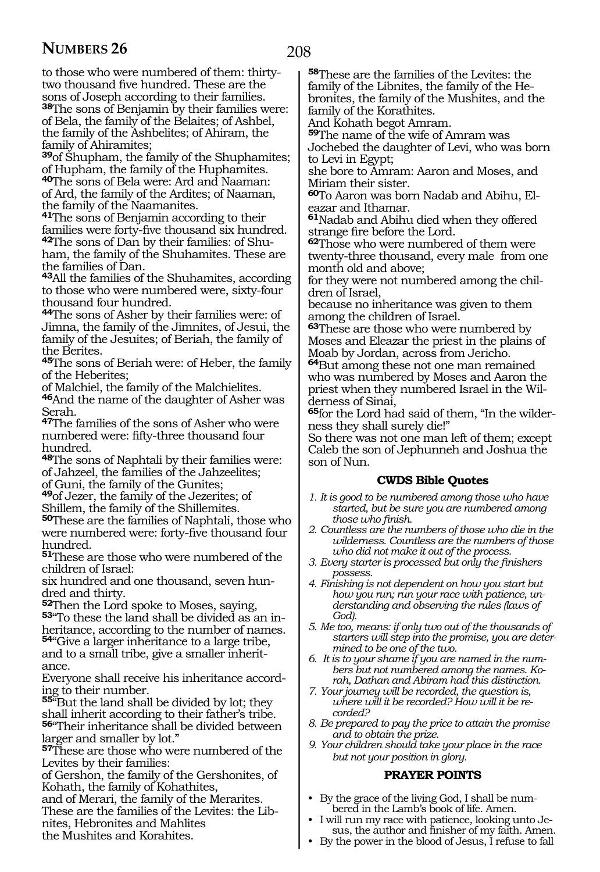to those who were numbered of them: thirtytwo thousand five hundred. These are the sons of Joseph according to their families.

**<sup>38</sup>**The sons of Benjamin by their families were: of Bela, the family of the Belaites; of Ashbel, the family of the Ashbelites; of Ahiram, the family of Ahiramites;

**<sup>39</sup>**of Shupham, the family of the Shuphamites; of Hupham, the family of the Huphamites.

**<sup>40</sup>**The sons of Bela were: Ard and Naaman: of Ard, the family of the Ardites; of Naaman, the family of the Naamanites.

**<sup>41</sup>**The sons of Benjamin according to their families were forty-five thousand six hundred. **42**The sons of Dan by their families: of Shuham, the family of the Shuhamites. These are the families of Dan.

**<sup>43</sup>**All the families of the Shuhamites, according to those who were numbered were, sixty-four thousand four hundred.

**<sup>44</sup>**The sons of Asher by their families were: of Jimna, the family of the Jimnites, of Jesui, the family of the Jesuites; of Beriah, the family of the Berites.

**<sup>45</sup>**The sons of Beriah were: of Heber, the family of the Heberites;

of Malchiel, the family of the Malchielites.

**<sup>46</sup>**And the name of the daughter of Asher was Serah.

**<sup>47</sup>**The families of the sons of Asher who were numbered were: fifty-three thousand four hundred.

**<sup>48</sup>**The sons of Naphtali by their families were: of Jahzeel, the families of the Jahzeelites; of Guni, the family of the Gunites;

**<sup>49</sup>**of Jezer, the family of the Jezerites; of Shillem, the family of the Shillemites.

**<sup>50</sup>**These are the families of Naphtali, those who were numbered were: forty-five thousand four hundred.

**<sup>51</sup>**These are those who were numbered of the children of Israel:

six hundred and one thousand, seven hundred and thirty.<br>**52**Then the Lord spoke to Moses, saying,

**53** To these the land shall be divided as an in-

heritance, according to the number of names. **<sup>54</sup>**"Give a larger inheritance to a large tribe, and to a small tribe, give a smaller inherit-

ance.

Everyone shall receive his inheritance according to their number.

**<sup>55</sup>**"But the land shall be divided by lot; they shall inherit according to their father's tribe.

**<sup>56</sup>**"Their inheritance shall be divided between larger and smaller by lot."

**<sup>57</sup>**These are those who were numbered of the Levites by their families:

of Gershon, the family of the Gershonites, of Kohath, the family of Kohathites,

and of Merari, the family of the Merarites.

These are the families of the Levites: the Libnites, Hebronites and Mahlites

the Mushites and Korahites.

**<sup>58</sup>**These are the families of the Levites: the family of the Libnites, the family of the Hebronites, the family of the Mushites, and the family of the Korathites.

And Kohath begot Amram.

**<sup>59</sup>**The name of the wife of Amram was Jochebed the daughter of Levi, who was born to Levi in Egypt;

she bore to Amram: Aaron and Moses, and Miriam their sister.

**60**To Aaron was born Nadab and Abihu, Eleazar and Ithamar.

**<sup>61</sup>**Nadab and Abihu died when they offered strange fire before the Lord.

**<sup>62</sup>**Those who were numbered of them were twenty-three thousand, every male from one month old and above;

for they were not numbered among the children of Israel,

because no inheritance was given to them among the children of Israel.

**<sup>63</sup>**These are those who were numbered by Moses and Eleazar the priest in the plains of Moab by Jordan, across from Jericho.

**<sup>64</sup>**But among these not one man remained who was numbered by Moses and Aaron the priest when they numbered Israel in the Wilderness of Sinai,

**65**for the Lord had said of them, "In the wilderness they shall surely die!"

So there was not one man left of them; except Caleb the son of Jephunneh and Joshua the son of Nun.

### **CWDS Bible Quotes**

- *1. It is good to be numbered among those who have started, but be sure you are numbered among those who finish.*
- *2. Countless are the numbers of those who die in the wilderness. Countless are the numbers of those who did not make it out of the process.*
- *3. Every starter is processed but only the finishers possess.*
- *4. Finishing is not dependent on how you start but how you run; run your race with patience, understanding and observing the rules (laws of God).*
- *5. Me too, means: if only two out of the thousands of starters will step into the promise, you are determined to be one of the two.*

*6. It is to your shame if you are named in the numbers but not numbered among the names. Korah, Dathan and Abiram had this distinction.*

- *7. Your journey will be recorded, the question is, where will it be recorded? How will it be recorded?*
- *8. Be prepared to pay the price to attain the promise and to obtain the prize.*
- *9. Your children should take your place in the race but not your position in glory.*

### **PRAYER POINTS**

- By the grace of the living God, I shall be numbered in the Lamb's book of life. Amen.
- I will run my race with patience, looking unto Jesus, the author and finisher of my faith. Amen.
- By the power in the blood of Jesus, I refuse to fall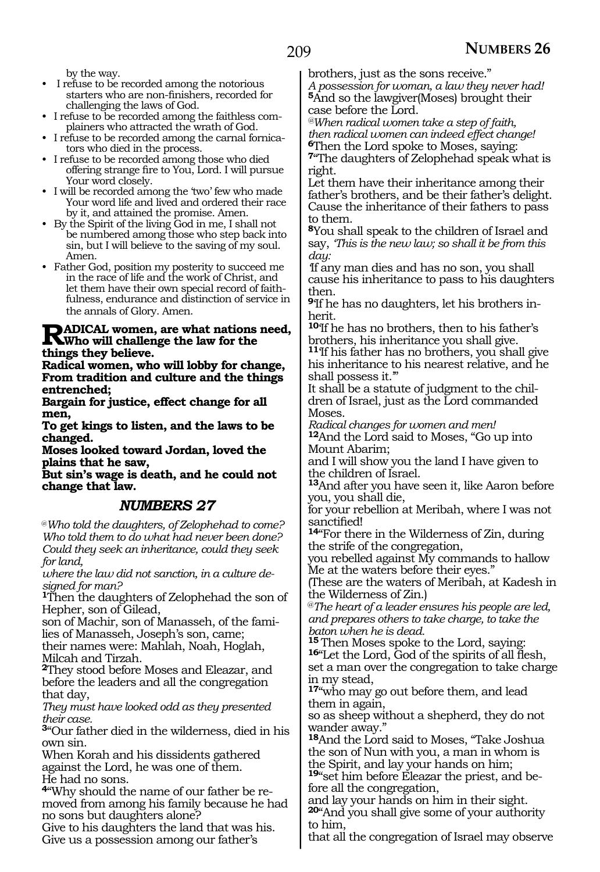by the way.

• I refuse to be recorded among the notorious starters who are non-finishers, recorded for challenging the laws of God.

• I refuse to be recorded among the faithless complainers who attracted the wrath of God.

- I refuse to be recorded among the carnal fornicators who died in the process.
- I refuse to be recorded among those who died offering strange fire to You, Lord. I will pursue Your word closely.
- I will be recorded among the 'two' few who made Your word life and lived and ordered their race by it, and attained the promise. Amen.
- By the Spirit of the living God in me, I shall not be numbered among those who step back into sin, but I will believe to the saving of my soul. Amen.
- Father God, position my posterity to succeed me in the race of life and the work of Christ, and let them have their own special record of faithfulness, endurance and distinction of service in the annals of Glory. Amen.

## **Radical women, are what nations need, Who will challenge the law for the things they believe.**

**Radical women, who will lobby for change, From tradition and culture and the things entrenched;** 

**Bargain for justice, effect change for all men,** 

**To get kings to listen, and the laws to be changed.** 

**Moses looked toward Jordan, loved the plains that he saw,** 

**But sin's wage is death, and he could not change that law.** 

### *NUMBERS 27*

@*Who told the daughters, of Zelophehad to come? Who told them to do what had never been done? Could they seek an inheritance, could they seek for land,* 

*where the law did not sanction, in a culture designed for man?* 

**<sup>1</sup>**Then the daughters of Zelophehad the son of Hepher, son of Gilead,

son of Machir, son of Manasseh, of the families of Manasseh, Joseph's son, came;

their names were: Mahlah, Noah, Hoglah, Milcah and Tirzah.

**<sup>2</sup>**They stood before Moses and Eleazar, and before the leaders and all the congregation that day,

*They must have looked odd as they presented their case.*

**<sup>3</sup>**"Our father died in the wilderness, died in his own sin.

When Korah and his dissidents gathered against the Lord, he was one of them. He had no sons.

**4**"Why should the name of our father be removed from among his family because he had no sons but daughters alone?

Give to his daughters the land that was his. Give us a possession among our father's

brothers, just as the sons receive."

*A possession for woman, a law they never had!*  **<sup>5</sup>**And so the lawgiver(Moses) brought their case before the Lord.

*@When radical women take a step of faith, then radical women can indeed effect change!*  **<sup>6</sup>**Then the Lord spoke to Moses, saying:

**<sup>7</sup>**"The daughters of Zelophehad speak what is right.

Let them have their inheritance among their father's brothers, and be their father's delight. Cause the inheritance of their fathers to pass to them.

**<sup>8</sup>**You shall speak to the children of Israel and say, *'This is the new law; so shall it be from this day:* 

*'*If any man dies and has no son, you shall cause his inheritance to pass to his daughters then.

**<sup>9</sup>**'If he has no daughters, let his brothers in- herit.

**<sup>10</sup>**'If he has no brothers, then to his father's brothers, his inheritance you shall give.

**<sup>11</sup>**'If his father has no brothers, you shall give his inheritance to his nearest relative, and he shall possess it."<br>It shall be a statute of judgment to the chil-

dren of Israel, just as the Lord commanded Moses.

*Radical changes for women and men!*  **<sup>12</sup>**And the Lord said to Moses, "Go up into Mount Abarim;

and I will show you the land I have given to the children of Israel.

**<sup>13</sup>**And after you have seen it, like Aaron before you, you shall die,

for your rebellion at Meribah, where I was not

sanctified! **14**"For there in the Wilderness of Zin, during the strife of the congregation,

you rebelled against My commands to hallow Me at the waters before their eyes."

(These are the waters of Meribah, at Kadesh in the Wilderness of Zin.)

@*The heart of a leader ensures his people are led, and prepares others to take charge, to take the baton when he is dead.* 

16<sup>"</sup>Let the Lord, God of the spirits of all flesh, set a man over the congregation to take charge in my stead,

**<sup>17</sup>**"who may go out before them, and lead them in again,

so as sheep without a shepherd, they do not wander away."

**<sup>18</sup>**And the Lord said to Moses, "Take Joshua the son of Nun with you, a man in whom is the Spirit, and lay your hands on him;

**19**"set him before Eleazar the priest, and before all the congregation,

and lay your hands on him in their sight. **<sup>20</sup>**"And you shall give some of your authority to him,

that all the congregation of Israel may observe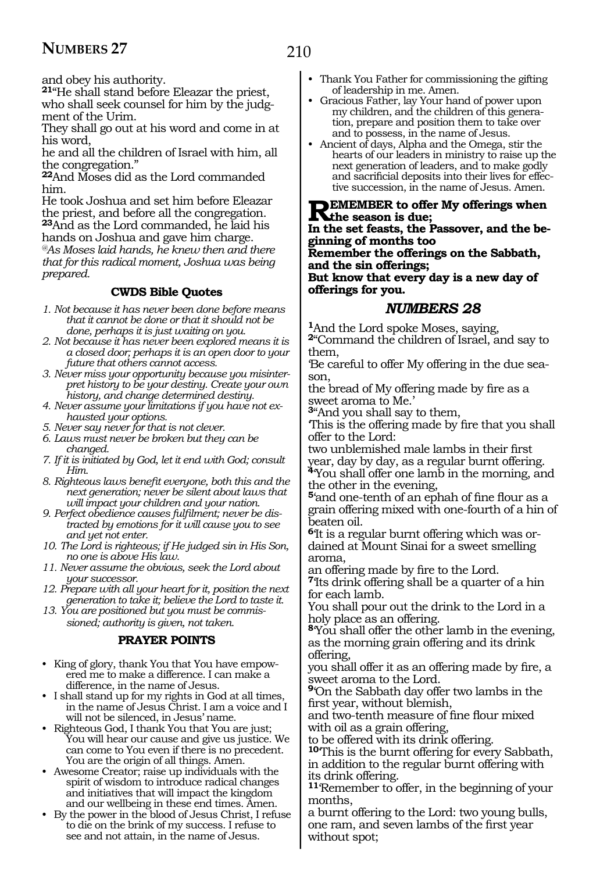and obey his authority.

**<sup>21</sup>**"He shall stand before Eleazar the priest, who shall seek counsel for him by the judgment of the Urim.

They shall go out at his word and come in at his word,

he and all the children of Israel with him, all the congregation."

**<sup>22</sup>**And Moses did as the Lord commanded him.

He took Joshua and set him before Eleazar the priest, and before all the congregation. **<sup>23</sup>**And as the Lord commanded, he laid his hands on Joshua and gave him charge. *@As Moses laid hands, he knew then and there that for this radical moment, Joshua was being prepared.* 

### **CWDS Bible Quotes**

- *1. Not because it has never been done before means that it cannot be done or that it should not be done, perhaps it is just waiting on you.*
- *2. Not because it has never been explored means it is a closed door; perhaps it is an open door to your future that others cannot access.*
- *3. Never miss your opportunity because you misinterpret history to be your destiny. Create your own history, and change determined destiny.*
- *4. Never assume your limitations if you have not exhausted your options.*
- *5. Never say never for that is not clever.*
- *6. Laws must never be broken but they can be changed.*
- *7. If it is initiated by God, let it end with God; consult Him.*
- *8. Righteous laws benefit everyone, both this and the next generation; never be silent about laws that will impact your children and your nation.*
- *9. Perfect obedience causes fulfilment; never be distracted by emotions for it will cause you to see and yet not enter.*
- *10. The Lord is righteous; if He judged sin in His Son, no one is above His law.*
- *11. Never assume the obvious, seek the Lord about your successor.*
- *12. Prepare with all your heart for it, position the next generation to take it; believe the Lord to taste it.*
- *13. You are positioned but you must be commissioned; authority is given, not taken.*

### **PRAYER POINTS**

- King of glory, thank You that You have empowered me to make a difference. I can make a difference, in the name of Jesus.
- I shall stand up for my rights in God at all times, in the name of Jesus Christ. I am a voice and I will not be silenced, in Jesus' name.
- Righteous God, I thank You that You are just; You will hear our cause and give us justice. We can come to You even if there is no precedent. You are the origin of all things. Amen.
- Awesome Creator; raise up individuals with the spirit of wisdom to introduce radical changes and initiatives that will impact the kingdom and our wellbeing in these end times. Amen.
- By the power in the blood of Jesus Christ, I refuse to die on the brink of my success. I refuse to see and not attain, in the name of Jesus.
- Thank You Father for commissioning the gifting of leadership in me. Amen.
- Gracious Father, lay Your hand of power upon my children, and the children of this generation, prepare and position them to take over and to possess, in the name of Jesus.
- Ancient of days, Alpha and the Omega, stir the hearts of our leaders in ministry to raise up the next generation of leaders, and to make godly and sacrificial deposits into their lives for effective succession, in the name of Jesus. Amen.

# **REMEMBER to offer My offerings when**<br> **In the set feats the Bessure and the ha**

**In the set feasts, the Passover, and the beginning of months too**

**Remember the offerings on the Sabbath, and the sin offerings;**

**But know that every day is a new day of offerings for you.**

### *NUMBERS 28*

**<sup>1</sup>**And the Lord spoke Moses, saying,

**<sup>2</sup>**"Command the children of Israel, and say to them,

'Be careful to offer My offering in the due season,

the bread of My offering made by fire as a sweet aroma to Me.'

**<sup>3</sup>**"And you shall say to them,

'This is the offering made by fire that you shall offer to the Lord:

two unblemished male lambs in their first year, day by day, as a regular burnt offering. **<sup>4</sup>**'You shall offer one lamb in the morning, and

the other in the evening, **<sup>5</sup>**'and one-tenth of an ephah of fine flour as a grain offering mixed with one-fourth of a hin of

beaten oil. **6**'It is a regular burnt offering which was ordained at Mount Sinai for a sweet smelling aroma,

an offering made by fire to the Lord.

**<sup>7</sup>**'Its drink offering shall be a quarter of a hin for each lamb.

You shall pour out the drink to the Lord in a holy place as an offering.

**<sup>8</sup>**'You shall offer the other lamb in the evening, as the morning grain offering and its drink offering,

you shall offer it as an offering made by fire, a sweet aroma to the Lord.

**<sup>9</sup>**'On the Sabbath day offer two lambs in the first year, without blemish,

and two-tenth measure of fine flour mixed with oil as a grain offering,

to be offered with its drink offering.

**<sup>10</sup>**'This is the burnt offering for every Sabbath, in addition to the regular burnt offering with its drink offering.

**<sup>11</sup>**'Remember to offer, in the beginning of your months,

a burnt offering to the Lord: two young bulls, one ram, and seven lambs of the first year without spot;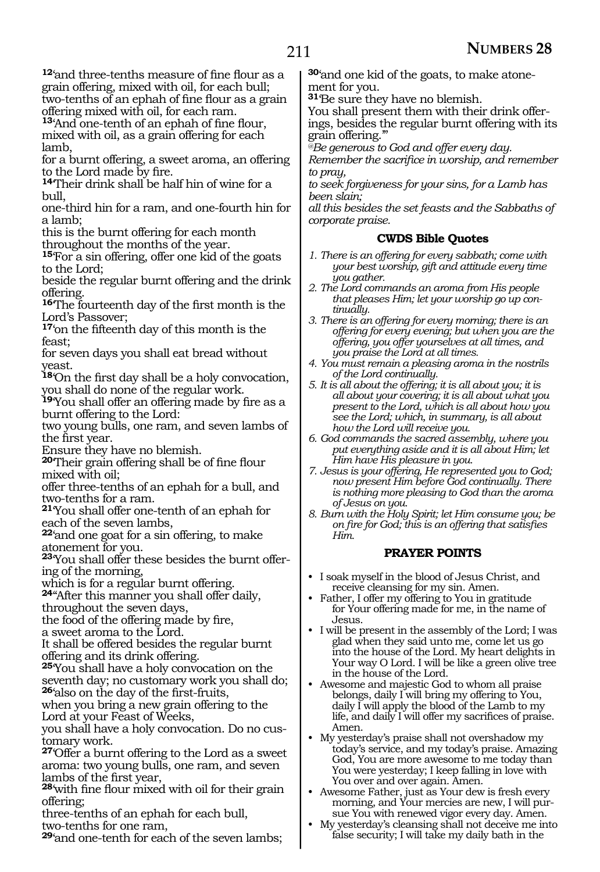**<sup>12</sup>**'and three-tenths measure of fine flour as a grain offering, mixed with oil, for each bull; two-tenths of an ephah of fine flour as a grain offering mixed with oil, for each ram.

**<sup>13</sup>**'And one-tenth of an ephah of fine flour, mixed with oil, as a grain offering for each lamb,

for a burnt offering, a sweet aroma, an offering to the Lord made by fire.

**<sup>14</sup>**'Their drink shall be half hin of wine for a bull,

one-third hin for a ram, and one-fourth hin for a lamb;

this is the burnt offering for each month throughout the months of the year.

**<sup>15</sup>**'For a sin offering, offer one kid of the goats to the Lord;

beside the regular burnt offering and the drink offering.

**<sup>16</sup>**'The fourteenth day of the first month is the Lord's Passover;

**<sup>17</sup>**'on the fifteenth day of this month is the feast;

for seven days you shall eat bread without yeast.

**<sup>18</sup>**'On the first day shall be a holy convocation, you shall do none of the regular work.

**<sup>19</sup>**'You shall offer an offering made by fire as a burnt offering to the Lord:

two young bulls, one ram, and seven lambs of the first year.

Ensure they have no blemish.

**<sup>20</sup>**'Their grain offering shall be of fine flour mixed with oil;

offer three-tenths of an ephah for a bull, and two-tenths for a ram.

**<sup>21</sup>**'You shall offer one-tenth of an ephah for each of the seven lambs,

**<sup>22</sup>**'and one goat for a sin offering, to make atonement for you.

**<sup>23</sup>**'You shall offer these besides the burnt offer- ing of the morning,

which is for a regular burnt offering.

**<sup>24</sup>**''After this manner you shall offer daily, throughout the seven days,

the food of the offering made by fire,

a sweet aroma to the Lord.

It shall be offered besides the regular burnt offering and its drink offering.

**<sup>25</sup>**'You shall have a holy convocation on the seventh day; no customary work you shall do; **<sup>26</sup>**'also on the day of the first-fruits,

when you bring a new grain offering to the Lord at your Feast of Weeks,

you shall have a holy convocation. Do no customary work.

**<sup>27</sup>**'Offer a burnt offering to the Lord as a sweet aroma: two young bulls, one ram, and seven lambs of the first year,

**<sup>28</sup>**'with fine flour mixed with oil for their grain offering;

three-tenths of an ephah for each bull, two-tenths for one ram,

**<sup>29</sup>**'and one-tenth for each of the seven lambs;

**30**'and one kid of the goats, to make atonement for you.

**<sup>31</sup>**'Be sure they have no blemish.

You shall present them with their drink offerings, besides the regular burnt offering with its grain offering.'"

*@Be generous to God and offer every day.*

*Remember the sacrifice in worship, and remember to pray,*

*to seek forgiveness for your sins, for a Lamb has been slain;*

*all this besides the set feasts and the Sabbaths of corporate praise.*

### **CWDS Bible Quotes**

- *1. There is an offering for every sabbath; come with your best worship, gift and attitude every time you gather.*
- *2. The Lord commands an aroma from His people that pleases Him; let your worship go up continually.*
- *3. There is an offering for every morning; there is an offering for every evening; but when you are the offering, you offer yourselves at all times, and you praise the Lord at all times.*
- *4. You must remain a pleasing aroma in the nostrils of the Lord continually.*
- *5. It is all about the offering; it is all about you; it is all about your covering; it is all about what you present to the Lord, which is all about how you see the Lord; which, in summary, is all about how the Lord will receive you.*

*6. God commands the sacred assembly, where you put everything aside and it is all about Him; let Him have His pleasure in you.*

*7. Jesus is your offering, He represented you to God; now present Him before God continually. There is nothing more pleasing to God than the aroma of Jesus on you.*

*8. Burn with the Holy Spirit; let Him consume you; be on fire for God; this is an offering that satisfies Him.*

### **PRAYER POINTS**

- I soak myself in the blood of Jesus Christ, and receive cleansing for my sin. Amen.
- Father, I offer my offering to You in gratitude for Your offering made for me, in the name of Jesus.
- I will be present in the assembly of the Lord; I was glad when they said unto me, come let us go into the house of the Lord. My heart delights in Your way O Lord. I will be like a green olive tree in the house of the Lord.
- Awesome and majestic God to whom all praise belongs, daily I will bring my offering to You, daily I will apply the blood of the Lamb to my life, and daily I will offer my sacrifices of praise. Amen.
- My yesterday's praise shall not overshadow my today's service, and my today's praise. Amazing God, You are more awesome to me today than You were yesterday; I keep falling in love with You over and over again. Amen.
- Awesome Father, just as Your dew is fresh every morning, and Your mercies are new, I will pursue You with renewed vigor every day. Amen.
- My yesterday's cleansing shall not deceive me into false security; I will take my daily bath in the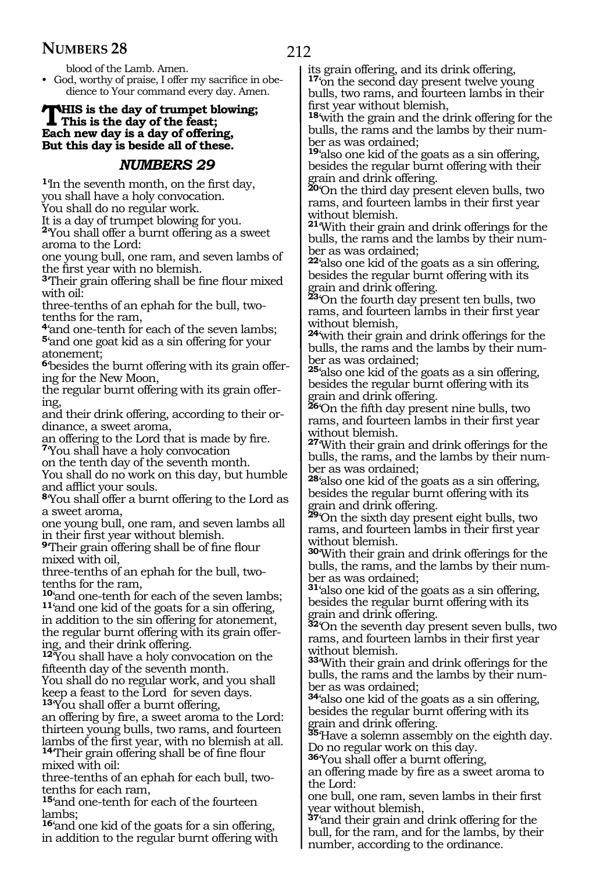blood of the Lamb. Amen.

• God, worthy of praise, I offer my sacrifice in obedience to Your command every day. Amen.

### **THIS is the day of trumpet blowing;**<br>This is the day of the feast;<br>Fack now day is a day of effective **Each new day is a day of offering, But this day is beside all of these.**

### *NUMBERS 29*

**<sup>1</sup>**'In the seventh month, on the first day, you shall have a holy convocation.

You shall do no regular work.

It is a day of trumpet blowing for you.

**<sup>2</sup>**'You shall offer a burnt offering as a sweet aroma to the Lord:

one young bull, one ram, and seven lambs of the first year with no blemish.

**<sup>3</sup>**'Their grain offering shall be fine flour mixed with oil:

three-tenths of an ephah for the bull, twotenths for the ram,

**<sup>4</sup>**'and one-tenth for each of the seven lambs; **<sup>5</sup>**'and one goat kid as a sin offering for your atonement;

**6**'besides the burnt offering with its grain offering for the New Moon,

the regular burnt offering with its grain offering,

and their drink offering, according to their ordinance, a sweet aroma,

an offering to the Lord that is made by fire. **<sup>7</sup>**'You shall have a holy convocation

on the tenth day of the seventh month.

You shall do no work on this day, but humble and afflict your souls.

**<sup>8</sup>**'You shall offer a burnt offering to the Lord as a sweet aroma,

one young bull, one ram, and seven lambs all in their first year without blemish.

**<sup>9</sup>**'Their grain offering shall be of fine flour mixed with oil,

three-tenths of an ephah for the bull, twotenths for the ram,

**<sup>10</sup>**'and one-tenth for each of the seven lambs; **<sup>11</sup>**'and one kid of the goats for a sin offering, in addition to the sin offering for atonement, the regular burnt offering with its grain offering, and their drink offering.

**<sup>12</sup>**'You shall have a holy convocation on the fifteenth day of the seventh month.

You shall do no regular work, and you shall keep a feast to the Lord for seven days.

**<sup>13</sup>**'You shall offer a burnt offering,

an offering by fire, a sweet aroma to the Lord: thirteen young bulls, two rams, and fourteen lambs of the first year, with no blemish at all.

**<sup>14</sup>**'Their grain offering shall be of fine flour mixed with oil:

three-tenths of an ephah for each bull, twotenths for each ram,

**<sup>15</sup>**'and one-tenth for each of the fourteen lambs;

**<sup>16</sup>**'and one kid of the goats for a sin offering, in addition to the regular burnt offering with its grain offering, and its drink offering, **<sup>17</sup>**'on the second day present twelve young bulls, two rams, and fourteen lambs in their first year without blemish,

**<sup>18</sup>**'with the grain and the drink offering for the bulls, the rams and the lambs by their number as was ordained;

**<sup>19</sup>**'also one kid of the goats as a sin offering, besides the regular burnt offering with their grain and drink offering.

**<sup>20</sup>**'On the third day present eleven bulls, two rams, and fourteen lambs in their first year without blemish.

**<sup>21</sup>**'With their grain and drink offerings for the bulls, the rams and the lambs by their number as was ordained;

**<sup>22</sup>**'also one kid of the goats as a sin offering, besides the regular burnt offering with its grain and drink offering.

**<sup>23</sup>**'On the fourth day present ten bulls, two rams, and fourteen lambs in their first year without blemish,

**<sup>24</sup>**'with their grain and drink offerings for the bulls, the rams and the lambs by their number as was ordained;

**<sup>25</sup>**'also one kid of the goats as a sin offering, besides the regular burnt offering with its grain and drink offering.

**<sup>26</sup>**'On the fifth day present nine bulls, two rams, and fourteen lambs in their first year without blemish.

**<sup>27</sup>**'With their grain and drink offerings for the bulls, the rams, and the lambs by their number as was ordained;

**<sup>28</sup>**'also one kid of the goats as a sin offering, besides the regular burnt offering with its grain and drink offering.

**<sup>29</sup>**'On the sixth day present eight bulls, two rams, and fourteen lambs in their first year without blemish.

**<sup>30</sup>**'With their grain and drink offerings for the bulls, the rams, and the lambs by their number as was ordained;

**<sup>31</sup>**'also one kid of the goats as a sin offering, besides the regular burnt offering with its grain and drink offering.

**<sup>32</sup>**'On the seventh day present seven bulls, two rams, and fourteen lambs in their first year without blemish.

**<sup>33</sup>**'With their grain and drink offerings for the bulls, the rams and the lambs by their number as was ordained;

**<sup>34</sup>**'also one kid of the goats as a sin offering, besides the regular burnt offering with its grain and drink offering.

**<sup>35</sup>**'Have a solemn assembly on the eighth day. Do no regular work on this day.

**<sup>36</sup>**'You shall offer a burnt offering,

an offering made by fire as a sweet aroma to the Lord:

one bull, one ram, seven lambs in their first year without blemish,

**<sup>37</sup>**'and their grain and drink offering for the bull, for the ram, and for the lambs, by their number, according to the ordinance.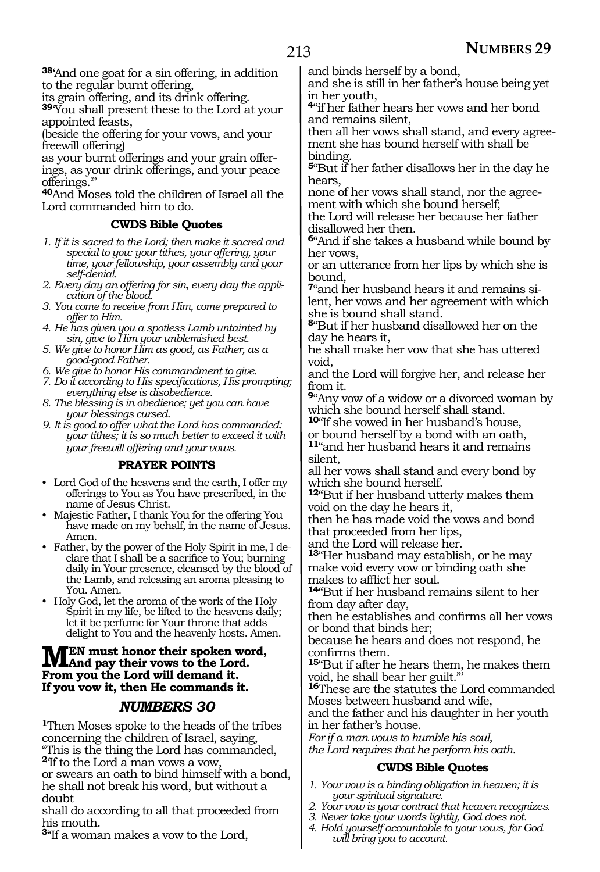**<sup>38</sup>**'And one goat for a sin offering, in addition to the regular burnt offering,

its grain offering, and its drink offering.

**<sup>39</sup>**'You shall present these to the Lord at your appointed feasts,

(beside the offering for your vows, and your freewill offering)

as your burnt offerings and your grain offerings, as your drink offerings, and your peace offerings.'

**<sup>40</sup>**And Moses told the children of Israel all the Lord commanded him to do.

### **CWDS Bible Quotes**

- *1. If it is sacred to the Lord; then make it sacred and special to you: your tithes, your offering, your time, your fellowship, your assembly and your self-denial.*
- *2. Every day an offering for sin, every day the application of the blood.*
- *3. You come to receive from Him, come prepared to offer to Him.*
- *4. He has given you a spotless Lamb untainted by sin, give to Him your unblemished best.*
- *5. We give to honor Him as good, as Father, as a good-good Father.*
- *6. We give to honor His commandment to give.*
- *7. Do it according to His specifications, His prompting; everything else is disobedience.*
- *8. The blessing is in obedience; yet you can have your blessings cursed.*
- *9. It is good to offer what the Lord has commanded: your tithes; it is so much better to exceed it with your freewill offering and your vows.*

### **PRAYER POINTS**

- Lord God of the heavens and the earth, I offer my offerings to You as You have prescribed, in the name of Jesus Christ.
- Majestic Father, I thank You for the offering You have made on my behalf, in the name of Jesus. Amen.
- Father, by the power of the Holy Spirit in me, I declare that I shall be a sacrifice to You; burning daily in Your presence, cleansed by the blood of the Lamb, and releasing an aroma pleasing to You. Amen.
- Holy God, let the aroma of the work of the Holy Spirit in my life, be lifted to the heavens daily; let it be perfume for Your throne that adds delight to You and the heavenly hosts. Amen.

### **MEN** must honor their spoken word,<br> **MAnd pay their vows to the Lord.**<br> **Enom you the Lord** will domend it. **From you the Lord will demand it. If you vow it, then He commands it.**

### *NUMBERS 30*

**<sup>1</sup>**Then Moses spoke to the heads of the tribes concerning the children of Israel, saying, "This is the thing the Lord has commanded, **<sup>2</sup>**'If to the Lord a man vows a vow,

or swears an oath to bind himself with a bond, he shall not break his word, but without a doubt

shall do according to all that proceeded from his mouth.

**<sup>3</sup>**"If a woman makes a vow to the Lord,

and binds herself by a bond,

and she is still in her father's house being yet in her youth,

**<sup>4</sup>**"if her father hears her vows and her bond and remains silent,

then all her vows shall stand, and every agreement she has bound herself with shall be binding.

**<sup>5</sup>**"But if her father disallows her in the day he hears,

none of her vows shall stand, nor the agreement with which she bound herself;

the Lord will release her because her father disallowed her then.

**<sup>6</sup>**"And if she takes a husband while bound by her vows,

or an utterance from her lips by which she is bound,

**7**"and her husband hears it and remains silent, her vows and her agreement with which she is bound shall stand.

**<sup>8</sup>**"But if her husband disallowed her on the day he hears it,

he shall make her vow that she has uttered void,

and the Lord will forgive her, and release her from it.

**<sup>9</sup>**"Any vow of a widow or a divorced woman by which she bound herself shall stand.

**<sup>10</sup>**"If she vowed in her husband's house, or bound herself by a bond with an oath,

**<sup>11</sup>**"and her husband hears it and remains silent,

all her vows shall stand and every bond by which she bound herself.

**<sup>12</sup>**"But if her husband utterly makes them void on the day he hears it,

then he has made void the vows and bond that proceeded from her lips,

and the Lord will release her.

**<sup>13</sup>**"Her husband may establish, or he may make void every vow or binding oath she makes to afflict her soul.

**<sup>14</sup>**"But if her husband remains silent to her from day after day,

then he establishes and confirms all her vows or bond that binds her;

because he hears and does not respond, he confirms them.

**<sup>15</sup>**"But if after he hears them, he makes them void, he shall bear her guilt."'

**<sup>16</sup>**These are the statutes the Lord commanded Moses between husband and wife,

and the father and his daughter in her youth in her father's house.

*For if a man vows to humble his soul,*

*the Lord requires that he perform his oath.*

### **CWDS Bible Quotes**

- *1. Your vow is a binding obligation in heaven; it is your spiritual signature.*
- *2. Your vow is your contract that heaven recognizes.*
- *3. Never take your words lightly, God does not.*
- *4. Hold yourself accountable to your vows, for God will bring you to account.*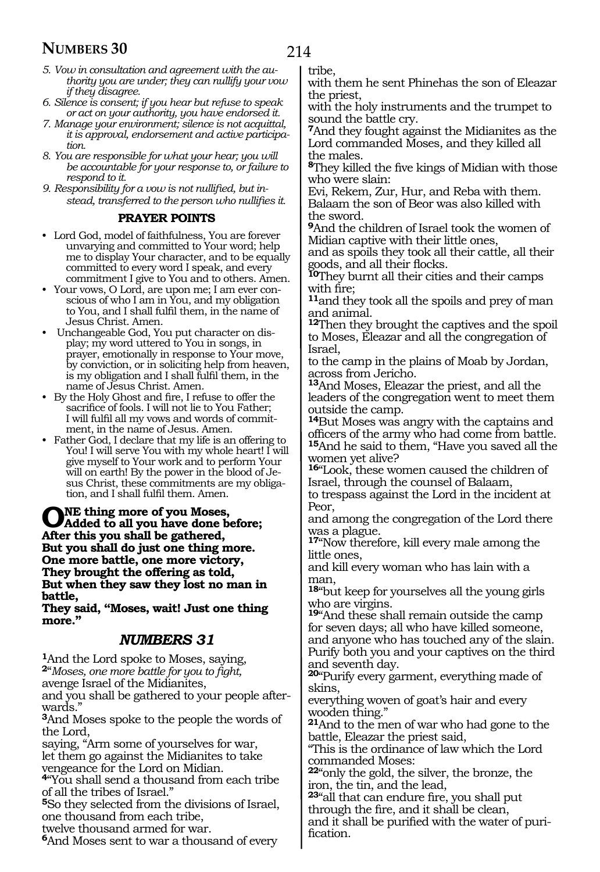- *5. Vow in consultation and agreement with the authority you are under; they can nullify your vow if they disagree.*
- *6. Silence is consent; if you hear but refuse to speak or act on your authority, you have endorsed it.*
- *7. Manage your environment; silence is not acquittal, it is approval, endorsement and active participation.*
- *8. You are responsible for what your hear; you will be accountable for your response to, or failure to respond to it.*
- *9. Responsibility for a vow is not nullified, but instead, transferred to the person who nullifies it.*

### **PRAYER POINTS**

- Lord God, model of faithfulness, You are forever unvarying and committed to Your word; help me to display Your character, and to be equally committed to every word I speak, and every commitment I give to You and to others. Amen.
- Your vows, O Lord, are upon me; I am ever conscious of who I am in You, and my obligation to You, and I shall fulfil them, in the name of Jesus Christ. Amen.
- Unchangeable God, You put character on display; my word uttered to You in songs, in prayer, emotionally in response to Your move, by conviction, or in soliciting help from heaven, is my obligation and I shall fulfil them, in the name of Jesus Christ. Amen.
- By the Holy Ghost and fire, I refuse to offer the sacrifice of fools. I will not lie to You Father; I will fulfil all my vows and words of commitment, in the name of Jesus. Amen.
- Father God, I declare that my life is an offering to You! I will serve You with my whole heart! I will give myself to Your work and to perform Your will on earth! By the power in the blood of Jesus Christ, these commitments are my obligation, and I shall fulfil them. Amen.

### **O**NE thing more of you Moses,<br> **Added to all you have done before;**<br>
After this seem shall be gethered **After this you shall be gathered, But you shall do just one thing more. One more battle, one more victory, They brought the offering as told, But when they saw they lost no man in battle,**

**They said, "Moses, wait! Just one thing more."**

### *NUMBERS 31*

**<sup>1</sup>**And the Lord spoke to Moses, saying, **<sup>2</sup>**"*Moses, one more battle for you to fight,* avenge Israel of the Midianites,

and you shall be gathered to your people afterwards."

**<sup>3</sup>**And Moses spoke to the people the words of the Lord,

saying, "Arm some of yourselves for war, let them go against the Midianites to take vengeance for the Lord on Midian.

**<sup>4</sup>**"You shall send a thousand from each tribe of all the tribes of Israel."

**<sup>5</sup>**So they selected from the divisions of Israel, one thousand from each tribe,

twelve thousand armed for war.

**<sup>6</sup>**And Moses sent to war a thousand of every

tribe,

with them he sent Phinehas the son of Eleazar the priest,

with the holy instruments and the trumpet to sound the battle cry.

**<sup>7</sup>**And they fought against the Midianites as the Lord commanded Moses, and they killed all the males.

**<sup>8</sup>**They killed the five kings of Midian with those who were slain:

Evi, Rekem, Zur, Hur, and Reba with them. Balaam the son of Beor was also killed with the sword.

**<sup>9</sup>**And the children of Israel took the women of Midian captive with their little ones,

and as spoils they took all their cattle, all their goods, and all their flocks.

**<sup>10</sup>**They burnt all their cities and their camps with fire;

**<sup>11</sup>**and they took all the spoils and prey of man and animal.

**<sup>12</sup>**Then they brought the captives and the spoil to Moses, Eleazar and all the congregation of Israel,

to the camp in the plains of Moab by Jordan, across from Jericho.

**<sup>13</sup>**And Moses, Eleazar the priest, and all the leaders of the congregation went to meet them outside the camp.

**<sup>14</sup>**But Moses was angry with the captains and officers of the army who had come from battle. **<sup>15</sup>**And he said to them, "Have you saved all the women yet alive?

**<sup>16</sup>**"Look, these women caused the children of Israel, through the counsel of Balaam,

to trespass against the Lord in the incident at Peor,

and among the congregation of the Lord there was a plague.

**<sup>17</sup>**"Now therefore, kill every male among the little ones,

and kill every woman who has lain with a man,

**<sup>18</sup>**"but keep for yourselves all the young girls who are virgins.

**<sup>19</sup>**"And these shall remain outside the camp for seven days; all who have killed someone, and anyone who has touched any of the slain. Purify both you and your captives on the third and seventh day.

**<sup>20</sup>**"Purify every garment, everything made of skins,

everything woven of goat's hair and every wooden thing."

**<sup>21</sup>**And to the men of war who had gone to the battle, Eleazar the priest said,

"This is the ordinance of law which the Lord commanded Moses:

**<sup>22</sup>**"only the gold, the silver, the bronze, the iron, the tin, and the lead,

**<sup>23</sup>**"all that can endure fire, you shall put through the fire, and it shall be clean, and it shall be purified with the water of puri- fication.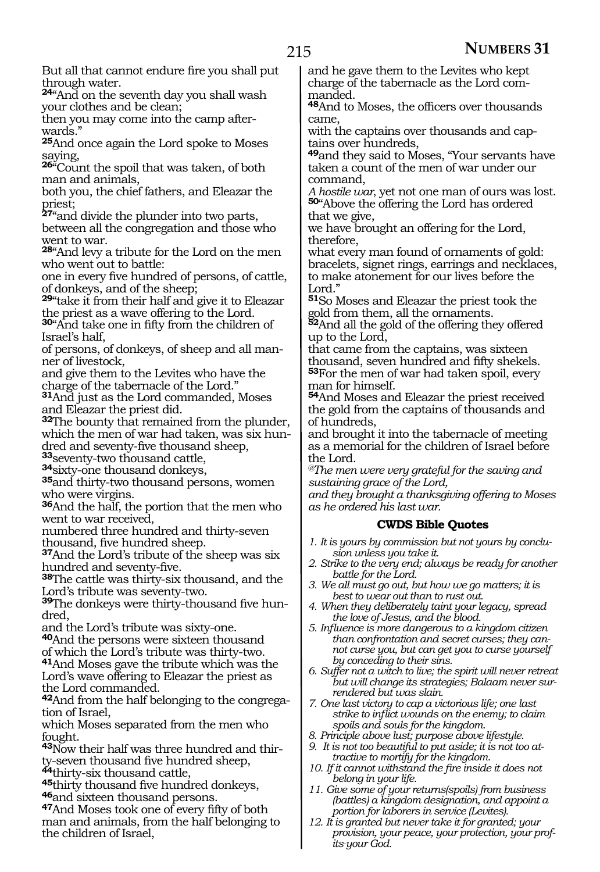But all that cannot endure fire you shall put through water.

**<sup>24</sup>**"And on the seventh day you shall wash your clothes and be clean;

then you may come into the camp afterwards."

**<sup>25</sup>**And once again the Lord spoke to Moses saying,

**<sup>26</sup>**"Count the spoil that was taken, of both man and animals,

both you, the chief fathers, and Eleazar the priest;

**<sup>27</sup>**"and divide the plunder into two parts, between all the congregation and those who went to war.

**<sup>28</sup>**"And levy a tribute for the Lord on the men who went out to battle:

one in every five hundred of persons, of cattle, of donkeys, and of the sheep;

**<sup>29</sup>**"take it from their half and give it to Eleazar the priest as a wave offering to the Lord.

**<sup>30</sup>**"And take one in fifty from the children of Israel's half,

of persons, of donkeys, of sheep and all manner of livestock,

and give them to the Levites who have the charge of the tabernacle of the Lord."

**<sup>31</sup>**And just as the Lord commanded, Moses and Eleazar the priest did.

**<sup>32</sup>**The bounty that remained from the plunder, which the men of war had taken, was six hundred and seventy-five thousand sheep,<br><sup>33</sup>seventy-two thousand cattle,

<mark>34</mark>sixty-one thousand donkeys,<br><sup>35</sup>and thirty-two thousand persons, women who were virgins.

**<sup>36</sup>**And the half, the portion that the men who went to war received,

numbered three hundred and thirty-seven thousand, five hundred sheep.

**<sup>37</sup>**And the Lord's tribute of the sheep was six hundred and seventy-five.

**<sup>38</sup>**The cattle was thirty-six thousand, and the Lord's tribute was seventy-two.

**39**The donkeys were thirty-thousand five hundred,

and the Lord's tribute was sixty-one.

**<sup>40</sup>**And the persons were sixteen thousand of which the Lord's tribute was thirty-two.

**<sup>41</sup>**And Moses gave the tribute which was the Lord's wave offering to Eleazar the priest as the Lord commanded.

**<sup>42</sup>**And from the half belonging to the congrega- tion of Israel,

which Moses separated from the men who fought.

**43**Now their half was three hundred and thirty-seven thousand five hundred sheep,<br>
"thirty-six thousand cattle,

45thirty thousand five hundred donkeys,<br><sup>46</sup>and sixteen thousand persons.<br><sup>47</sup>And Moses took one of every fifty of both

man and animals, from the half belonging to the children of Israel,

and he gave them to the Levites who kept charge of the tabernacle as the Lord commanded.

**<sup>48</sup>**And to Moses, the officers over thousands came,

with the captains over thousands and captains over hundreds,

**<sup>49</sup>**and they said to Moses, "Your servants have taken a count of the men of war under our

command,<br>A hostile war, yet not one man of ours was lost. **50**"Above the offering the Lord has ordered that we give,

we have brought an offering for the Lord, therefore,

what every man found of ornaments of gold: bracelets, signet rings, earrings and necklaces, to make atonement for our lives before the Lord."

**<sup>51</sup>**So Moses and Eleazar the priest took the gold from them, all the ornaments.

**<sup>52</sup>**And all the gold of the offering they offered up to the Lord,

that came from the captains, was sixteen thousand, seven hundred and fifty shekels. **<sup>53</sup>**For the men of war had taken spoil, every man for himself.

**<sup>54</sup>**And Moses and Eleazar the priest received the gold from the captains of thousands and of hundreds,

and brought it into the tabernacle of meeting as a memorial for the children of Israel before the Lord.

*@The men were very grateful for the saving and sustaining grace of the Lord,*

*and they brought a thanksgiving offering to Moses as he ordered his last war.*

### **CWDS Bible Quotes**

- *1. It is yours by commission but not yours by conclusion unless you take it.*
- *2. Strike to the very end; always be ready for another battle for the Lord.*
- *3. We all must go out, but how we go matters; it is best to wear out than to rust out.*
- *4. When they deliberately taint your legacy, spread the love of Jesus, and the blood.*
- *5. Influence is more dangerous to a kingdom citizen than confrontation and secret curses; they cannot curse you, but can get you to curse yourself by conceding to their sins.*
- *6. Suffer not a witch to live; the spirit will never retreat but will change its strategies; Balaam never surrendered but was slain.*
- *7. One last victory to cap a victorious life; one last strike to inflict wounds on the enemy; to claim spoils and souls for the kingdom.*
- *8. Principle above lust; purpose above lifestyle.*
- *9. It is not too beautiful to put aside; it is not too attractive to mortify for the kingdom.*
- *10. If it cannot withstand the fire inside it does not belong in your life.*
- *11. Give some of your returns(spoils) from business (battles) a kingdom designation, and appoint a portion for laborers in service (Levites).*
- *12. It is granted but never take it for granted; your provision, your peace, your protection, your profits\_ your God.*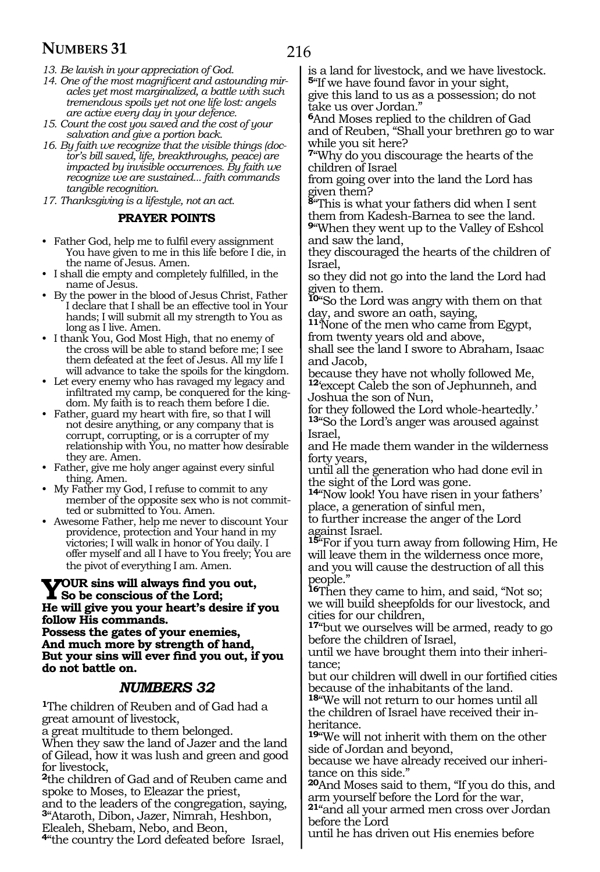- *13. Be lavish in your appreciation of God.*
- *14. One of the most magnificent and astounding miracles yet most marginalized, a battle with such tremendous spoils yet not one life lost: angels are active every day in your defence.*
- *15. Count the cost you saved and the cost of your salvation and give a portion back.*
- *16. By faith we recognize that the visible things (doctor's bill saved, life, breakthroughs, peace) are impacted by invisible occurrences. By faith we recognize we are sustained... faith commands tangible recognition.*
- *17. Thanksgiving is a lifestyle, not an act.*

#### **PRAYER POINTS**

- Father God, help me to fulfil every assignment You have given to me in this life before I die, in the name of Jesus. Amen.
- I shall die empty and completely fulfilled, in the name of Jesus.
- By the power in the blood of Jesus Christ, Father I declare that I shall be an effective tool in Your hands; I will submit all my strength to You as long as I live. Amen.
- I thank You, God Most High, that no enemy of the cross will be able to stand before me; I see them defeated at the feet of Jesus. All my life I will advance to take the spoils for the kingdom.
- Let every enemy who has ravaged my legacy and infiltrated my camp, be conquered for the kingdom. My faith is to reach them before I die.
- Father, guard my heart with fire, so that I will not desire anything, or any company that is corrupt, corrupting, or is a corrupter of my relationship with You, no matter how desirable they are. Amen.
- Father, give me holy anger against every sinful thing. Amen.
- My Father my God, I refuse to commit to any member of the opposite sex who is not committed or submitted to You. Amen.
- Awesome Father, help me never to discount Your providence, protection and Your hand in my victories; I will walk in honor of You daily. I offer myself and all I have to You freely; You are the pivot of everything I am. Amen.

# **YOUR** sins will always find you out,<br>
So be conscious of the Lord;<br> **He will give you would be define if He will give you your heart's desire if you**

**follow His commands. Possess the gates of your enemies, And much more by strength of hand, But your sins will ever find you out, if you do not battle on.** 

### *NUMBERS 32*

**<sup>1</sup>**The children of Reuben and of Gad had a great amount of livestock,

a great multitude to them belonged.

When they saw the land of Jazer and the land of Gilead, how it was lush and green and good for livestock,

**<sup>2</sup>**the children of Gad and of Reuben came and spoke to Moses, to Eleazar the priest,

and to the leaders of the congregation, saying, **<sup>3</sup>**"Ataroth, Dibon, Jazer, Nimrah, Heshbon,

Elealeh, Shebam, Nebo, and Beon,

**<sup>4</sup>**"the country the Lord defeated before Israel,

is a land for livestock, and we have livestock. **<sup>5</sup>**"If we have found favor in your sight,

give this land to us as a possession; do not take us over Jordan."

**<sup>6</sup>**And Moses replied to the children of Gad and of Reuben, "Shall your brethren go to war while you sit here?

**<sup>7</sup>**"Why do you discourage the hearts of the children of Israel

from going over into the land the Lord has given them?

**<sup>8</sup>**"This is what your fathers did when I sent them from Kadesh-Barnea to see the land.

**<sup>9</sup>**"When they went up to the Valley of Eshcol and saw the land,

they discouraged the hearts of the children of Israel,

so they did not go into the land the Lord had given to them.

**<sup>10</sup>**"So the Lord was angry with them on that day, and swore an oath, saying,

**<sup>11</sup>**'None of the men who came from Egypt, from twenty years old and above,

shall see the land I swore to Abraham, Isaac and Jacob,

because they have not wholly followed Me, **<sup>12</sup>**'except Caleb the son of Jephunneh, and Joshua the son of Nun,

for they followed the Lord whole-heartedly.' **<sup>13</sup>**"So the Lord's anger was aroused against Israel,

and He made them wander in the wilderness forty years,

until all the generation who had done evil in the sight of the Lord was gone.

**<sup>14</sup>**"Now look! You have risen in your fathers' place, a generation of sinful men,

to further increase the anger of the Lord against Israel.

**<sup>15</sup>**"For if you turn away from following Him, He will leave them in the wilderness once more, and you will cause the destruction of all this people."

**<sup>16</sup>**Then they came to him, and said, "Not so; we will build sheepfolds for our livestock, and cities for our children,

**<sup>17</sup>**"but we ourselves will be armed, ready to go before the children of Israel,

until we have brought them into their inheritance;

but our children will dwell in our fortified cities because of the inhabitants of the land.

**<sup>18</sup>**"We will not return to our homes until all the children of Israel have received their in- heritance.

**<sup>19</sup>**"We will not inherit with them on the other side of Jordan and beyond,

because we have already received our inheritance on this side."

**<sup>20</sup>**And Moses said to them, "If you do this, and arm yourself before the Lord for the war,

**<sup>21</sup>**"and all your armed men cross over Jordan before the Lord

until he has driven out His enemies before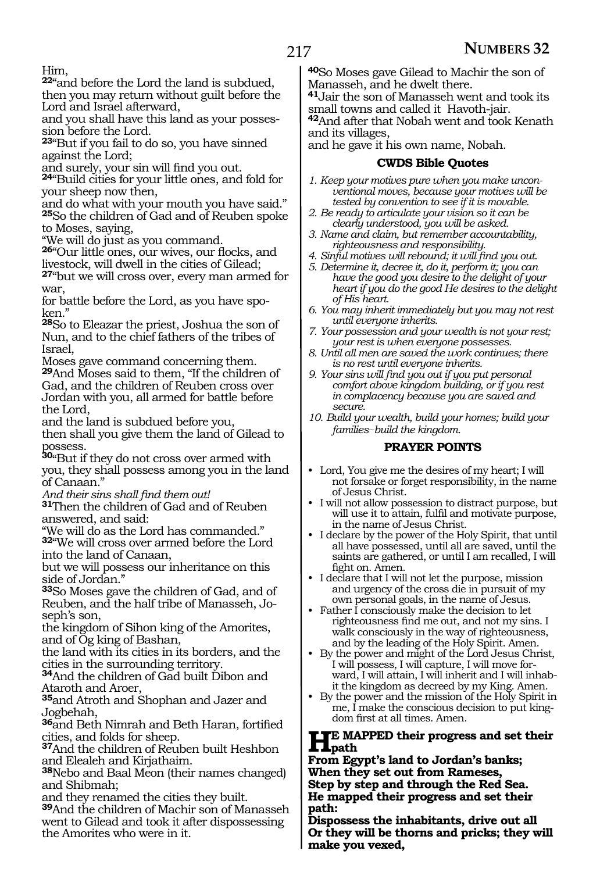### Him,

**<sup>22</sup>**"and before the Lord the land is subdued, then you may return without guilt before the Lord and Israel afterward,

and you shall have this land as your possession before the Lord.

**<sup>23</sup>**"But if you fail to do so, you have sinned against the Lord;

and surely, your sin will find you out.

**<sup>24</sup>**"Build cities for your little ones, and fold for your sheep now then,

and do what with your mouth you have said." **<sup>25</sup>**So the children of Gad and of Reuben spoke to Moses, saying,

"We will do just as you command.

**<sup>26</sup>**"Our little ones, our wives, our flocks, and livestock, will dwell in the cities of Gilead;

**<sup>27</sup>**"but we will cross over, every man armed for war,

for battle before the Lord, as you have spoken."

**<sup>28</sup>**So to Eleazar the priest, Joshua the son of Nun, and to the chief fathers of the tribes of Israel,

Moses gave command concerning them. **<sup>29</sup>**And Moses said to them, "If the children of Gad, and the children of Reuben cross over Jordan with you, all armed for battle before the Lord,

and the land is subdued before you, then shall you give them the land of Gilead to possess.

**<sup>30</sup>**"But if they do not cross over armed with you, they shall possess among you in the land of Canaan."

*And their sins shall find them out!* 

**<sup>31</sup>**Then the children of Gad and of Reuben answered, and said:

"We will do as the Lord has commanded." **<sup>32</sup>**"We will cross over armed before the Lord into the land of Canaan,

but we will possess our inheritance on this side of Jordan."

**<sup>33</sup>**So Moses gave the children of Gad, and of Reuben, and the half tribe of Manasseh, Joseph's son,

the kingdom of Sihon king of the Amorites, and of Og king of Bashan,

the land with its cities in its borders, and the cities in the surrounding territory.

**<sup>34</sup>**And the children of Gad built Dibon and Ataroth and Aroer,

**<sup>35</sup>**and Atroth and Shophan and Jazer and Jogbehah,

**<sup>36</sup>**and Beth Nimrah and Beth Haran, fortified cities, and folds for sheep.

**<sup>37</sup>**And the children of Reuben built Heshbon and Elealeh and Kirjathaim.

**<sup>38</sup>**Nebo and Baal Meon (their names changed) and Shibmah;

and they renamed the cities they built.

**<sup>39</sup>**And the children of Machir son of Manasseh went to Gilead and took it after dispossessing the Amorites who were in it.

**<sup>40</sup>**So Moses gave Gilead to Machir the son of Manasseh, and he dwelt there.

**<sup>41</sup>**Jair the son of Manasseh went and took its small towns and called it Havoth-jair.

**<sup>42</sup>**And after that Nobah went and took Kenath and its villages,

and he gave it his own name, Nobah.

#### **CWDS Bible Quotes**

- *1. Keep your motives pure when you make unconventional moves, because your motives will be tested by convention to see if it is movable.*
- *2. Be ready to articulate your vision so it can be clearly understood, you will be asked.*
- *3. Name and claim, but remember accountability, righteousness and responsibility.*
- *4. Sinful motives will rebound; it will find you out.*
- *5. Determine it, decree it, do it, perform it; you can have the good you desire to the delight of your heart if you do the good He desires to the delight of His heart.*
- *6. You may inherit immediately but you may not rest until everyone inherits.*
- *7. Your possession and your wealth is not your rest; your rest is when everyone possesses.*
- *8. Until all men are saved the work continues; there is no rest until everyone inherits.*
- *9. Your sins will find you out if you put personal comfort above kingdom building, or if you rest in complacency because you are saved and secure.*
- *10. Build your wealth, build your homes; build your families\_\_build the kingdom.*

### **PRAYER POINTS**

- Lord, You give me the desires of my heart; I will not forsake or forget responsibility, in the name of Jesus Christ.
- I will not allow possession to distract purpose, but will use it to attain, fulfil and motivate purpose, in the name of Jesus Christ.
- I declare by the power of the Holy Spirit, that until all have possessed, until all are saved, until the saints are gathered, or until I am recalled, I will fight on. Amen.
- I declare that I will not let the purpose, mission and urgency of the cross die in pursuit of my own personal goals, in the name of Jesus.
- Father I consciously make the decision to let righteousness find me out, and not my sins. I walk consciously in the way of righteousness, and by the leading of the Holy Spirit. Amen.
- By the power and might of the Lord Jesus Christ, I will possess, I will capture, I will move forward, I will attain, I will inherit and I will inhabit the kingdom as decreed by my King. Amen.
- By the power and the mission of the Holy Spirit in me, I make the conscious decision to put kingdom first at all times. Amen.

# **He** MAPPED their progress and set their<br> **Paper Fount's land to Jandar's banks:**

**From Egypt's land to Jordan's banks; When they set out from Rameses, Step by step and through the Red Sea. He mapped their progress and set their path:**

**Dispossess the inhabitants, drive out all Or they will be thorns and pricks; they will make you vexed,**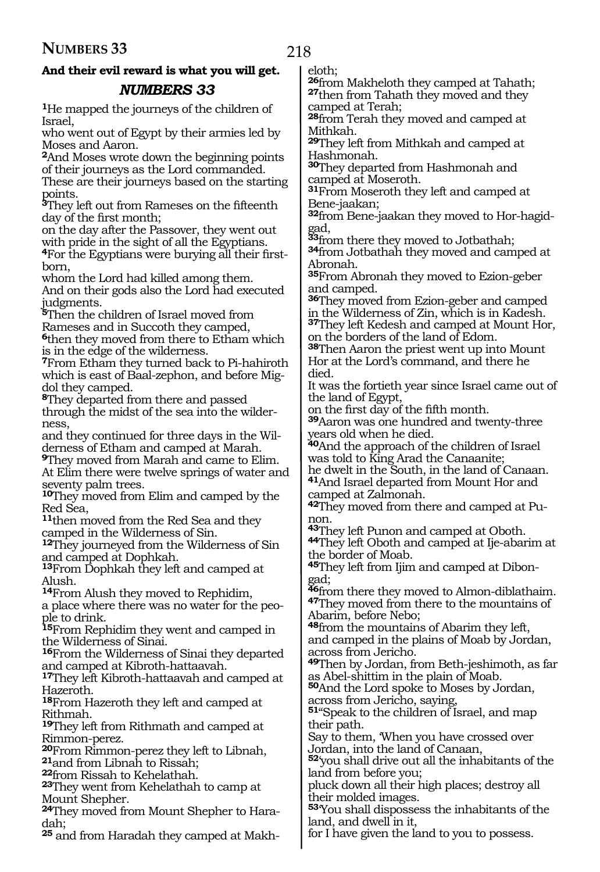### **And their evil reward is what you will get.**  *NUMBERS 33*

**<sup>1</sup>**He mapped the journeys of the children of Israel,

who went out of Egypt by their armies led by Moses and Aaron.

**<sup>2</sup>**And Moses wrote down the beginning points of their journeys as the Lord commanded.

These are their journeys based on the starting points.

**<sup>3</sup>**They left out from Rameses on the fifteenth day of the first month;

on the day after the Passover, they went out with pride in the sight of all the Egyptians.

**<sup>4</sup>**For the Egyptians were burying all their first- born,

whom the Lord had killed among them. And on their gods also the Lord had executed judgments.

**<sup>5</sup>**Then the children of Israel moved from Rameses and in Succoth they camped,

**<sup>6</sup>**then they moved from there to Etham which is in the edge of the wilderness.

**<sup>7</sup>**From Etham they turned back to Pi-hahiroth which is east of Baal-zephon, and before Migdol they camped.

**<sup>8</sup>**They departed from there and passed through the midst of the sea into the wilderness,

and they continued for three days in the Wilderness of Etham and camped at Marah.

**<sup>9</sup>**They moved from Marah and came to Elim. At Elim there were twelve springs of water and seventy palm trees.

**<sup>10</sup>**They moved from Elim and camped by the Red Sea,

**<sup>11</sup>**then moved from the Red Sea and they camped in the Wilderness of Sin.

**<sup>12</sup>**They journeyed from the Wilderness of Sin and camped at Dophkah.

**<sup>13</sup>**From Dophkah they left and camped at Alush.

**<sup>14</sup>**From Alush they moved to Rephidim, a place where there was no water for the people to drink.

**<sup>15</sup>**From Rephidim they went and camped in the Wilderness of Sinai.

**<sup>16</sup>**From the Wilderness of Sinai they departed and camped at Kibroth-hattaavah.

**<sup>17</sup>**They left Kibroth-hattaavah and camped at Hazeroth.

**<sup>18</sup>**From Hazeroth they left and camped at Rithmah.

**<sup>19</sup>**They left from Rithmath and camped at Rimmon-perez.

**<sup>20</sup>**From Rimmon-perez they left to Libnah, **<sup>21</sup>**and from Libnah to Rissah;

**<sup>22</sup>**from Rissah to Kehelathah.

**<sup>23</sup>**They went from Kehelathah to camp at Mount Shepher.

**24**They moved from Mount Shepher to Haradah;

**25** and from Haradah they camped at Makh-

eloth;<br>**26**from Makheloth they camped at Tahath; **27**then from Tahath they moved and they camped at Terah;

**<sup>28</sup>**from Terah they moved and camped at Mithkah.

**<sup>29</sup>**They left from Mithkah and camped at Hashmonah.

**<sup>30</sup>**They departed from Hashmonah and camped at Moseroth.

**<sup>31</sup>**From Moseroth they left and camped at Bene-jaakan;

**32**from Bene-jaakan they moved to Hor-hagid-

**<sup>33</sup>**from there they moved to Jotbathah; **34**from Jotbathah they moved and camped at Abronah.

**<sup>35</sup>**From Abronah they moved to Ezion-geber and camped.

**<sup>36</sup>**They moved from Ezion-geber and camped in the Wilderness of Zin, which is in Kadesh.

**<sup>37</sup>**They left Kedesh and camped at Mount Hor, on the borders of the land of Edom.

**<sup>38</sup>**Then Aaron the priest went up into Mount Hor at the Lord's command, and there he died.

It was the fortieth year since Israel came out of the land of Egypt,

on the first day of the fifth month.

**<sup>39</sup>**Aaron was one hundred and twenty-three years old when he died.

**<sup>40</sup>**And the approach of the children of Israel was told to King Arad the Canaanite;

he dwelt in the South, in the land of Canaan. **<sup>41</sup>**And Israel departed from Mount Hor and camped at Zalmonah.

**42**They moved from there and camped at Pu-

non.<br>43They left Punon and camped at Oboth.

**44**They left Oboth and camped at Ije-abarim at the border of Moab.

**45**They left from Ijim and camped at Dibongad;

**<sup>46</sup>**from there they moved to Almon-diblathaim. **<sup>47</sup>**They moved from there to the mountains of <sup>47</sup>They moved from there to the mountains of Abarim, before Nebo;

**<sup>48</sup>**from the mountains of Abarim they left, and camped in the plains of Moab by Jordan, across from Jericho.

**<sup>49</sup>**Then by Jordan, from Beth-jeshimoth, as far as Abel-shittim in the plain of Moab.

**<sup>50</sup>**And the Lord spoke to Moses by Jordan, across from Jericho, saying,

**<sup>51</sup>**"Speak to the children of Israel, and map their path.

Say to them, 'When you have crossed over Jordan, into the land of Canaan,

**<sup>52</sup>**'you shall drive out all the inhabitants of the land from before you;

pluck down all their high places; destroy all their molded images.

**<sup>53</sup>**'You shall dispossess the inhabitants of the land, and dwell in it,

for I have given the land to you to possess.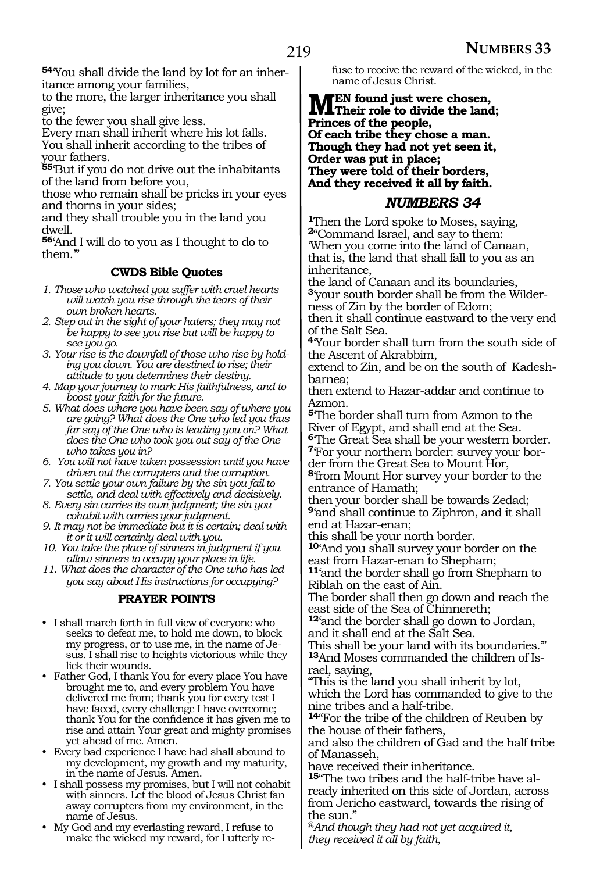**54**'You shall divide the land by lot for an inheritance among your families,

to the more, the larger inheritance you shall give;

to the fewer you shall give less.

Every man shall inherit where his lot falls. You shall inherit according to the tribes of your fathers.

**<sup>55</sup>**'But if you do not drive out the inhabitants of the land from before you,

those who remain shall be pricks in your eyes and thorns in your sides;

and they shall trouble you in the land you dwell.

**<sup>56</sup>**'And I will do to you as I thought to do to them.'"

### **CWDS Bible Quotes**

- *1. Those who watched you suffer with cruel hearts will watch you rise through the tears of their own broken hearts.*
- *2. Step out in the sight of your haters; they may not be happy to see you rise but will be happy to see you go.*
- *3. Your rise is the downfall of those who rise by holding you down. You are destined to rise; their attitude to you determines their destiny.*
- *4. Map your journey to mark His faithfulness, and to boost your faith for the future.*
- *5. What does where you have been say of where you are going? What does the One who led you thus far say of the One who is leading you on? What does the One who took you out say of the One who takes you in?*
- *6. You will not have taken possession until you have driven out the corrupters and the corruption.*
- *7. You settle your own failure by the sin you fail to settle, and deal with effectively and decisively.*
- *8. Every sin carries its own judgment; the sin you cohabit with carries your judgment.*
- *9. It may not be immediate but it is certain; deal with it or it will certainly deal with you.*
- *10. You take the place of sinners in judgment if you allow sinners to occupy your place in life.*
- *11. What does the character of the One who has led you say about His instructions for occupying?*

### **PRAYER POINTS**

- I shall march forth in full view of everyone who seeks to defeat me, to hold me down, to block my progress, or to use me, in the name of Jesus. I shall rise to heights victorious while they lick their wounds.
- Father God, I thank You for every place You have brought me to, and every problem You have delivered me from; thank you for every test I have faced, every challenge I have overcome; thank You for the confidence it has given me to rise and attain Your great and mighty promises yet ahead of me. Amen.
- Every bad experience I have had shall abound to my development, my growth and my maturity, in the name of Jesus. Amen.
- I shall possess my promises, but I will not cohabit with sinners. Let the blood of Jesus Christ fan away corrupters from my environment, in the name of Jesus.
- My God and my everlasting reward, I refuse to make the wicked my reward, for I utterly re-

fuse to receive the reward of the wicked, in the name of Jesus Christ.

**MEN** found just were chosen,<br> **Their role to divide the land;**<br> **Ruinese of the nearly Princes of the people, Of each tribe they chose a man. Though they had not yet seen it, Order was put in place; They were told of their borders, And they received it all by faith.**

### *NUMBERS 34*

**<sup>1</sup>**Then the Lord spoke to Moses, saying, **<sup>2</sup>**"Command Israel, and say to them: 'When you come into the land of Canaan, that is, the land that shall fall to you as an inheritance,

the land of Canaan and its boundaries, **3**'your south border shall be from the Wilderness of Zin by the border of Edom; then it shall continue eastward to the very end

of the Salt Sea.

**<sup>4</sup>**'Your border shall turn from the south side of the Ascent of Akrabbim,

extend to Zin, and be on the south of Kadeshbarnea;

then extend to Hazar-addar and continue to Azmon.

**<sup>5</sup>**'The border shall turn from Azmon to the River of Egypt, and shall end at the Sea. **<sup>6</sup>**'The Great Sea shall be your western border.

**7**'For your northern border: survey your border from the Great Sea to Mount Hor,

**<sup>8</sup>**'from Mount Hor survey your border to the entrance of Hamath;

then your border shall be towards Zedad; **<sup>9</sup>**'and shall continue to Ziphron, and it shall end at Hazar-enan;

this shall be your north border.

**<sup>10</sup>**'And you shall survey your border on the east from Hazar-enan to Shepham;

**<sup>11</sup>**'and the border shall go from Shepham to Riblah on the east of Ain.

The border shall then go down and reach the east side of the Sea of Chinnereth;

**<sup>12</sup>**'and the border shall go down to Jordan, and it shall end at the Salt Sea.

This shall be your land with its boundaries.'" **13**And Moses commanded the children of Israel, saying,

"This is the land you shall inherit by lot, which the Lord has commanded to give to the nine tribes and a half-tribe.

**<sup>14</sup>**"For the tribe of the children of Reuben by the house of their fathers,

and also the children of Gad and the half tribe of Manasseh,

have received their inheritance.

**15**"The two tribes and the half-tribe have already inherited on this side of Jordan, across from Jericho eastward, towards the rising of the sun."

@*And though they had not yet acquired it, they received it all by faith,*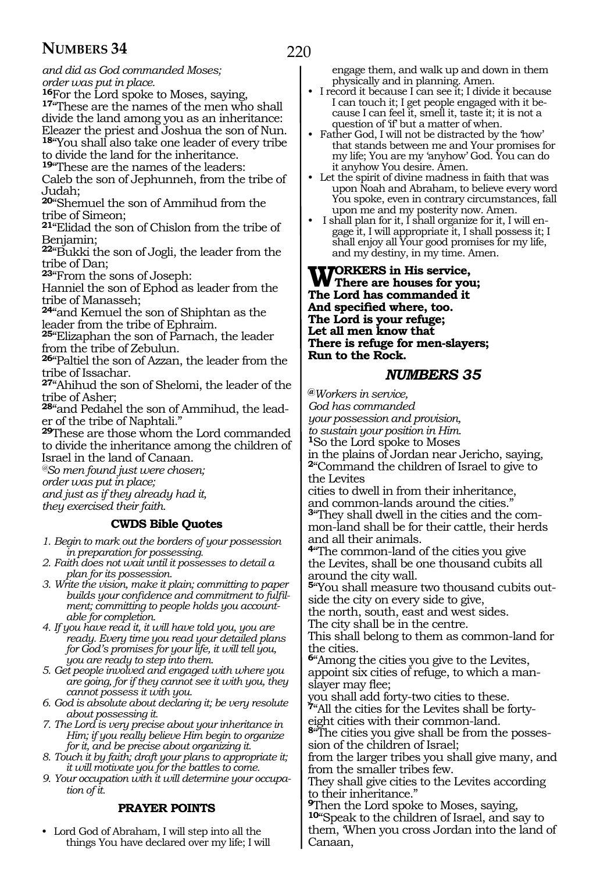# *and did as God commanded Moses;*

*order was put in place.*

17<sup>"</sup>These are the names of the men who shall divide the land among you as an inheritance: Eleazer the priest and Joshua the son of Nun. **<sup>18</sup>**"You shall also take one leader of every tribe

to divide the land for the inheritance.

**<sup>19</sup>**"These are the names of the leaders:

Caleb the son of Jephunneh, from the tribe of Judah;

**<sup>20</sup>**"Shemuel the son of Ammihud from the tribe of Simeon;

**<sup>21</sup>**"Elidad the son of Chislon from the tribe of Benjamin;

**<sup>22</sup>**"Bukki the son of Jogli, the leader from the tribe of Dan;

**<sup>23</sup>**"From the sons of Joseph:

Hanniel the son of Ephod as leader from the tribe of Manasseh;

**<sup>24</sup>**"and Kemuel the son of Shiphtan as the leader from the tribe of Ephraim.

**<sup>25</sup>**"Elizaphan the son of Parnach, the leader from the tribe of Zebulun.

**<sup>26</sup>**"Paltiel the son of Azzan, the leader from the tribe of Issachar.

**<sup>27</sup>**"Ahihud the son of Shelomi, the leader of the tribe of Asher;

**<sup>28</sup>**"and Pedahel the son of Ammihud, the lead- er of the tribe of Naphtali."

**<sup>29</sup>**These are those whom the Lord commanded to divide the inheritance among the children of Israel in the land of Canaan.

*@So men found just were chosen;*

*order was put in place;*

*and just as if they already had it, they exercised their faith.*

#### **CWDS Bible Quotes**

- *1. Begin to mark out the borders of your possession in preparation for possessing.*
- *2. Faith does not wait until it possesses to detail a plan for its possession.*
- *3. Write the vision, make it plain; committing to paper builds your confidence and commitment to fulfilment; committing to people holds you accountable for completion.*
- *4. If you have read it, it will have told you, you are ready. Every time you read your detailed plans for God's promises for your life, it will tell you, you are ready to step into them.*
- *5. Get people involved and engaged with where you are going, for if they cannot see it with you, they cannot possess it with you.*
- *6. God is absolute about declaring it; be very resolute about possessing it.*
- *7. The Lord is very precise about your inheritance in Him; if you really believe Him begin to organize for it, and be precise about organizing it.*
- *8. Touch it by faith; draft your plans to appropriate it; it will motivate you for the battles to come.*
- *9. Your occupation with it will determine your occupation of it.*

### **PRAYER POINTS**

• Lord God of Abraham, I will step into all the things You have declared over my life; I will engage them, and walk up and down in them physically and in planning. Amen.

- I record it because I can see it; I divide it because I can touch it; I get people engaged with it because I can feel it, smell it, taste it; it is not a question of 'if' but a matter of when.
- Father God, I will not be distracted by the 'how' that stands between me and Your promises for my life; You are my 'anyhow' God. You can do it anyhow You desire. Amen.
- Let the spirit of divine madness in faith that was upon Noah and Abraham, to believe every word You spoke, even in contrary circumstances, fall upon me and my posterity now. Amen.
- I shall plan for it, I shall organize for it, I will engage it, I will appropriate it, I shall possess it; I shall enjoy all Your good promises for my life, and my destiny, in my time. Amen.

### **WORKERS** in His service,<br>The Lead has assumed at it. **The Lord has commanded it And specified where, too. The Lord is your refuge; Let all men know that There is refuge for men-slayers; Run to the Rock.**

### *NUMBERS 35*

**@***Workers in service, God has commanded* 

*your possession and provision,*

*to sustain your position in Him.*

**<sup>1</sup>**So the Lord spoke to Moses

in the plains of Jordan near Jericho, saying, **<sup>2</sup>**"Command the children of Israel to give to the Levites

cities to dwell in from their inheritance, and common-lands around the cities."

**3**"They shall dwell in the cities and the common-land shall be for their cattle, their herds and all their animals.

**<sup>4</sup>**"The common-land of the cities you give the Levites, shall be one thousand cubits all around the city wall.

**5**"You shall measure two thousand cubits outside the city on every side to give,

the north, south, east and west sides.

The city shall be in the centre.

This shall belong to them as common-land for the cities.

**<sup>6</sup>**"Among the cities you give to the Levites, appoint six cities of refuge, to which a manslayer may flee;

you shall add forty-two cities to these. **7**"All the cities for the Levites shall be forty-

eight cities with their common-land. **8**"The cities you give shall be from the possession of the children of Israel;

from the larger tribes you shall give many, and from the smaller tribes few.

They shall give cities to the Levites according to their inheritance."

**<sup>9</sup>**Then the Lord spoke to Moses, saying, **<sup>10</sup>**"Speak to the children of Israel, and say to them, 'When you cross Jordan into the land of Canaan,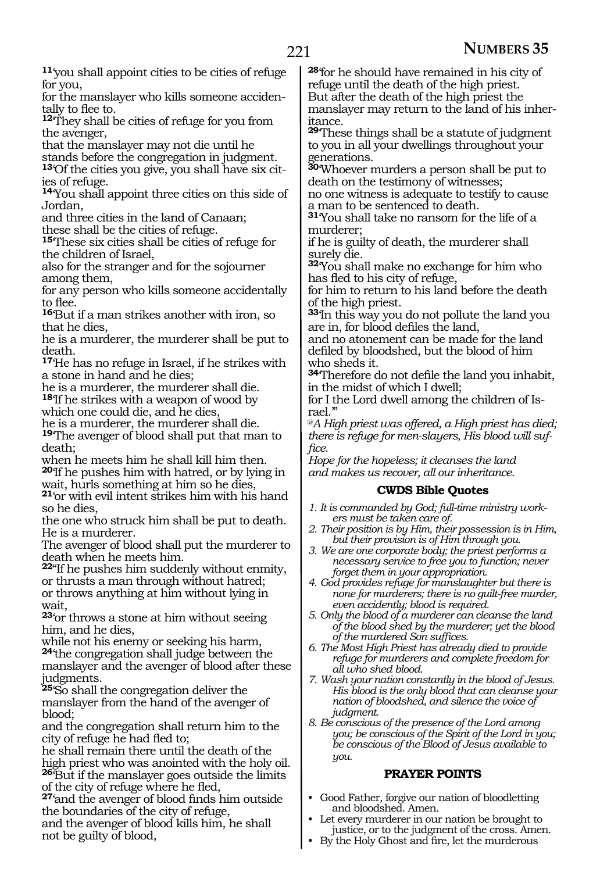**<sup>11</sup>**'you shall appoint cities to be cities of refuge for you,

for the manslayer who kills someone accidentally to flee to.

**<sup>12</sup>**'They shall be cities of refuge for you from the avenger,

that the manslayer may not die until he

stands before the congregation in judgment.

**13**'Of the cities you give, you shall have six cities of refuge.

**<sup>14</sup>**'You shall appoint three cities on this side of Jordan,

and three cities in the land of Canaan;

these shall be the cities of refuge.

**<sup>15</sup>**'These six cities shall be cities of refuge for the children of Israel,

also for the stranger and for the sojourner among them,

for any person who kills someone accidentally to flee.

**<sup>16</sup>**'But if a man strikes another with iron, so that he dies,

he is a murderer, the murderer shall be put to death.

**<sup>17</sup>**'He has no refuge in Israel, if he strikes with a stone in hand and he dies;

he is a murderer, the murderer shall die. **<sup>18</sup>**'If he strikes with a weapon of wood by

which one could die, and he dies,

he is a murderer, the murderer shall die.

**<sup>19</sup>**'The avenger of blood shall put that man to death;

when he meets him he shall kill him then. **<sup>20</sup>**'If he pushes him with hatred, or by lying in

wait, hurls something at him so he dies,

**<sup>21</sup>**'or with evil intent strikes him with his hand so he dies,

the one who struck him shall be put to death. He is a murderer.

The avenger of blood shall put the murderer to death when he meets him.

**<sup>22</sup>**"If he pushes him suddenly without enmity, or thrusts a man through without hatred; or throws anything at him without lying in wait,

**<sup>23</sup>**'or throws a stone at him without seeing him, and he dies,

while not his enemy or seeking his harm,

**<sup>24</sup>**'the congregation shall judge between the manslayer and the avenger of blood after these judgments.

**<sup>25</sup>**'So shall the congregation deliver the manslayer from the hand of the avenger of blood;

and the congregation shall return him to the city of refuge he had fled to;

he shall remain there until the death of the high priest who was anointed with the holy oil. **<sup>26</sup>**'But if the manslayer goes outside the limits

of the city of refuge where he fled,

**<sup>27</sup>**'and the avenger of blood finds him outside the boundaries of the city of refuge,

and the avenger of blood kills him, he shall not be guilty of blood,

**<sup>28</sup>**'for he should have remained in his city of refuge until the death of the high priest. But after the death of the high priest the manslayer may return to the land of his inheritance.

**<sup>29</sup>**'These things shall be a statute of judgment to you in all your dwellings throughout your generations.

**<sup>30</sup>**'Whoever murders a person shall be put to death on the testimony of witnesses;

no one witness is adequate to testify to cause a man to be sentenced to death.

**<sup>31</sup>**'You shall take no ransom for the life of a murderer;

if he is guilty of death, the murderer shall surely die.

**<sup>32</sup>**'You shall make no exchange for him who has fled to his city of refuge,

for him to return to his land before the death of the high priest.

**<sup>33</sup>**'In this way you do not pollute the land you are in, for blood defiles the land,

and no atonement can be made for the land defiled by bloodshed, but the blood of him who sheds it.

**<sup>34</sup>**'Therefore do not defile the land you inhabit, in the midst of which I dwell;

for I the Lord dwell among the children of Israel.'"

@*A High priest was offered, a High priest has died; there is refuge for men-slayers, His blood will suffice.*

*Hope for the hopeless; it cleanses the land and makes us recover, all our inheritance.*

### **CWDS Bible Quotes**

- *1. It is commanded by God; full-time ministry workers must be taken care of.*
- *2. Their position is by Him, their possession is in Him, but their provision is of Him through you.*
- *3. We are one corporate body; the priest performs a necessary service to free you to function; never forget them in your appropriation.*
- *4. God provides refuge for manslaughter but there is none for murderers; there is no guilt-free murder, even accidently; blood is required.*
- *5. Only the blood of a murderer can cleanse the land of the blood shed by the murderer; yet the blood of the murdered Son suffices.*
- *6. The Most High Priest has already died to provide refuge for murderers and complete freedom for all who shed blood.*
- *7. Wash your nation constantly in the blood of Jesus. His blood is the only blood that can cleanse your nation of bloodshed, and silence the voice of judgment.*
- *8. Be conscious of the presence of the Lord among you; be conscious of the Spirit of the Lord in you; be conscious of the Blood of Jesus available to you.*

### **PRAYER POINTS**

- Good Father, forgive our nation of bloodletting and bloodshed. Amen.
- Let every murderer in our nation be brought to justice, or to the judgment of the cross. Amen.
- By the Holy Ghost and fire, let the murderous